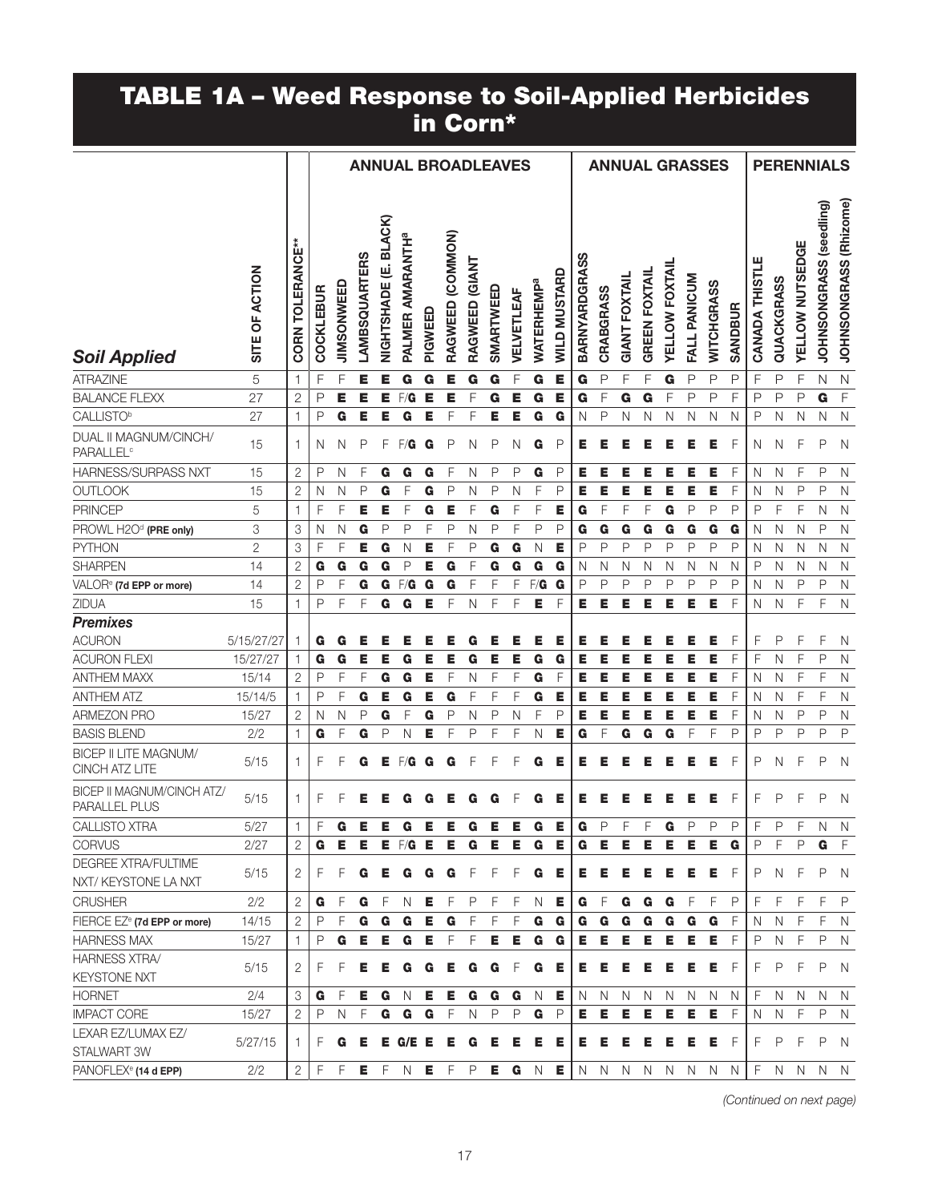#### TABLE 1A – Weed Response to Soil-Applied Herbicides in Corn\*

|                                                      |                |                         |                  |            |                     |                                  | <b>ANNUAL BROADLEAVES</b>    |         |                  |                |           |              |                              |                     |                      | <b>ANNUAL GRASSES</b> |                      |                      |                       |              |              |                |                       |              | <b>PERENNIALS</b> |                         |                        |
|------------------------------------------------------|----------------|-------------------------|------------------|------------|---------------------|----------------------------------|------------------------------|---------|------------------|----------------|-----------|--------------|------------------------------|---------------------|----------------------|-----------------------|----------------------|----------------------|-----------------------|--------------|--------------|----------------|-----------------------|--------------|-------------------|-------------------------|------------------------|
| <b>Soil Applied</b>                                  | SITE OF ACTION | <b>CORN TOLERANCE**</b> | <b>COCKLEBUR</b> | JIMSONWEED | <b>AMBSQUARTERS</b> | <b>BLACK</b><br>ய்<br>NIGHTSHADE | PALMER AMARANTH <sup>a</sup> | PIGWEED | RAGWEED (COMMON) | RAGWEED (GIANT | SMARTWEED | VELVETLEAF   | <b>WATERHEMP<sup>a</sup></b> | <b>WILD MUSTARD</b> | <b>BARNYARDGRASS</b> | <b>CRABGRASS</b>      | <b>GIANT FOXTAIL</b> | <b>GREEN FOXTAIL</b> | <b>YELLOW FOXTAIL</b> | FALL PANICUM | WITCHGRASS   | <b>SANDBUR</b> | <b>CANADA THISTLE</b> | QUACKGRASS   | YELLOW NUTSEDGE   | JOHNSONGRASS (seedling) | JOHNSONGRASS (Rhizome) |
| <b>ATRAZINE</b>                                      | 5              | 1                       | F                | F          | E                   |                                  | G                            | G       | Е                | G              | G         | F            | G                            | Е                   | G                    | P                     | F                    | F                    | G                     | P            | P            | P              | F                     | P            | $\mathsf F$       | N                       | $\mathsf{N}$           |
| <b>BALANCE FLEXX</b>                                 | 27             | 2                       | P                | Е          | E                   | Е                                | F/G                          | Е       | Е                | F              | G         | Е            | G                            | Е                   | G                    | F                     | G                    | G                    | F                     | P            | P            | F              | P                     | $\mathsf{P}$ | $\mathsf{P}$      | G                       | $\mathsf F$            |
| <b>CALLISTO</b> <sup>b</sup>                         | 27             | 1                       | P                | G          | Е                   | E                                | G                            | E       | F                | F              | Е         | E            | G                            | G                   | N                    | $\mathsf{P}$          | N                    | N                    | N                     | $\mathsf{N}$ | Ν            | N              | P                     | N            | N                 | N                       | $\mathsf{N}$           |
| DUAL II MAGNUM/CINCH/<br><b>PARALLEL<sup>c</sup></b> | 15             | 1                       | N                | N          | P                   | F                                | F/G                          | G       | P                | N              | Ρ         | N            | G                            | P                   | Е                    | Е                     | E                    | Е                    | Е                     | Е            | Е            | F              | N                     | N            | F                 | P                       | N                      |
| <b>HARNESS/SURPASS NXT</b>                           | 15             | $\overline{2}$          | P                | N          | F                   | G                                | G                            | G       | F                | N              | P         | P            | G                            | P                   | Е                    | Е                     | Е                    | Е                    | Е                     | Е            | Е            | F              | N                     | N            | F                 | P                       | $\mathsf{N}$           |
| <b>OUTLOOK</b>                                       | 15             | $\overline{2}$          | N                | N          | P                   | G                                | F                            | G       | P                | N              | P         | N            | F                            | P                   | Е                    | Е                     | Е                    | Е                    | Е                     | Е            | Е            | F              | N                     | N            | P                 | P                       | N                      |
| <b>PRINCEP</b>                                       | 5              | 1                       | F                | F          | Е                   | Е                                | F                            | G       | Е                | F              | G         | F            | F                            | Е                   | G                    | F                     | F                    | F                    | G                     | P            | P            | P              | P                     | F            | F                 | N                       | $\mathsf{N}$           |
| PROWL H2Od (PRE only)                                | 3              | 3                       | N                | N          | G                   | P                                | P                            | F       | P                | N              | P         | F            | P                            | P                   | G                    | G                     | G                    | G                    | G                     | G            | G            | G              | N                     | N            | N                 | $\mathsf{P}$            | $\mathsf N$            |
| <b>PYTHON</b>                                        | $\overline{c}$ | 3                       | F                | F          | Е                   | G                                | N                            | Е       | F                | P              | G         | G            | N                            | Е                   | P                    | $\mathsf{P}$          | P                    | $\mathsf{P}$         | P                     | P            | P            | $\mathsf{P}$   | N                     | N            | N                 | N                       | $\mathsf{N}$           |
| <b>SHARPEN</b>                                       | 14             | $\overline{2}$          | G                | G          | G                   | G                                | P                            | E       | G                | F              | G         | G            | G                            | G                   | N                    | N                     | N                    | N                    | N                     | N            | N            | N              | P                     | N            | N                 | N                       | $\mathsf{N}$           |
| VALOR <sup>e</sup> (7d EPP or more)                  | 14             | $\overline{2}$          | P                | F          | G                   | G                                | F/G                          | G       | G                | F              | F         | F            | F/G                          | G                   | $\mathsf{P}$         | $\mathsf{P}$          | $\mathsf{P}$         | P                    | $\mathsf{P}$          | P            | $\mathsf{P}$ | $\mathsf{P}$   | N                     | N            | P                 | P                       | $\mathsf{N}$           |
| ZIDUA                                                | 15             |                         | P                | F          | F                   | G                                | G                            | E       | F                | N              | F         | F            | Е                            | F                   | Е                    | Е                     | Е                    | Е                    | Е                     | Е            | Е            | F              | N                     | N            | F                 | F                       | $\mathsf{N}$           |
| <b>Premixes</b>                                      |                |                         |                  |            |                     |                                  |                              |         |                  |                |           |              |                              |                     |                      |                       |                      |                      |                       |              |              |                |                       |              |                   |                         |                        |
| <b>ACURON</b>                                        | 5/15/27/27     |                         | G                | G          | Е                   |                                  | Е                            | Е       | Е                | G              | Е         | Е            | Е                            | Е                   | Е                    | Е                     |                      |                      | Е                     | Е            | Е            | F              | F                     | P            | F                 | F                       | N                      |
| <b>ACURON FLEXI</b>                                  | 15/27/27       |                         | G                | G          | Е                   | Е                                | G                            | Е       | Е                | G              | Е         | Е            | G                            | G                   | Е                    | Е                     | Е                    | Е                    | Е                     | Е            | Е            | F              | F                     | N            | F                 | P                       | $\mathsf{N}$           |
| <b>ANTHEM MAXX</b>                                   | 15/14          | 2                       | P                | F          | F                   | G                                | G                            | Е       | F                | N              | F         | F            | G                            | $\mathsf F$         | Е                    | Е                     | Е                    | Е                    | Е                     | Е            | Е            | F              | N                     | N            | F                 | F                       | $\mathsf{N}$           |
| <b>ANTHEM ATZ</b>                                    | 15/14/5        | -1                      | P                | F          | G                   | Е                                | G                            | Е       | G                | F              | F         | F            | G                            | Е                   | Е                    | E                     | Е                    | Е                    | Е                     | Е            | Е            | F              | N                     | N            | F                 | F                       | $\mathsf{N}$           |
| <b>ARMEZON PRO</b>                                   | 15/27          | $\overline{2}$          | N                | N          | $\mathsf{P}$        | G                                | F                            | G       | P                | N              | P         | N            | F                            | P                   | Е                    | E                     | Е                    | Е                    | E                     | E            | Е            | F              | N                     | N            | P                 | P                       | N                      |
| <b>BASIS BLEND</b>                                   | 2/2            | 1                       | G                | F          | G                   | P                                | N                            | E       | F                | P              | F         | F            | N                            | Е                   | G                    | F                     | G                    | G                    | G                     | F            | F            | $\mathsf{P}$   | P                     | P            | P                 | P                       | P                      |
| <b>BICEP II LITE MAGNUM/</b><br>CINCH ATZ LITE       | 5/15           | 1                       | F                | F          | G                   | Е                                | F/G                          | G       | G                | F              |           | F            | G                            | Е                   | Е                    | Е                     | E                    |                      | Е                     | Е            | Е            | F              | P                     | N            | F                 | P                       | N                      |
| BICEP II MAGNUM/CINCH ATZ/<br>PARALLEL PLUS          | 5/15           | 1                       | F                |            |                     |                                  |                              |         |                  |                |           |              | G                            | Е                   |                      |                       |                      |                      |                       |              | Е            | F              | F                     | P            | ⊏                 | P                       | N                      |
| CALLISTO XTRA                                        | 5/27           | $\mathbf{1}$            | F                | G          | Е                   | Е                                | G                            | Е       | Е                | G              | Е         | Е            | G                            | Е                   | G                    | P                     | F                    | F                    | G                     | P            | P            | $\mathsf{P}$   | F                     | $\mathsf{P}$ | F                 | Ν                       | Ν                      |
| <b>CORVUS</b>                                        | 2/27           | 2                       | G                | Е.         | Е.                  |                                  | $E$ F/G $E$                  |         | Е                | G              | Е.        | Е            | G                            | Е                   | G                    | Е                     | Е                    | Е                    | Е                     | Е            | Е            | G              | P                     | F            | P                 | G                       | $-F$                   |
| DEGREE XTRA/FULTIME<br>NXT/KEYSTONE LA NXT           | 5/15           | 2                       | F                | F          | G                   | Е                                | G                            | G       | G                | F              | F         | F            | G                            | E                   | Е                    | Е                     | Е                    | Е                    | E                     | Е            | E            | - F            | P                     | <sup>N</sup> | F                 | P                       | N                      |
| <b>CRUSHER</b>                                       | 2/2            | 2                       | G                | F          |                     | $G$ F                            | N.                           | EF      |                  | P              | -F        | -F           | N                            | -E,                 |                      | $G$ $F$               | G                    | G <sub>G</sub>       |                       | - F          | F            | P              | F                     | F            | F                 | F                       | $\mathsf{P}$           |
| FIERCE EZ <sup>e</sup> (7d EPP or more)              | 14/15          | $\overline{2}$          | $\mathsf{P}$     | F          | G                   | G                                | G                            | Е       | G                | F              | F         | F            | G                            | G                   |                      | G G                   | G                    | G                    | G                     | G            | G            | F              | N                     | N            | F                 | F                       | N.                     |
| <b>HARNESS MAX</b>                                   | 15/27          |                         | P                | G          | E                   | Е                                | G                            | Е       | F                | F              | Е         | Е            | G                            | G                   |                      | E E                   | Е.                   | Е                    | $\mathsf E$           | Е            | E            | F              | $\mathsf{P}$          | $\mathbb N$  | F                 | $\mathsf{P}$            | N                      |
| <b>HARNESS XTRA/</b>                                 | 5/15           |                         | F                | F          | Е                   | Е                                |                              |         | Е                | G              | G         | F            | G                            |                     |                      |                       | Е                    | Е                    | Е                     | Е            | Е            | F              | F                     | P            | F                 | P                       |                        |
| <b>KEYSTONE NXT</b>                                  |                | 2                       |                  |            |                     |                                  | G                            | G       |                  |                |           |              |                              | Е.                  | Е.                   | Е                     |                      |                      |                       |              |              |                |                       |              |                   |                         | N                      |
| <b>HORNET</b>                                        | 2/4            | 3                       | G                | F          | Е.                  | G                                | N                            | Е       | Е                | G              | G         | G            | N                            | Е                   | N.                   | N                     | N                    | N                    | N                     | N            | N            | N              | F                     | $\mathbb N$  | N                 | N                       | N                      |
| <b>IMPACT CORE</b>                                   | 15/27          | 2                       | $\mathsf{P}$     | N          | $\bar{F}$           | G                                | G                            | G       | $\mathsf F$      | $\mathsf{N}$   | P         | $\mathsf{P}$ | G                            | P                   |                      | E E E E E E E         |                      |                      |                       |              |              | F              | N                     | N            | F                 | P                       | N.                     |
| LEXAR EZ/LUMAX EZ/<br>STALWART 3W                    | 5/27/15        | п.                      | F                | G          | Е                   |                                  | $E$ $G/E$ $E$                |         | - E              | G              | Е         | Е            | Е                            | E                   | Е.                   | Е                     | Е                    | Е                    | Е                     | Е            | Е            | F              | F                     | P            | F                 | P                       | <sup>N</sup>           |
| PANOFLEX <sup>e</sup> (14 d EPP)                     | 2/2            | $\overline{2}$          | F                | F          | Е.                  | $-F$                             | N                            | $E$ F   |                  | P              | Е.        | G            | $\mathbb N$                  | Е.                  | $\mathbb N$          | N                     | N                    | N                    | N                     | $\mathsf{N}$ | $\mathsf{N}$ | N              | F                     | N.           | N                 | N                       | <sup>N</sup>           |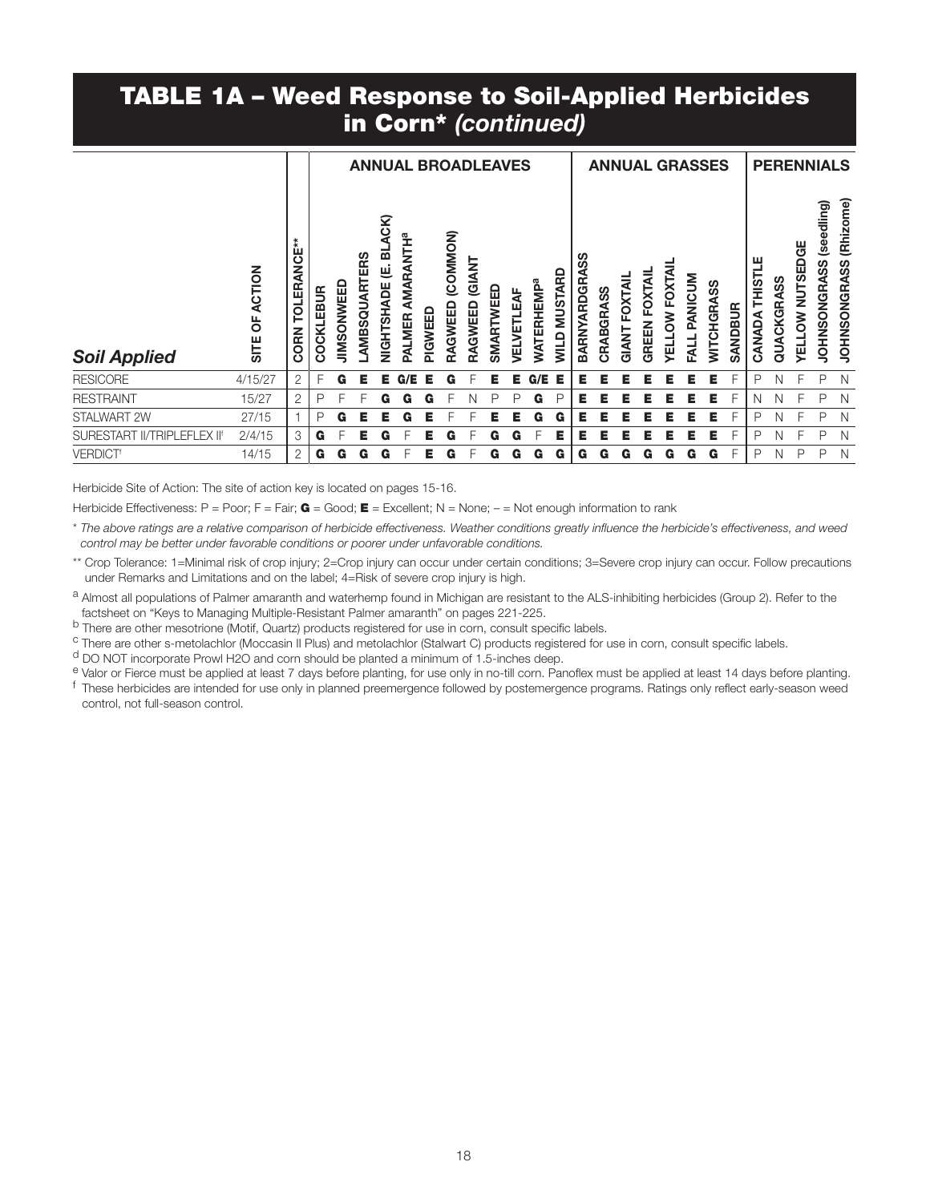### TABLE 1A – Weed Response to Soil-Applied Herbicides in Corn\* *(continued)*

|                             | <b>ACTION</b><br>p | ∗<br>ш<br><b>QNCI</b><br><b>TOLER</b> | COCKLEBUR | <b>JIMSONWEED</b> | <b>ARTERS</b><br>AMBSQ | GK)<br>ᅙ<br>巴<br><b>NIGHTSHADE</b> | <b>AMARANTHª</b><br>PALMER | PIGWEED | <b>ANNUAL BROADLEAVES</b><br>(COMMON)<br>RAGWEED | <b>GIANT</b><br>RAGWEED | SMARTWEED | <b><i>JELVETLEAF</i></b> | <b>WATERHEMP<sup>a</sup></b> | <b>MUSTARD</b> | တ္တ<br>⋖<br>BARNYARDGR | CRABGRASS | <b>OXTAIL</b> | FOXTAIL<br>GREEN | <b>YELLOW FOXTAIL</b> | PANICUM     | <b>ANNUAL GRASSES</b><br>WITCHGRASS | SANDBUR | ш<br>CANADA THISTL | QUACKGRASS | <b>OW NUTSEDGE</b> | <b>PERENNIALS</b><br>(seedling)<br>NGRASS<br><b>JOHNSO</b> | (Rhizome)<br><b>JOHNSONGRASS</b> |
|-----------------------------|--------------------|---------------------------------------|-----------|-------------------|------------------------|------------------------------------|----------------------------|---------|--------------------------------------------------|-------------------------|-----------|--------------------------|------------------------------|----------------|------------------------|-----------|---------------|------------------|-----------------------|-------------|-------------------------------------|---------|--------------------|------------|--------------------|------------------------------------------------------------|----------------------------------|
| <b>Soil Applied</b>         | SITE               | <b>CORN</b>                           |           |                   |                        |                                    |                            |         |                                                  |                         |           |                          |                              | <b>NIIN</b>    |                        |           | GIANT         |                  |                       | <b>FALL</b> |                                     |         |                    |            | <b>AEIT</b>        |                                                            |                                  |
| <b>RESICORE</b>             | 4/15/27            | $\overline{2}$                        | F         | G                 | E.                     | Е                                  | /E<br>G.                   | Е       | G                                                |                         | Е         | Е                        | G/E                          | Е              | Е                      | Е         | E             | Е                | Е                     | Е           | Е                                   | E       | P                  | Ν          |                    | P                                                          | N                                |
| <b>RESTRAINT</b>            | 15/27              | $\overline{2}$                        | P         |                   |                        | G                                  | G                          | G       |                                                  | N                       |           | Ρ                        | G                            | P              | Е                      | Е         | Е             | Е                | Е                     | Е           | Е                                   |         | N                  | N          |                    | P                                                          | N                                |
| STALWART 2W                 | 27/15              |                                       | P         | G                 | Е.                     | Е                                  | G                          | Е.      |                                                  | F                       | Е         | Е                        | G                            | G              | Е                      | Е         | Е             | Е                | Е                     | Е           | Е                                   | F       | P                  | N          |                    | P                                                          | N                                |
| SURESTART II/TRIPLEFLEX IIf | 2/4/15             | 3                                     | G         | F                 | Е                      | G                                  | F                          | Е.      | G                                                | F                       | G         | G                        | F                            | Е              | Е                      | Е         | Е             | Е                | E                     | Е           | Е                                   | F       | P                  | N          |                    | P                                                          | N                                |
| <b>VERDICT<sup>®</sup></b>  | 14/15              | $\overline{2}$                        | G         | G                 | G                      | G                                  |                            | Е       | G                                                |                         | G         | G                        | G                            | G              | G                      | G         | G             | G                | G                     | G           | G                                   | F       | P                  | N          | P                  | P                                                          | N                                |

Herbicide Site of Action: The site of action key is located on pages 15-16.

Herbicide Effectiveness: P = Poor; F = Fair;  $G = Good; E = Excellent; N = None; - = Not enough information to rank$ 

\* *The above ratings are a relative comparison of herbicide effectiveness. Weather conditions greatly influence the herbicide's effectiveness, and weed control may be better under favorable conditions or poorer under unfavorable conditions.*

\*\* Crop Tolerance: 1=Minimal risk of crop injury; 2=Crop injury can occur under certain conditions; 3=Severe crop injury can occur. Follow precautions under Remarks and Limitations and on the label; 4=Risk of severe crop injury is high.

a Almost all populations of Palmer amaranth and waterhemp found in Michigan are resistant to the ALS-inhibiting herbicides (Group 2). Refer to the

factsheet on "Keys to Managing Multiple-Resistant Palmer amaranth" on pages 221-225.<br>
<sup>b</sup> There are other mesotrione (Motif, Quartz) products registered for use in corn, consult specific labels.<br>
<sup>c</sup> There are other s-meto

control, not full-season control.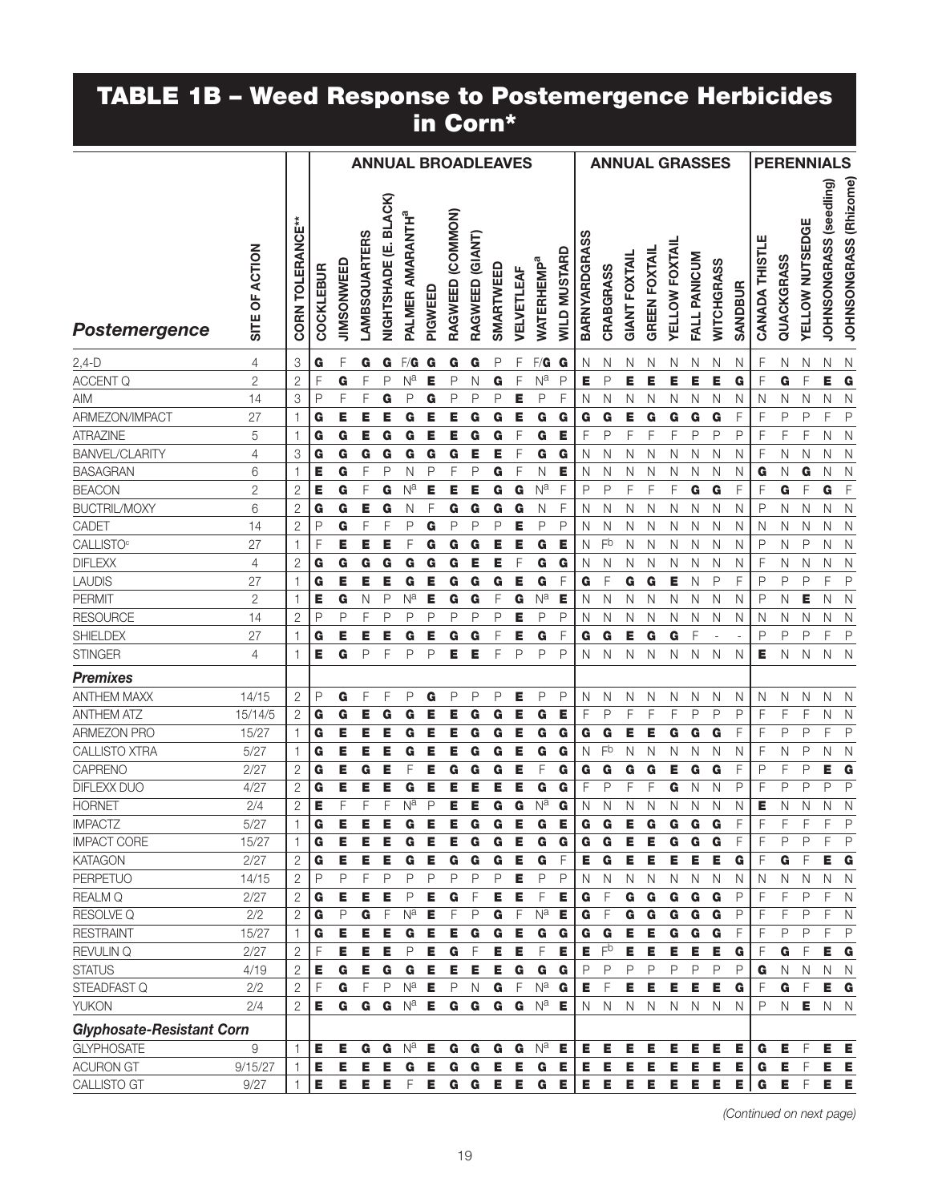#### TABLE 1B – Weed Response to Postemergence Herbicides in Corn\*

|                                  |                |                         |              |              |                      |                                  |                              |         | <b>ANNUAL BROADLEAVES</b> |                 |           |            |                              |                     |               | <b>ANNUAL GRASSES</b> |                      |                      |                       |              |              |                |                |              | <b>PERENNIALS</b>      |                                   |                        |
|----------------------------------|----------------|-------------------------|--------------|--------------|----------------------|----------------------------------|------------------------------|---------|---------------------------|-----------------|-----------|------------|------------------------------|---------------------|---------------|-----------------------|----------------------|----------------------|-----------------------|--------------|--------------|----------------|----------------|--------------|------------------------|-----------------------------------|------------------------|
| Postemergence                    | SITE OF ACTION | <b>CORN TOLERANCE**</b> | COCKLEBUR    | JIMSONWEED   | <b>LAMBSQUARTERS</b> | <b>BLACK</b><br>ψj<br>NIGHTSHADE | PALMER AMARANTH <sup>a</sup> | PIGWEED | RAGWEED (COMMON)          | RAGWEED (GIANT) | SMARTWEED | VELVETLEAF | <b>WATERHEMP<sup>a</sup></b> | <b>WILD MUSTARD</b> | BARNYARDGRASS | CRABGRASS             | <b>GIANT FOXTAIL</b> | <b>GREEN FOXTAIL</b> | <b>YELLOW FOXTAIL</b> | FALL PANICUM | WITCHGRASS   | <b>SANDBUR</b> | CANADA THISTLE | QUACKGRASS   | <b>YELLOW NUTSEDGE</b> | (seedling)<br><b>JOHNSONGRASS</b> | JOHNSONGRASS (Rhizome) |
| $2,4-D$                          | 4              | 3                       | G            | F            | G                    | G                                | F/G                          | G       | G                         | G               | P         | F          | F/G                          | G                   | N             | N                     | Ν                    | N                    | N                     | N            | N            | N              | F              | N            | Ν                      | N                                 | N                      |
| ACCENT Q                         | $\mathbf{2}$   | $\overline{2}$          | F            | G            | F                    | P                                | N <sup>a</sup>               | Е       | P                         | Ν               | G         | F          | N <sup>a</sup>               | P                   | E             | P                     | Е                    | Е                    | E                     | E            | Е            | G              | F              | G            | F                      | Е                                 | G                      |
| <b>AIM</b>                       | 14             | 3                       | P            | F            | F                    | G                                | P                            | G       | P                         | P               | P         | Е          | P                            | F                   | N             | Ν                     | N                    | Ν                    | N                     | N            | N            | N              | Ν              | N            | N                      | Ν                                 | N                      |
| ARMEZON/IMPACT                   | 27             | $\mathbf{1}$            | G            | Е            | Е                    | Е                                | G                            | Е       | Е                         | G               | G         | Е          | G                            | G                   | G             | G                     | Е                    | G                    | G                     | G            | G            | F              | F              | P            | P                      | F                                 | P                      |
| <b>ATRAZINE</b>                  | 5              | $\mathbf{1}$            | G            | G            | Е                    | G                                | G                            | Е       | Е                         | G               | G         | F          | G                            | E                   | F             | P                     | F                    | F                    | F                     | P            | P            | P              | F              | F            | F                      | N                                 | $\mathbb N$            |
| <b>BANVEL/CLARITY</b>            | 4              | 3                       | G            | G            | G                    | G                                | G                            | G       | G                         | Е               | Е         | F          | G                            | G                   | Ν             | N                     | Ν                    | N                    | N                     | N            | N            | N              | F              | N            | N                      | N                                 | $\mathbb N$            |
| <b>BASAGRAN</b>                  | 6              | 1                       | Е            | G            | F                    | P                                | Ν                            | P       | F                         | P               | G         | F          | N                            | Е                   | N             | N                     | N                    | N                    | N                     | N            | N            | N              | G              | N            | G                      | N                                 | N                      |
| <b>BEACON</b>                    | $\mathbf{2}$   | $\overline{2}$          | Е            | G            | F                    | G                                | Na                           | Е       | Е                         | Е               | G         | G          | N <sup>a</sup>               | F                   | P             | P                     | F                    | F                    | F                     | G            | G            | F              | F              | G            | F                      | G                                 | F                      |
| <b>BUCTRIL/MOXY</b>              | 6              | $\overline{2}$          | G            | G            | Е                    | G                                | N                            | F       | G                         | G               | G         | G          | N                            | F                   | N             | N                     | N                    | N                    | N                     | N            | N            | N              | P              | N            | N                      | N                                 | $\mathbb N$            |
| CADET                            | 14             | $\overline{2}$          | P            | G            | F                    | F                                | P                            | G       | P                         | P               | P         | E          | P                            | P                   | N             | N                     | N                    | N                    | N                     | N            | N            | N              | N              | N            | N                      | N                                 | $\mathbb N$            |
| <b>CALLISTO</b> <sup>c</sup>     | 27             | 1                       | F            | Е            | Е                    | E                                | F                            | G       | G                         | G               | Е         | Е          | G                            | Е                   | N             | Fb                    | N                    | N                    | N                     | N            | N            | N              | P              | N            | P                      | N                                 | N                      |
| <b>DIFLEXX</b>                   | 4              | $\overline{2}$          | G            | G            | G                    | G                                | G                            | G       | G                         | Е               | Е         | F          | G                            | G                   | Ν             | N                     | N                    | N                    | N                     | N            | N            | N              | F              | N            | N                      | N                                 | N                      |
| <b>LAUDIS</b>                    | 27             | 1                       | G            | Е            | Е                    | E                                | G                            | Е       | G                         | G               | G         | Е          | G                            | F                   | G             | F                     | G                    | G                    | Е                     | N            | P            | F              | P              | P            | $\mathsf{P}$           | F                                 | $\mathsf{P}$           |
| <b>PERMIT</b>                    | $\overline{2}$ | $\mathbf{1}$            | Е            | G            | N                    | P                                | Na                           | Е       | G                         | G               | F         | G          | N <sup>a</sup>               | Е                   | Ν             | Ν                     | N                    | N                    | N                     | N            | N            | N              | P              | N            | Е                      | N                                 | N                      |
| <b>RESOURCE</b>                  | 14             | $\overline{2}$          | P            | P            | F                    | P                                | P                            | P       | P                         | Ρ               | P         | Е          | P                            | P                   | N             | N                     | Ν                    | N                    | N                     | N            | N            | Ν              | N              | N            | N                      | Ν                                 | $\mathsf{N}$           |
| <b>SHIELDEX</b>                  | 27             | 1                       | G            | Е            | E                    | Е                                | G                            | Е       | G                         | G               | F         | Е          | G                            | F                   | G             | G                     | Е                    | G                    | G                     | F            |              |                | P              | P            | P                      | F                                 | $\mathsf{P}$           |
| <b>STINGER</b>                   | 4              | $\mathbf{1}$            | E            | G            | P                    | F                                | P                            | P       | Е                         | Е               | F         | P          | $\mathsf{P}$                 | P                   | N             | N                     | N                    | N                    | N                     | N            | N            | N              | Е              | N            | N                      | $\mathsf{N}$                      | <sup>N</sup>           |
| <b>Premixes</b>                  |                |                         |              |              |                      |                                  |                              |         |                           |                 |           |            |                              |                     |               |                       |                      |                      |                       |              |              |                |                |              |                        |                                   |                        |
| <b>ANTHEM MAXX</b>               | 14/15          | $\mathbf{2}$            | P            | G            | F                    | F                                | P                            | G       | P                         | P               | P         | Е          | P                            | P                   | Ν             | N                     | N                    | N                    | N                     | N            | N            | N              | N              | $\mathsf{N}$ | Ν                      | N                                 | $\mathbb N$            |
| <b>ANTHEM ATZ</b>                | 15/14/5        | $\mathbf{2}$            | G            | G            | Е                    | G                                | G                            | Е       |                           | G               | G         | Е          | G                            | Е                   | F             | P                     | F                    | F                    | F                     | P            | P            | P              | F              | F            | F                      | N                                 | N                      |
| <b>ARMEZON PRO</b>               | 15/27          | $\mathbf{1}$            | G            | Е            | Е                    | E                                | G                            | Е       | Е                         | G               | G         | Е          | G                            | G                   | G             | G                     | Е                    | Е                    | G                     | G            | G            | F              | F              | P            | $\mathsf{P}$           | F                                 | P                      |
| <b>CALLISTO XTRA</b>             | 5/27           | $\mathbf{1}$            | G            | Е            | E                    | Е                                | G                            | Е       | Е                         | G               | G         | Е          | G                            | G                   | N             | Fb                    | N                    | N                    | Ν                     | Ν            | N            | Ν              | F              | N            | P                      | N                                 | $\mathsf{N}$           |
| CAPRENO                          | 2/27           | $\overline{c}$          | G            | Е            | G                    | Е                                | F                            | Е       | G                         | G               | G         | E          | F                            | G                   | G             | G                     | G                    | G                    | Е                     | G            | G            | F              | P              | F            | P                      | E                                 | G                      |
| DIFLEXX DUO                      | 4/27           | $\overline{2}$          | G            | Е            | Е                    | E                                | G                            | Е       | Е                         | E               | Е         | Е          | G                            | G                   | F             | P                     | F                    | F                    | G                     | N            | N            | P              | F              | P            | P                      | P                                 | P                      |
| <b>HORNET</b>                    | 2/4            | $\overline{2}$          | Е            | F            | F                    | F                                | Na                           | P       | Е                         | Е               | G         | G          | N <sup>a</sup>               | G                   | Ν             | N                     | N                    | N                    | Ν                     | Ν            | N            | N              | Е              | N            | N                      | N                                 | N                      |
| <b>IMPACTZ</b>                   | 5/27           | $\mathbf{1}$            | G            | Е            | E                    | E                                | G                            | Е       | E                         | G               | G         | E          | G                            | Е                   | G             | G                     | E                    | G                    | G                     | G            | G            | F              | F              | F            | F                      | F                                 | P                      |
| <b>IMPACT CORE</b>               | 15/27          | $\mathbf{1}$            | G            | Е            | Е                    | Е                                | G                            | Е       | Е                         | G               | G         | Е          | G                            | G                   | G             | G                     | Е                    | Е                    | G                     | G            | G            | F              | F              | P            | P                      | F                                 | $\mathsf{P}$           |
| <b>KATAGON</b>                   | 2/27           | 2                       | G            | Е            | Е                    | Е                                | G                            | Е       | G                         | G               | G         | Е          | G                            | F                   | Е             | G                     | Е                    | Е                    | E                     | Е            | Е            | G              | F              | G            | F                      | Е                                 | G                      |
| PERPETUO                         | 14/15          | $\overline{c}$          | $\mathsf{P}$ | P            | F                    | P                                | P                            | P       | P                         | P               | P         | E          | P                            | P                   | N             | $\mathsf{N}$          | $\hbox{N}$           | $\mathsf{N}$         | $\mathsf{N}$          | $\mathsf{N}$ | N            | N              | N              | $\mathsf{N}$ | $\mathsf{N}$           | N                                 | $\mathbb N$            |
| REALM Q                          | 2/27           | 2                       | G            | Е            | Е                    | E                                | P                            | Е       | G                         | F               | Е         | Е          | F                            | Е                   | G             | $\mathsf F$           | G                    | G                    | G                     | G            | G            | P              | F              | F            | $\mathsf{P}$           | F                                 | $\mathsf{N}$           |
| RESOLVE Q                        | 2/2            | 2                       | G            | $\mathsf{P}$ | G                    | F                                | N <sup>a</sup>               | Е       | F                         | $\mathsf{P}$    | G         | F          | N <sup>a</sup>               | Е                   | G             | $\overline{F}$        | G                    | G                    | G                     | G            | G            | P              | F              | F            | $\mathsf{P}$           | F                                 | $\mathsf{N}$           |
| <b>RESTRAINT</b>                 | 15/27          | $\mathbf{1}$            | G            | Е            | E                    | Е                                | G                            | Е       | Е                         | G               | G         | Е          | G                            | G                   | G             | $\bf G$               | Е                    | Е                    | G                     | G            | G            | F              | F              | P            | $\mathsf{P}$           | F                                 | $\mathsf{P}$           |
| REVULIN Q                        | 2/27           | $\mathbf{2}$            | F            | Е            | E                    | E                                | P                            | Е       | G                         | F               | E         | Е          | F                            | Е                   | Е             | F <sub>p</sub>        | E                    | E                    | E                     | Е            | Е            | G              | F              | G            | F                      | Е                                 | G                      |
| <b>STATUS</b>                    | 4/19           | $\mathbf{2}$            | Е            | G            | Е                    | $\mathbf G$                      | $\mathbf G$                  | E       | Е                         | Е               | Е         | G          | G                            | G                   | P             | P                     | P                    | P                    | P                     | P            | P            | P              | G              | $\mathsf{N}$ | $\mathsf{N}$           | $\mathsf{N}$                      | $\overline{N}$         |
| STEADFAST Q                      | 2/2            | $\overline{2}$          | F            | G            | F                    | $\mathsf P$                      | $N^a$                        | Е       | $\mathsf{P}$              | N               | G         | F          | $\mathsf{N}^\mathsf{a}$      | G                   | Е             | F                     | Е                    | E                    | Е                     | Е            | Е            | G              | $\overline{F}$ | G            | $\overline{F}$         | Е                                 | G                      |
| <b>YUKON</b>                     | 2/4            | $\mathbf{2}$            | Е            | G            | G                    | G                                | $N^a$                        | E       | G                         | G               | G         | G          | $N^a$                        | Е                   | $\mathsf{N}$  | $\mathsf{N}$          | $\mathsf N$          | $\mathsf{N}$         | $\mathsf{N}$          | $\mathbb N$  | $\mathsf{N}$ | N              | P              | $\mathsf{N}$ | Е                      |                                   | N N                    |
| <b>Glyphosate-Resistant Corn</b> |                |                         |              |              |                      |                                  |                              |         |                           |                 |           |            |                              |                     |               |                       |                      |                      |                       |              |              |                |                |              |                        |                                   |                        |
| <b>GLYPHOSATE</b>                | $\hbox{9}$     | $\mathbf{1}$            | Е            | Е            | G                    | G                                | $N^{\overline{a}}$           | Е       | G                         | G               | G         | G          | $N^a$ <b>E</b>               |                     | Е.            | Е                     | Е                    | Е                    | Е                     | Е            | Е            | Е              | G              | Е            | $\mathsf F$            | Е                                 | - E                    |
| <b>ACURON GT</b>                 | 9/15/27        | $\mathbf{1}$            | Е            | Е            | Е                    | Е                                | G                            | Е       | G                         | G               | Е         | Е          | G                            | Е                   | E.            | Е                     | Е                    | Е                    | Е                     | Е            | Е            | Е              | G              | Е            | F                      | Е                                 | - E                    |
| CALLISTO GT                      | 9/27           | $\mathbf{1}$            | Е            |              | E E                  | E                                | F                            | Е       | G                         | G               | E E       |            |                              | $G \quad E$         |               | E E                   |                      | E E E                |                       | <b>E</b>     | - E          | E              | G              | Е            | $\mathsf{F}$           |                                   | E E                    |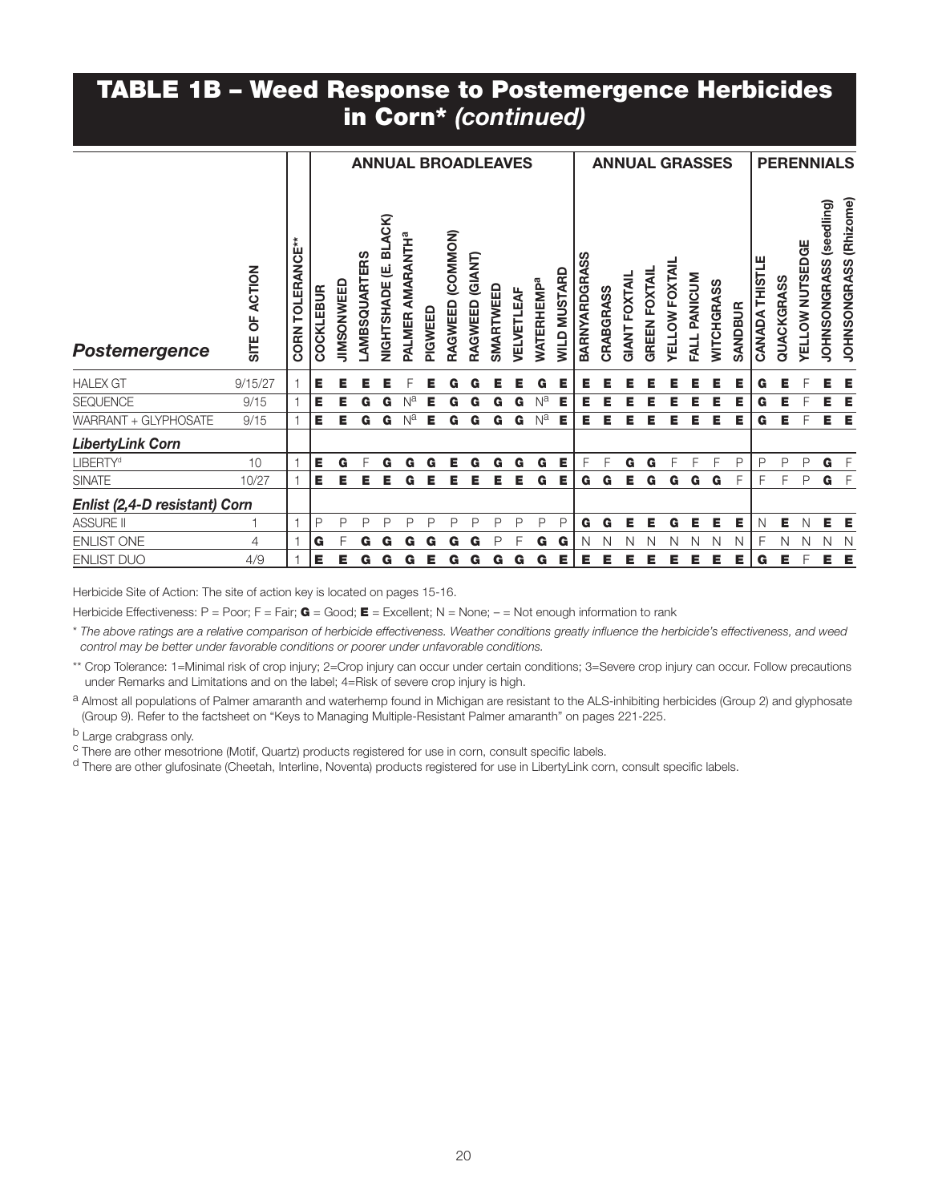### TABLE 1B – Weed Response to Postemergence Herbicides in Corn\* *(continued)*

|                               |                          |                         |           |            |                     |                               | <b>ANNUAL BROADLEAVES</b>             |         |                     |                    |           |            |                              |                     |                      |           |                      |                      |                       |              | <b>ANNUAL GRASSES</b> |                |                |            | <b>PERENNIALS</b> |                                   |                                  |
|-------------------------------|--------------------------|-------------------------|-----------|------------|---------------------|-------------------------------|---------------------------------------|---------|---------------------|--------------------|-----------|------------|------------------------------|---------------------|----------------------|-----------|----------------------|----------------------|-----------------------|--------------|-----------------------|----------------|----------------|------------|-------------------|-----------------------------------|----------------------------------|
| Postemergence                 | OF ACTION<br><b>SITE</b> | <b>CORN TOLERANCE**</b> | COCKLEBUR | JIMSONWEED | <b>AMBSQUARTERS</b> | ACK)<br>ᅙ<br>ψj<br>NIGHTSHADE | <b>AMARANTH<sup>a</sup></b><br>PALMER | PIGWEED | (COMMON)<br>RAGWEED | (GIANT)<br>RAGWEED | SMARTWEED | VELVETLEAF | <b>WATERHEMP<sup>a</sup></b> | <b>WILD MUSTARD</b> | <b>BARNYARDGRASS</b> | CRABGRASS | <b>GIANT FOXTAIL</b> | <b>GREEN FOXTAIL</b> | <b>YELLOW FOXTAIL</b> | FALL PANICUM | <b>NITCHGRASS</b>     | <b>SANDBUR</b> | CANADA THISTLE | QUACKGRASS | YELLOW NUTSEDGE   | (seedling)<br><b>JOHNSONGRASS</b> | (Rhizome)<br><b>JOHNSONGRASS</b> |
| <b>HALEX GT</b>               | 9/15/27                  | $\overline{1}$          | Е         | Е          | Е                   | Е                             |                                       | Е       | G                   | G                  | Е         | Е          | G                            | Е                   | Е                    | Е         | Е                    | Е                    | Е                     | Е            | Е                     | Е              | G              | Е          |                   | Е                                 | Е                                |
| <b>SEQUENCE</b>               | 9/15                     |                         | Е         | Е          | G                   | G                             |                                       |         | G                   | G                  | G         | G          | Na                           | Е                   | Е                    | Е         |                      |                      |                       |              | Е                     | Е              | G              | Е          |                   | Е                                 | Е                                |
| WARRANT + GLYPHOSATE          | 9/15                     |                         | Е         | Е          | G                   | G                             | N <sup>a</sup>                        | Е       | G                   | G                  | G         | G          | Na                           | Е                   | Е                    | Е         | Е                    | Е                    | Е                     | Е            | Е                     | Е              | G              | Е          |                   | Е                                 | E                                |
| <b>LibertyLink Corn</b>       |                          |                         |           |            |                     |                               |                                       |         |                     |                    |           |            |                              |                     |                      |           |                      |                      |                       |              |                       |                |                |            |                   |                                   |                                  |
| <b>LIBERTY<sup>d</sup></b>    | 10                       |                         | Е         | G          |                     | G                             | G                                     | G       | Е                   | G                  | G         | G          | G                            | Е                   | F                    | F         | G                    | G                    | F                     |              | F                     | P              | P              | P          | P                 | G                                 | $-F$                             |
| <b>SINATE</b>                 | 10/27                    |                         | Е         | Е          | Е                   | Е                             | G                                     | Е       | Е                   | Е                  | Е         | Е          | G                            | Е                   | G                    | G         | Е                    | G                    | G                     | G            | G                     | F              | F              | F          | P                 | $G$ $F$                           |                                  |
| Enlist (2,4-D resistant) Corn |                          |                         |           |            |                     |                               |                                       |         |                     |                    |           |            |                              |                     |                      |           |                      |                      |                       |              |                       |                |                |            |                   |                                   |                                  |
| <b>ASSURE II</b>              |                          |                         | P         | P          | P                   | P                             | P                                     | P       | P                   | P                  | P         | P          | P                            | P                   | G                    | G         | Е                    | Е                    | G                     | Е            | Е                     | Е              | N              | Е          | N                 | Е                                 | E                                |
| <b>ENLIST ONE</b>             | 4                        |                         | G         | F          | G                   | G                             | G                                     | G       | G                   | G                  | P         | F          | G                            | G                   | N                    | N         | N                    | N                    | N                     | N            | N                     | N              | F              | Ν          | N                 | N                                 | $\mathbb N$                      |
| <b>ENLIST DUO</b>             | 4/9                      |                         | Е         | Е          | G                   | G                             | G                                     | Е       | G                   | G                  | G         | G          | G                            | Е                   | Е                    | Е         | Е                    | Е                    | Е                     | Е            | Е                     | Е              | G              | Е          |                   | Е                                 | Е                                |

Herbicide Site of Action: The site of action key is located on pages 15-16.

Herbicide Effectiveness: P = Poor; F = Fair; G = Good; E = Excellent; N = None; - = Not enough information to rank

\* *The above ratings are a relative comparison of herbicide effectiveness. Weather conditions greatly influence the herbicide's effectiveness, and weed control may be better under favorable conditions or poorer under unfavorable conditions.*

\*\* Crop Tolerance: 1=Minimal risk of crop injury; 2=Crop injury can occur under certain conditions; 3=Severe crop injury can occur. Follow precautions under Remarks and Limitations and on the label; 4=Risk of severe crop injury is high.

a Almost all populations of Palmer amaranth and waterhemp found in Michigan are resistant to the ALS-inhibiting herbicides (Group 2) and glyphosate (Group 9). Refer to the factsheet on "Keys to Managing Multiple-Resistant Palmer amaranth" on pages 221-225.

<sup>b</sup> Large crabgrass only.<br><sup>c</sup> There are other mesotrione (Motif, Quartz) products registered for use in corn, consult specific labels.<br><sup>d</sup> There are other glufosinate (Cheetah, Interline, Noventa) products registered for u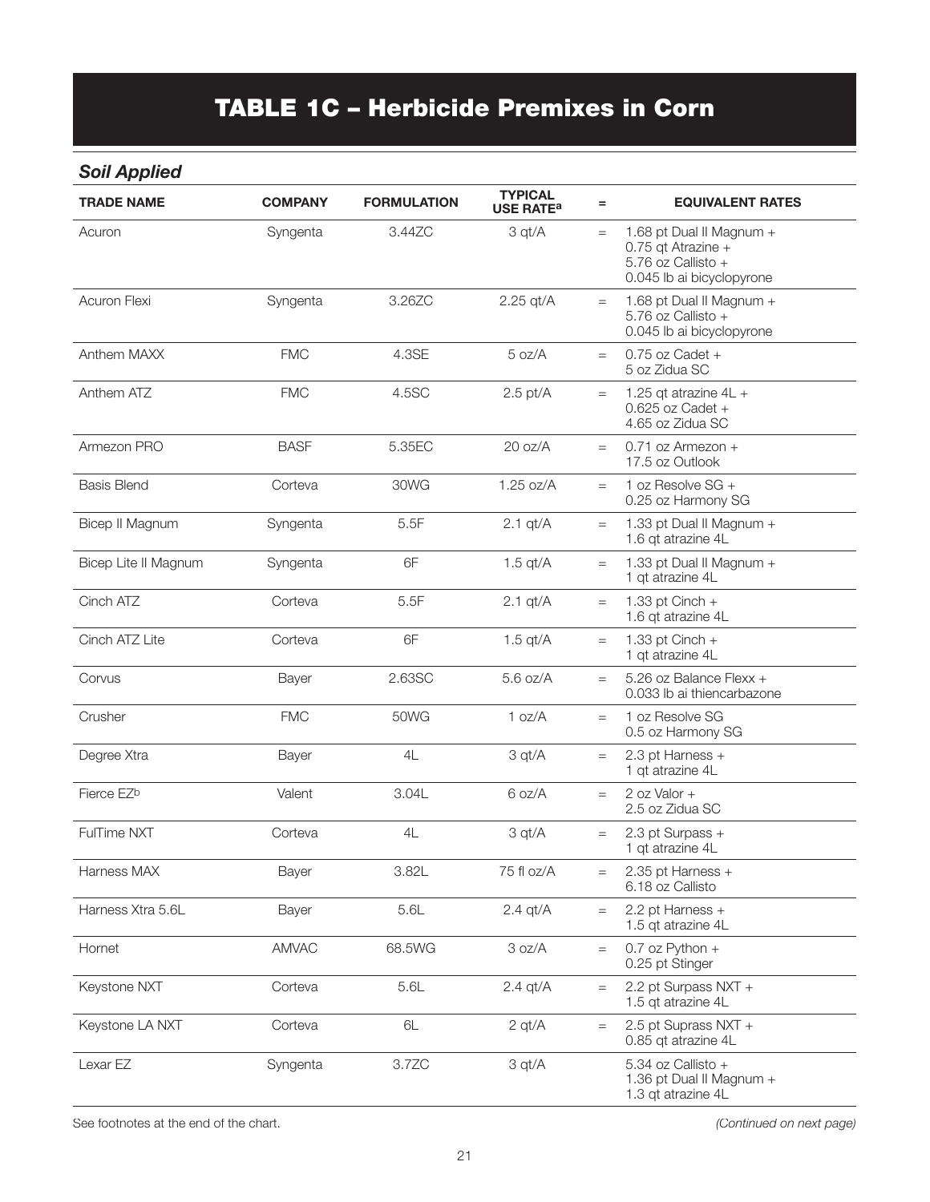# TABLE 1C – Herbicide Premixes in Corn

#### *Soil Applied*

| <b>TRADE NAME</b>      | <b>COMPANY</b> | <b>FORMULATION</b> | <b>TYPICAL</b><br><b>USE RATE<sup>a</sup></b> | $=$                               | <b>EQUIVALENT RATES</b>                                                                           |
|------------------------|----------------|--------------------|-----------------------------------------------|-----------------------------------|---------------------------------------------------------------------------------------------------|
| Acuron                 | Syngenta       | 3.44ZC             | 3 qt/A                                        | $=$                               | 1.68 pt Dual II Magnum +<br>0.75 qt Atrazine +<br>5.76 oz Callisto +<br>0.045 lb ai bicyclopyrone |
| Acuron Flexi           | Syngenta       | 3.26ZC             | $2.25$ qt/A                                   | $=$                               | 1.68 pt Dual II Magnum +<br>5.76 oz Callisto +<br>0.045 lb ai bicyclopyrone                       |
| Anthem MAXX            | <b>FMC</b>     | 4.3SE              | 5 oz/A                                        | $=$                               | $0.75$ oz Cadet +<br>5 oz Zidua SC                                                                |
| Anthem ATZ             | <b>FMC</b>     | 4.5SC              | $2.5$ pt/A                                    | $=$                               | 1.25 qt atrazine $4L +$<br>$0.625$ oz Cadet +<br>4.65 oz Zidua SC                                 |
| Armezon PRO            | <b>BASF</b>    | 5.35EC             | 20 oz/A                                       | $=$                               | $0.71$ oz Armezon +<br>17.5 oz Outlook                                                            |
| <b>Basis Blend</b>     | Corteva        | 30WG               | 1.25 oz/A                                     | $=$                               | 1 oz Resolve $SG +$<br>0.25 oz Harmony SG                                                         |
| Bicep II Magnum        | Syngenta       | 5.5F               | $2.1$ qt/ $A$                                 | $=$                               | 1.33 pt Dual II Magnum +<br>1.6 qt atrazine 4L                                                    |
| Bicep Lite II Magnum   | Syngenta       | 6F                 | $1.5$ qt/A                                    | $=$                               | 1.33 pt Dual II Magnum +<br>1 qt atrazine 4L                                                      |
| Cinch ATZ              | Corteva        | 5.5F               | $2.1$ qt/ $A$                                 | $=$                               | 1.33 pt Cinch $+$<br>1.6 qt atrazine 4L                                                           |
| Cinch ATZ Lite         | Corteva        | 6F                 | $1.5$ qt/A                                    | $\qquad \qquad =$                 | 1.33 pt $Cinch +$<br>1 qt atrazine 4L                                                             |
| Corvus                 | Bayer          | 2.63SC             | $5.6$ oz/A                                    | $=$                               | 5.26 oz Balance Flexx +<br>0.033 lb ai thiencarbazone                                             |
| Crusher                | <b>FMC</b>     | <b>50WG</b>        | 1 oz/A                                        | $=$                               | 1 oz Resolve SG<br>0.5 oz Harmony SG                                                              |
| Degree Xtra            | Bayer          | 4L                 | 3 qt/A                                        | $=$                               | 2.3 pt Harness +<br>1 qt atrazine 4L                                                              |
| Fierce EZ <sup>b</sup> | Valent         | 3.04L              | 6 oz/A                                        | $=$                               | 2 oz Valor $+$<br>2.5 oz Zidua SC                                                                 |
| <b>FulTime NXT</b>     | Corteva        | 4L                 | 3 qt/A                                        | $=$                               | 2.3 pt Surpass +<br>1 qt atrazine 4L                                                              |
| Harness MAX            | Bayer          | 3.82L              | 75 fl oz/A                                    | $\equiv$                          | 2.35 pt Harness +<br>6.18 oz Callisto                                                             |
| Harness Xtra 5.6L      | Bayer          | 5.6L               | $2.4$ qt/ $A$                                 | $\hspace{0.1cm} = \hspace{0.1cm}$ | 2.2 pt Harness +<br>1.5 qt atrazine 4L                                                            |
| Hornet                 | <b>AMVAC</b>   | 68.5WG             | 3 oz/A                                        | $\equiv$                          | 0.7 oz Python $+$<br>0.25 pt Stinger                                                              |
| Keystone NXT           | Corteva        | 5.6L               | $2.4$ qt/ $A$                                 | $=$                               | 2.2 pt Surpass NXT +<br>1.5 qt atrazine 4L                                                        |
| Keystone LA NXT        | Corteva        | 6L                 | $2$ qt/ $A$                                   | $=$                               | 2.5 pt Suprass NXT +<br>0.85 qt atrazine 4L                                                       |
| Lexar EZ               | Syngenta       | 3.7ZC              | 3 qt/A                                        |                                   | 5.34 oz Callisto +<br>1.36 pt Dual II Magnum +<br>1.3 qt atrazine 4L                              |

See footnotes at the end of the chart. *(Continued on next page)*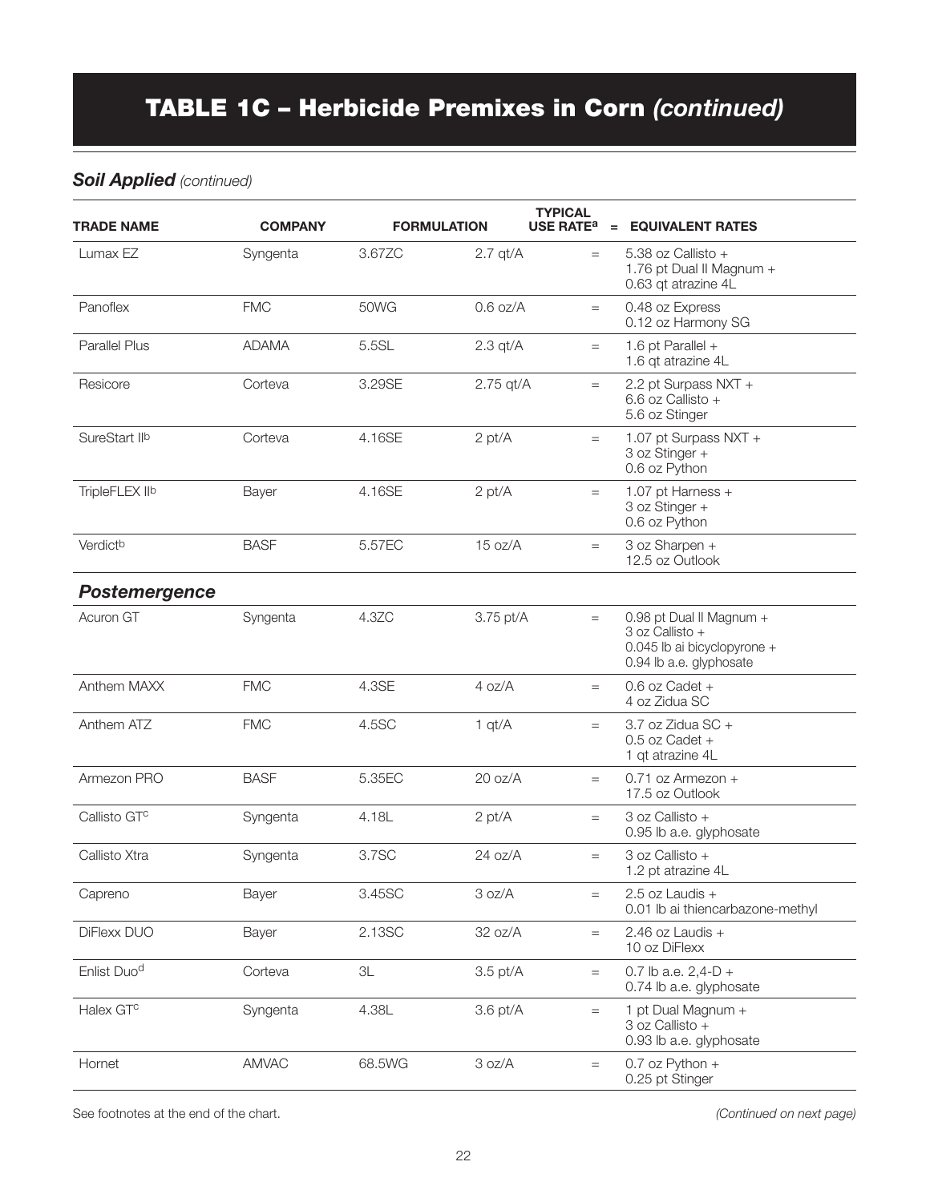# TABLE 1C – Herbicide Premixes in Corn *(continued)*

#### *Soil Applied (continued)*

| <b>TRADE NAME</b>       | <b>COMPANY</b> |               | <b>FORMULATION</b> | <b>TYPICAL</b><br><b>USE RATE<sup>a</sup></b> | = EQUIVALENT RATES                                                                                    |
|-------------------------|----------------|---------------|--------------------|-----------------------------------------------|-------------------------------------------------------------------------------------------------------|
| Lumax EZ                | Syngenta       | 3.67ZC        | $2.7$ qt/ $A$      | $=$                                           | 5.38 oz Callisto +<br>1.76 pt Dual II Magnum +<br>0.63 qt atrazine 4L                                 |
| Panoflex                | <b>FMC</b>     | 50WG          | $0.6$ oz/A         | $=$                                           | 0.48 oz Express<br>0.12 oz Harmony SG                                                                 |
| <b>Parallel Plus</b>    | <b>ADAMA</b>   | 5.5SL         | $2.3$ qt/ $A$      | $=$                                           | 1.6 pt Parallel $+$<br>1.6 qt atrazine 4L                                                             |
| Resicore                | Corteva        | 3.29SE        | $2.75$ qt/A        | $=$                                           | 2.2 pt Surpass NXT +<br>6.6 oz Callisto +<br>5.6 oz Stinger                                           |
| SureStart IIb           | Corteva        | 4.16SE        | 2 pt/A             | $=$                                           | 1.07 pt Surpass NXT +<br>3 oz Stinger +<br>0.6 oz Python                                              |
| TripleFLEX IIb          | Bayer          | 4.16SE        | 2 pt/A             | $=$                                           | 1.07 pt Harness +<br>3 oz Stinger +<br>0.6 oz Python                                                  |
| Verdictb                | <b>BASF</b>    | 5.57EC        | 15 oz/A            | $=$                                           | 3 oz Sharpen +<br>12.5 oz Outlook                                                                     |
| Postemergence           |                |               |                    |                                               |                                                                                                       |
| Acuron GT               | Syngenta       | 4.3ZC         | 3.75 pt/A          | $=$                                           | 0.98 pt Dual II Magnum +<br>3 oz Callisto +<br>0.045 lb ai bicyclopyrone +<br>0.94 lb a.e. glyphosate |
| Anthem MAXX             | <b>FMC</b>     | 4.3SE         | 4 oz/A             | $=$                                           | 0.6 oz Cadet +<br>4 oz Zidua SC                                                                       |
| Anthem ATZ              | <b>FMC</b>     | 4.5SC         | 1 qt/A             | $=$                                           | 3.7 oz Zidua SC +<br>$0.5$ oz Cadet +<br>1 qt atrazine 4L                                             |
| Armezon PRO             | <b>BASF</b>    | 5.35EC        | 20 oz/A            | $=$                                           | $0.71$ oz Armezon +<br>17.5 oz Outlook                                                                |
| Callisto GTC            | Syngenta       | 4.18L         | 2 pt/A             | $=$                                           | 3 oz Callisto +<br>0.95 lb a.e. glyphosate                                                            |
| Callisto Xtra           | Syngenta       | 3.7SC         | 24 oz/A            | $=$                                           | 3 oz Callisto +<br>1.2 pt atrazine 4L                                                                 |
| Capreno                 | Bayer          | 3.45SC        | 3 oz/A             | $=$                                           | $2.5$ oz Laudis +<br>0.01 lb ai thiencarbazone-methyl                                                 |
| DiFlexx DUO             | Bayer          | 2.13SC        | 32 oz/A            | $=$                                           | 2.46 oz Laudis $+$<br>10 oz DiFlexx                                                                   |
| Enlist Duo <sup>d</sup> | Corteva        | $3\mathsf{L}$ | $3.5$ pt/A         | $=$                                           | 0.7 lb a.e. $2,4-D +$<br>0.74 lb a.e. glyphosate                                                      |
| Halex GT <sup>c</sup>   | Syngenta       | 4.38L         | $3.6$ pt/ $A$      | $\equiv$                                      | 1 pt Dual Magnum +<br>3 oz Callisto +<br>0.93 lb a.e. glyphosate                                      |
| Hornet                  | AMVAC          | 68.5WG        | 3 oz/A             | $=$                                           | $0.7$ oz Python +<br>0.25 pt Stinger                                                                  |

See footnotes at the end of the chart. *(Continued on next page)*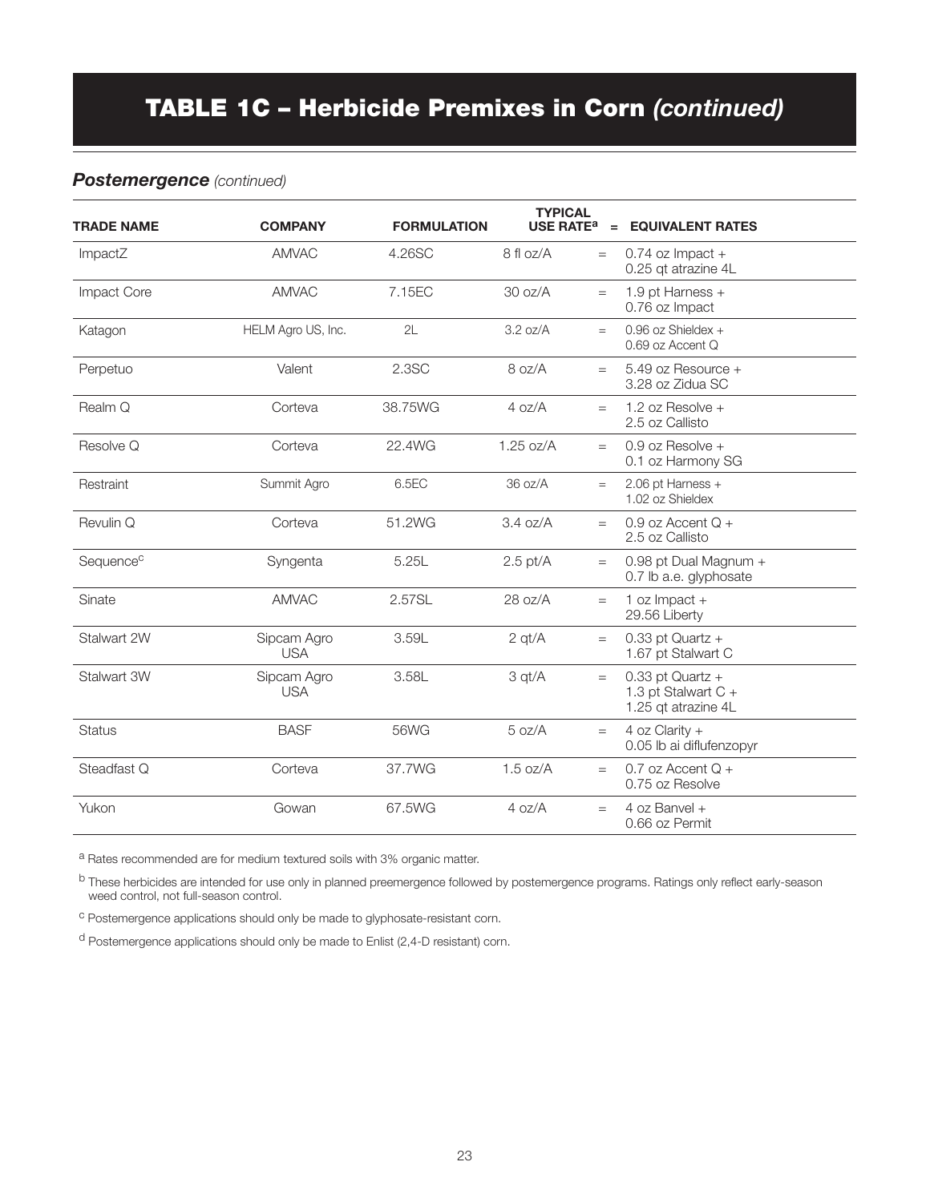# TABLE 1C – Herbicide Premixes in Corn *(continued)*

#### *Postemergence (continued)*

| <b>TRADE NAME</b>     | <b>COMPANY</b>            | <b>FORMULATION</b> | <b>TYPICAL</b><br><b>USE RATE<sup>a</sup></b> | $=$ | <b>EQUIVALENT RATES</b>                                            |
|-----------------------|---------------------------|--------------------|-----------------------------------------------|-----|--------------------------------------------------------------------|
| ImpactZ               | <b>AMVAC</b>              | 4.26SC             | 8 fl oz/A                                     | $=$ | $0.74$ oz Impact +<br>0.25 qt atrazine 4L                          |
| <b>Impact Core</b>    | <b>AMVAC</b>              | 7.15EC             | $30 \text{ oz/A}$                             | $=$ | 1.9 pt Harness $+$<br>0.76 oz Impact                               |
| Katagon               | HELM Agro US, Inc.        | 2L                 | 3.2 oz/A                                      | $=$ | $0.96$ oz Shieldex +<br>0.69 oz Accent Q                           |
| Perpetuo              | Valent                    | 2.3SC              | 8 oz/A                                        | $=$ | 5.49 oz Resource +<br>3.28 oz Zidua SC                             |
| Realm Q               | Corteva                   | 38.75WG            | 4 oz/A                                        | $=$ | 1.2 oz Resolve $+$<br>2.5 oz Callisto                              |
| Resolve Q             | Corteva                   | 22.4WG             | $1.25$ oz/A                                   | $=$ | 0.9 oz Resolve +<br>0.1 oz Harmony SG                              |
| Restraint             | Summit Agro               | 6.5EC              | 36 oz/A                                       | $=$ | 2.06 pt Harness +<br>1.02 oz Shieldex                              |
| Revulin Q             | Corteva                   | 51.2WG             | 3.4 oz/A                                      | $=$ | 0.9 oz Accent $Q +$<br>2.5 oz Callisto                             |
| Sequence <sup>c</sup> | Syngenta                  | 5.25L              | $2.5$ pt/A                                    | $=$ | 0.98 pt Dual Magnum +<br>0.7 lb a.e. glyphosate                    |
| Sinate                | <b>AMVAC</b>              | 2.57SL             | 28 oz/A                                       | $=$ | 1 oz $Im$ pact +<br>29.56 Liberty                                  |
| Stalwart 2W           | Sipcam Agro<br><b>USA</b> | 3.59L              | $2$ qt/ $A$                                   | $=$ | $0.33$ pt Quartz +<br>1.67 pt Stalwart C                           |
| Stalwart 3W           | Sipcam Agro<br><b>USA</b> | 3.58L              | 3 qt/A                                        | $=$ | $0.33$ pt Quartz +<br>1.3 pt Stalwart $C +$<br>1.25 qt atrazine 4L |
| <b>Status</b>         | <b>BASF</b>               | 56WG               | 5 oz/A                                        | $=$ | 4 oz Clarity $+$<br>0.05 lb ai diflufenzopyr                       |
| Steadfast Q           | Corteva                   | 37.7WG             | $1.5$ oz/A                                    | $=$ | 0.7 oz Accent $Q +$<br>0.75 oz Resolve                             |
| Yukon                 | Gowan                     | 67.5WG             | 4 oz/A                                        | $=$ | 4 oz Banvel +<br>0.66 oz Permit                                    |

a Rates recommended are for medium textured soils with 3% organic matter.

b These herbicides are intended for use only in planned preemergence followed by postemergence programs. Ratings only reflect early-season weed control, not full-season control.

c Postemergence applications should only be made to glyphosate-resistant corn.

d Postemergence applications should only be made to Enlist (2,4-D resistant) corn.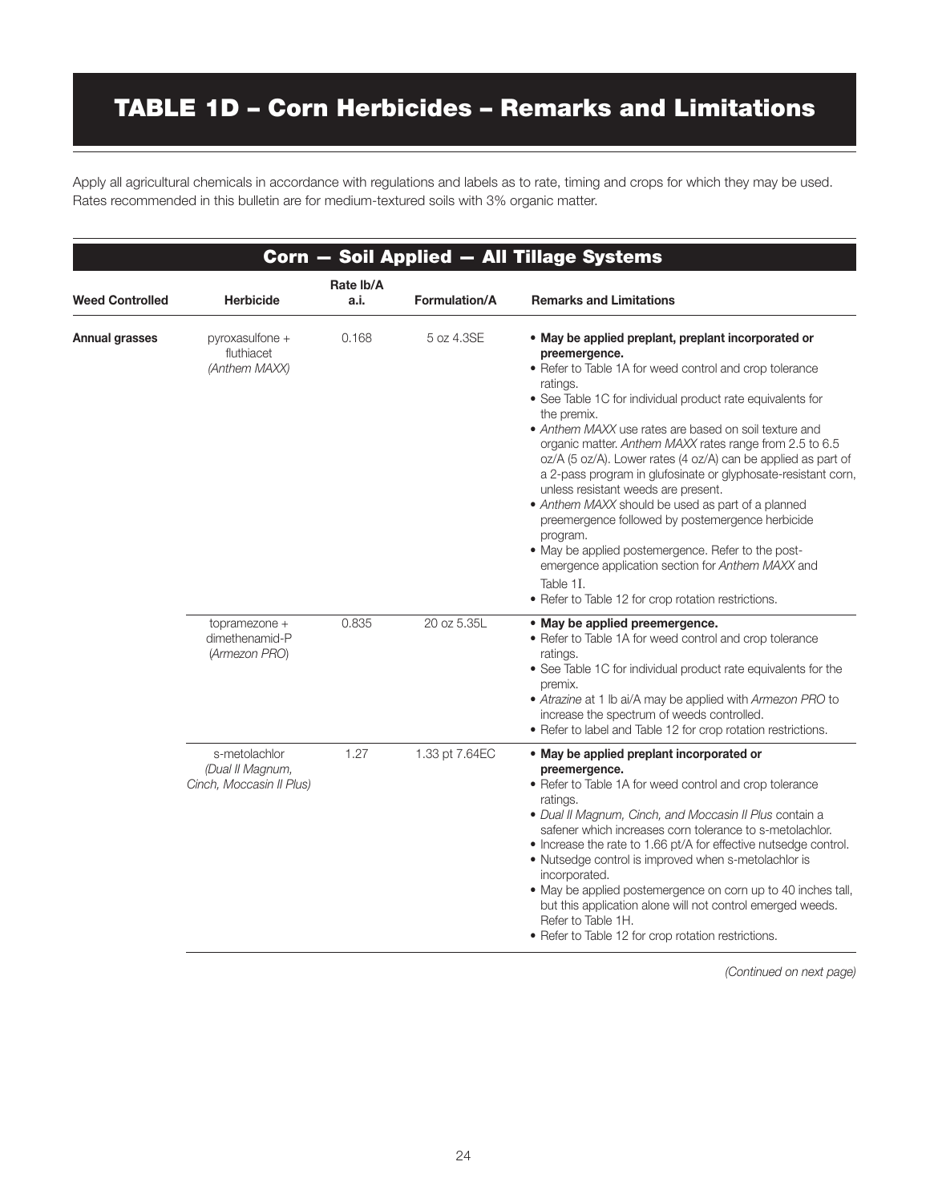# TABLE 1D – Corn Herbicides – Remarks and Limitations

Apply all agricultural chemicals in accordance with regulations and labels as to rate, timing and crops for which they may be used. Rates recommended in this bulletin are for medium-textured soils with 3% organic matter.

|                        |                                                               |                   |                | Corn - Soil Applied - All Tillage Systems                                                                                                                                                                                                                                                                                                                                                                                                                                                                                                                                                                                                                                                                                                                                                                                 |
|------------------------|---------------------------------------------------------------|-------------------|----------------|---------------------------------------------------------------------------------------------------------------------------------------------------------------------------------------------------------------------------------------------------------------------------------------------------------------------------------------------------------------------------------------------------------------------------------------------------------------------------------------------------------------------------------------------------------------------------------------------------------------------------------------------------------------------------------------------------------------------------------------------------------------------------------------------------------------------------|
| <b>Weed Controlled</b> | <b>Herbicide</b>                                              | Rate Ib/A<br>a.i. | Formulation/A  | <b>Remarks and Limitations</b>                                                                                                                                                                                                                                                                                                                                                                                                                                                                                                                                                                                                                                                                                                                                                                                            |
| <b>Annual grasses</b>  | pyroxasulfone +<br>fluthiacet<br>(Anthem MAXX)                | 0.168             | 5 oz 4.3SE     | • May be applied preplant, preplant incorporated or<br>preemergence.<br>• Refer to Table 1A for weed control and crop tolerance<br>ratings.<br>• See Table 1C for individual product rate equivalents for<br>the premix.<br>• Anthem MAXX use rates are based on soil texture and<br>organic matter. Anthem MAXX rates range from 2.5 to 6.5<br>oz/A (5 oz/A). Lower rates (4 oz/A) can be applied as part of<br>a 2-pass program in glufosinate or glyphosate-resistant corn,<br>unless resistant weeds are present.<br>• Anthem MAXX should be used as part of a planned<br>preemergence followed by postemergence herbicide<br>program.<br>• May be applied postemergence. Refer to the post-<br>emergence application section for Anthem MAXX and<br>Table 1I.<br>• Refer to Table 12 for crop rotation restrictions. |
|                        | topramezone +<br>dimethenamid-P<br>(Armezon PRO)              | 0.835             | 20 oz 5.35L    | • May be applied preemergence.<br>• Refer to Table 1A for weed control and crop tolerance<br>ratings.<br>• See Table 1C for individual product rate equivalents for the<br>premix.<br>• Atrazine at 1 lb ai/A may be applied with Armezon PRO to<br>increase the spectrum of weeds controlled.<br>• Refer to label and Table 12 for crop rotation restrictions.                                                                                                                                                                                                                                                                                                                                                                                                                                                           |
|                        | s-metolachlor<br>(Dual II Magnum,<br>Cinch, Moccasin II Plus) | 1.27              | 1.33 pt 7.64EC | . May be applied preplant incorporated or<br>preemergence.<br>• Refer to Table 1A for weed control and crop tolerance<br>ratings.<br>· Dual II Magnum, Cinch, and Moccasin II Plus contain a<br>safener which increases corn tolerance to s-metolachlor.<br>• Increase the rate to 1.66 pt/A for effective nutsedge control.<br>• Nutsedge control is improved when s-metolachlor is<br>incorporated.<br>• May be applied postemergence on corn up to 40 inches tall,<br>but this application alone will not control emerged weeds.<br>Refer to Table 1H.<br>• Refer to Table 12 for crop rotation restrictions.                                                                                                                                                                                                          |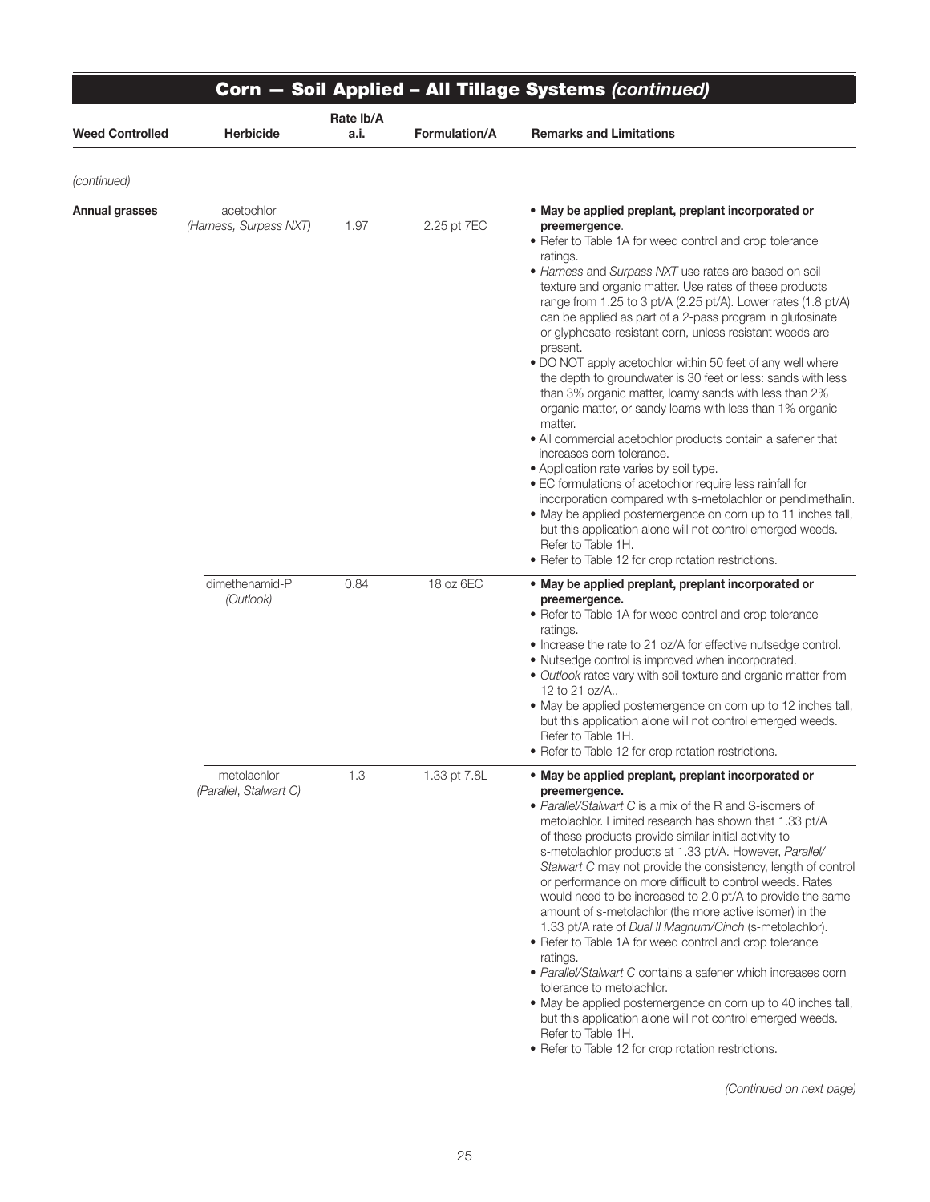| <b>Weed Controlled</b> | <b>Herbicide</b>                      | Rate Ib/A<br>a.i. | <b>Formulation/A</b> | <b>Remarks and Limitations</b>                                                                                                                                                                                                                                                                                                                                                                                                                                                                                                                                                                                                                                                                                                                                                                                                                                                                                                                                                                                                                                                                                                                                                                                    |
|------------------------|---------------------------------------|-------------------|----------------------|-------------------------------------------------------------------------------------------------------------------------------------------------------------------------------------------------------------------------------------------------------------------------------------------------------------------------------------------------------------------------------------------------------------------------------------------------------------------------------------------------------------------------------------------------------------------------------------------------------------------------------------------------------------------------------------------------------------------------------------------------------------------------------------------------------------------------------------------------------------------------------------------------------------------------------------------------------------------------------------------------------------------------------------------------------------------------------------------------------------------------------------------------------------------------------------------------------------------|
|                        |                                       |                   |                      |                                                                                                                                                                                                                                                                                                                                                                                                                                                                                                                                                                                                                                                                                                                                                                                                                                                                                                                                                                                                                                                                                                                                                                                                                   |
| (continued)            |                                       |                   |                      |                                                                                                                                                                                                                                                                                                                                                                                                                                                                                                                                                                                                                                                                                                                                                                                                                                                                                                                                                                                                                                                                                                                                                                                                                   |
| <b>Annual grasses</b>  | acetochlor<br>(Harness, Surpass NXT)  | 1.97              | 2.25 pt 7EC          | • May be applied preplant, preplant incorporated or<br>preemergence.<br>• Refer to Table 1A for weed control and crop tolerance<br>ratings.<br>• Harness and Surpass NXT use rates are based on soil<br>texture and organic matter. Use rates of these products<br>range from 1.25 to 3 pt/A (2.25 pt/A). Lower rates (1.8 pt/A)<br>can be applied as part of a 2-pass program in glufosinate<br>or glyphosate-resistant corn, unless resistant weeds are<br>present.<br>• DO NOT apply acetochlor within 50 feet of any well where<br>the depth to groundwater is 30 feet or less: sands with less<br>than 3% organic matter, loamy sands with less than 2%<br>organic matter, or sandy loams with less than 1% organic<br>matter.<br>• All commercial acetochlor products contain a safener that<br>increases corn tolerance.<br>• Application rate varies by soil type.<br>• EC formulations of acetochlor require less rainfall for<br>incorporation compared with s-metolachlor or pendimethalin.<br>• May be applied postemergence on corn up to 11 inches tall,<br>but this application alone will not control emerged weeds.<br>Refer to Table 1H.<br>• Refer to Table 12 for crop rotation restrictions. |
|                        | dimethenamid-P<br>(Outlook)           | 0.84              | 18 oz 6EC            | • May be applied preplant, preplant incorporated or<br>preemergence.<br>• Refer to Table 1A for weed control and crop tolerance<br>ratings.<br>• Increase the rate to 21 oz/A for effective nutsedge control.<br>• Nutsedge control is improved when incorporated.<br>• Outlook rates vary with soil texture and organic matter from<br>12 to 21 oz/A<br>• May be applied postemergence on corn up to 12 inches tall,<br>but this application alone will not control emerged weeds.<br>Refer to Table 1H.<br>• Refer to Table 12 for crop rotation restrictions.                                                                                                                                                                                                                                                                                                                                                                                                                                                                                                                                                                                                                                                  |
|                        | metolachlor<br>(Parallel, Stalwart C) | 1.3               | 1.33 pt 7.8L         | . May be applied preplant, preplant incorporated or<br>preemergence.<br>• Parallel/Stalwart C is a mix of the R and S-isomers of<br>metolachlor. Limited research has shown that 1.33 pt/A<br>of these products provide similar initial activity to<br>s-metolachlor products at 1.33 pt/A. However, Parallel/<br>Stalwart C may not provide the consistency, length of control<br>or performance on more difficult to control weeds. Rates<br>would need to be increased to 2.0 pt/A to provide the same<br>amount of s-metolachlor (the more active isomer) in the<br>1.33 pt/A rate of Dual II Magnum/Cinch (s-metolachlor).<br>• Refer to Table 1A for weed control and crop tolerance<br>ratings.<br>• Parallel/Stalwart C contains a safener which increases corn<br>tolerance to metolachlor.<br>• May be applied postemergence on corn up to 40 inches tall,<br>but this application alone will not control emerged weeds.<br>Refer to Table 1H.<br>• Refer to Table 12 for crop rotation restrictions.                                                                                                                                                                                                   |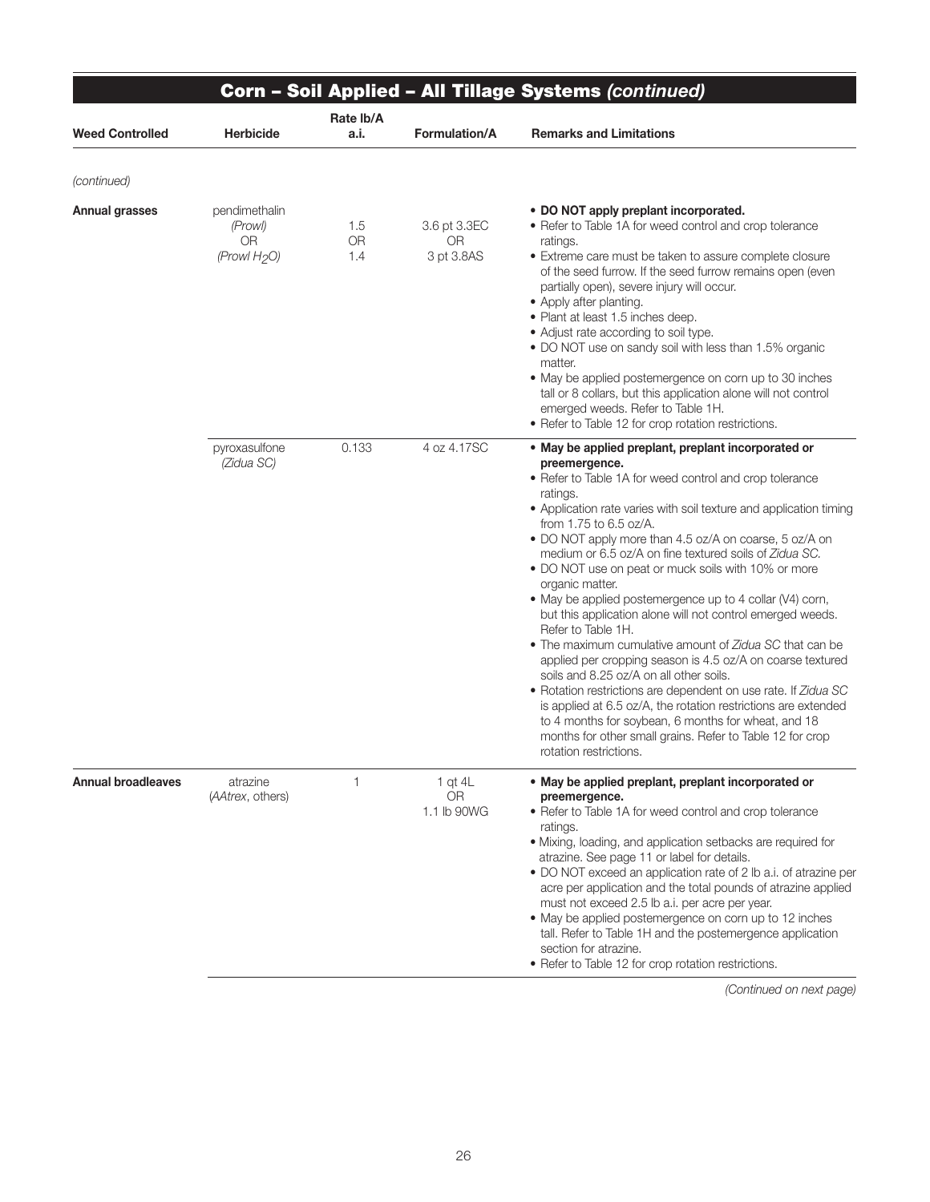|                           |                                                                   |                         |                                       | Corn - Soil Applied - All Tillage Systems (continued)                                                                                                                                                                                                                                                                                                                                                                                                                                                                                                                                                                                                                                                                                                                                                                                                                                                                                                                                                                                           |
|---------------------------|-------------------------------------------------------------------|-------------------------|---------------------------------------|-------------------------------------------------------------------------------------------------------------------------------------------------------------------------------------------------------------------------------------------------------------------------------------------------------------------------------------------------------------------------------------------------------------------------------------------------------------------------------------------------------------------------------------------------------------------------------------------------------------------------------------------------------------------------------------------------------------------------------------------------------------------------------------------------------------------------------------------------------------------------------------------------------------------------------------------------------------------------------------------------------------------------------------------------|
| <b>Weed Controlled</b>    | <b>Herbicide</b>                                                  | Rate Ib/A<br>a.i.       | Formulation/A                         | <b>Remarks and Limitations</b>                                                                                                                                                                                                                                                                                                                                                                                                                                                                                                                                                                                                                                                                                                                                                                                                                                                                                                                                                                                                                  |
| (continued)               |                                                                   |                         |                                       |                                                                                                                                                                                                                                                                                                                                                                                                                                                                                                                                                                                                                                                                                                                                                                                                                                                                                                                                                                                                                                                 |
| Annual grasses            | pendimethalin<br>(Prowl)<br><b>OR</b><br>(Prowl H <sub>2</sub> O) | 1.5<br><b>OR</b><br>1.4 | 3.6 pt 3.3EC<br>0R<br>3 pt 3.8AS      | • DO NOT apply preplant incorporated.<br>• Refer to Table 1A for weed control and crop tolerance<br>ratings.<br>• Extreme care must be taken to assure complete closure<br>of the seed furrow. If the seed furrow remains open (even<br>partially open), severe injury will occur.<br>• Apply after planting.<br>• Plant at least 1.5 inches deep.<br>• Adjust rate according to soil type.<br>• DO NOT use on sandy soil with less than 1.5% organic<br>matter.<br>• May be applied postemergence on corn up to 30 inches<br>tall or 8 collars, but this application alone will not control<br>emerged weeds. Refer to Table 1H.<br>• Refer to Table 12 for crop rotation restrictions.                                                                                                                                                                                                                                                                                                                                                        |
|                           | pyroxasulfone<br>(Zidua SC)                                       | 0.133                   | 4 oz 4.17SC                           | • May be applied preplant, preplant incorporated or<br>preemergence.<br>• Refer to Table 1A for weed control and crop tolerance<br>ratings.<br>• Application rate varies with soil texture and application timing<br>from 1.75 to 6.5 oz/A.<br>• DO NOT apply more than 4.5 oz/A on coarse, 5 oz/A on<br>medium or 6.5 oz/A on fine textured soils of Zidua SC.<br>• DO NOT use on peat or muck soils with 10% or more<br>organic matter.<br>• May be applied postemergence up to 4 collar (V4) corn,<br>but this application alone will not control emerged weeds.<br>Refer to Table 1H.<br>• The maximum cumulative amount of Zidua SC that can be<br>applied per cropping season is 4.5 oz/A on coarse textured<br>soils and 8.25 oz/A on all other soils.<br>• Rotation restrictions are dependent on use rate. If Zidua SC<br>is applied at 6.5 oz/A, the rotation restrictions are extended<br>to 4 months for soybean, 6 months for wheat, and 18<br>months for other small grains. Refer to Table 12 for crop<br>rotation restrictions. |
| <b>Annual broadleaves</b> | atrazine<br>(AAtrex, others)                                      | 1                       | 1 qt $4L$<br><b>OR</b><br>1.1 lb 90WG | • May be applied preplant, preplant incorporated or<br>preemergence.<br>• Refer to Table 1A for weed control and crop tolerance<br>ratings.<br>· Mixing, loading, and application setbacks are required for<br>atrazine. See page 11 or label for details.<br>• DO NOT exceed an application rate of 2 lb a.i. of atrazine per<br>acre per application and the total pounds of atrazine applied<br>must not exceed 2.5 lb a.i. per acre per year.<br>• May be applied postemergence on corn up to 12 inches<br>tall. Refer to Table 1H and the postemergence application<br>section for atrazine.<br>• Refer to Table 12 for crop rotation restrictions.                                                                                                                                                                                                                                                                                                                                                                                        |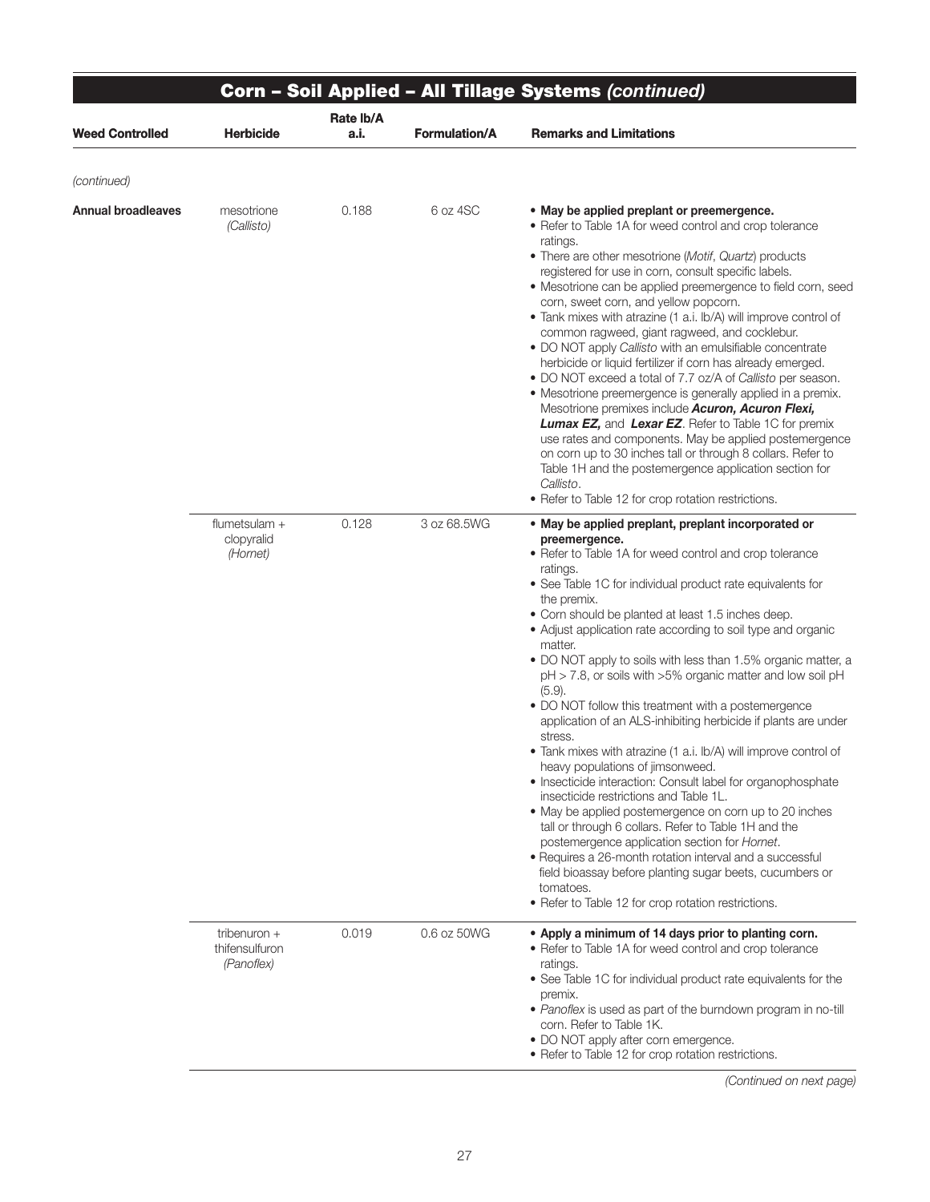|                        |                                                |                   |                      | Corn - Soil Applied - All Tillage Systems (continued)                                                                                                                                                                                                                                                                                                                                                                                                                                                                                                                                                                                                                                                                                                                                                                                                                                                                                                                                                                                                                                                                                                                                                                              |
|------------------------|------------------------------------------------|-------------------|----------------------|------------------------------------------------------------------------------------------------------------------------------------------------------------------------------------------------------------------------------------------------------------------------------------------------------------------------------------------------------------------------------------------------------------------------------------------------------------------------------------------------------------------------------------------------------------------------------------------------------------------------------------------------------------------------------------------------------------------------------------------------------------------------------------------------------------------------------------------------------------------------------------------------------------------------------------------------------------------------------------------------------------------------------------------------------------------------------------------------------------------------------------------------------------------------------------------------------------------------------------|
| <b>Weed Controlled</b> | <b>Herbicide</b>                               | Rate lb/A<br>a.i. | <b>Formulation/A</b> | <b>Remarks and Limitations</b>                                                                                                                                                                                                                                                                                                                                                                                                                                                                                                                                                                                                                                                                                                                                                                                                                                                                                                                                                                                                                                                                                                                                                                                                     |
| (continued)            |                                                |                   |                      |                                                                                                                                                                                                                                                                                                                                                                                                                                                                                                                                                                                                                                                                                                                                                                                                                                                                                                                                                                                                                                                                                                                                                                                                                                    |
| Annual broadleaves     | mesotrione<br>(Callisto)                       | 0.188             | 6 oz 4SC             | . May be applied preplant or preemergence.<br>• Refer to Table 1A for weed control and crop tolerance<br>ratings.<br>• There are other mesotrione (Motif, Quartz) products<br>registered for use in corn, consult specific labels.<br>• Mesotrione can be applied preemergence to field corn, seed<br>corn, sweet corn, and yellow popcorn.<br>• Tank mixes with atrazine (1 a.i. lb/A) will improve control of<br>common ragweed, giant ragweed, and cocklebur.<br>• DO NOT apply Callisto with an emulsifiable concentrate<br>herbicide or liquid fertilizer if corn has already emerged.<br>• DO NOT exceed a total of 7.7 oz/A of Callisto per season.<br>• Mesotrione preemergence is generally applied in a premix.<br>Mesotrione premixes include Acuron, Acuron Flexi,<br>Lumax EZ, and Lexar EZ. Refer to Table 1C for premix<br>use rates and components. May be applied postemergence<br>on corn up to 30 inches tall or through 8 collars. Refer to<br>Table 1H and the postemergence application section for<br>Callisto.<br>• Refer to Table 12 for crop rotation restrictions.                                                                                                                                      |
|                        | flumetsulam +<br>clopyralid<br>(Hornet)        | 0.128             | 3 oz 68.5WG          | • May be applied preplant, preplant incorporated or<br>preemergence.<br>• Refer to Table 1A for weed control and crop tolerance<br>ratings.<br>• See Table 1C for individual product rate equivalents for<br>the premix.<br>• Corn should be planted at least 1.5 inches deep.<br>• Adjust application rate according to soil type and organic<br>matter.<br>• DO NOT apply to soils with less than 1.5% organic matter, a<br>$pH > 7.8$ , or soils with $>5\%$ organic matter and low soil $pH$<br>$(5.9)$ .<br>• DO NOT follow this treatment with a postemergence<br>application of an ALS-inhibiting herbicide if plants are under<br>stress.<br>• Tank mixes with atrazine (1 a.i. lb/A) will improve control of<br>heavy populations of jimsonweed.<br>• Insecticide interaction: Consult label for organophosphate<br>insecticide restrictions and Table 1L.<br>• May be applied postemergence on corn up to 20 inches<br>tall or through 6 collars. Refer to Table 1H and the<br>postemergence application section for Hornet.<br>• Requires a 26-month rotation interval and a successful<br>field bioassay before planting sugar beets, cucumbers or<br>tomatoes.<br>• Refer to Table 12 for crop rotation restrictions. |
|                        | tribenuron $+$<br>thifensulfuron<br>(Panoflex) | 0.019             | 0.6 oz 50WG          | • Apply a minimum of 14 days prior to planting corn.<br>• Refer to Table 1A for weed control and crop tolerance<br>ratings.<br>• See Table 1C for individual product rate equivalents for the<br>premix.<br>• Panoflex is used as part of the burndown program in no-till<br>corn. Refer to Table 1K.<br>• DO NOT apply after corn emergence.<br>• Refer to Table 12 for crop rotation restrictions.                                                                                                                                                                                                                                                                                                                                                                                                                                                                                                                                                                                                                                                                                                                                                                                                                               |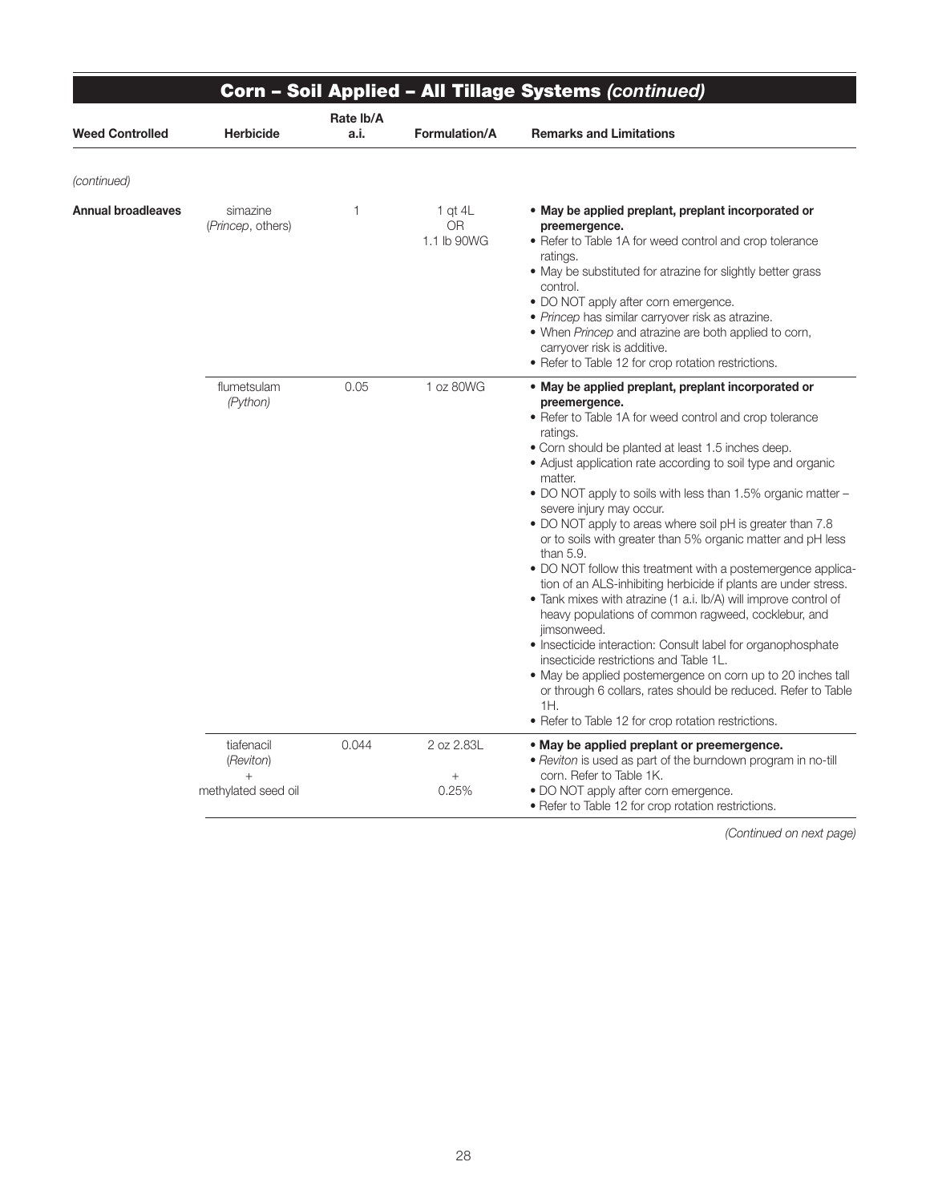|                           |                                                          |                   |                                       | <b>Corn - Soil Applied - All Tillage Systems (continued)</b>                                                                                                                                                                                                                                                                                                                                                                                                                                                                                                                                                                                                                                                                                                                                                                                                                                                                                                                                                                                                                                              |
|---------------------------|----------------------------------------------------------|-------------------|---------------------------------------|-----------------------------------------------------------------------------------------------------------------------------------------------------------------------------------------------------------------------------------------------------------------------------------------------------------------------------------------------------------------------------------------------------------------------------------------------------------------------------------------------------------------------------------------------------------------------------------------------------------------------------------------------------------------------------------------------------------------------------------------------------------------------------------------------------------------------------------------------------------------------------------------------------------------------------------------------------------------------------------------------------------------------------------------------------------------------------------------------------------|
| <b>Weed Controlled</b>    | <b>Herbicide</b>                                         | Rate Ib/A<br>a.i. | <b>Formulation/A</b>                  | <b>Remarks and Limitations</b>                                                                                                                                                                                                                                                                                                                                                                                                                                                                                                                                                                                                                                                                                                                                                                                                                                                                                                                                                                                                                                                                            |
| (continued)               |                                                          |                   |                                       |                                                                                                                                                                                                                                                                                                                                                                                                                                                                                                                                                                                                                                                                                                                                                                                                                                                                                                                                                                                                                                                                                                           |
| <b>Annual broadleaves</b> | simazine<br>(Princep, others)                            | 1                 | 1 at $4L$<br><b>OR</b><br>1.1 lb 90WG | • May be applied preplant, preplant incorporated or<br>preemergence.<br>• Refer to Table 1A for weed control and crop tolerance<br>ratings.<br>• May be substituted for atrazine for slightly better grass<br>control.<br>• DO NOT apply after corn emergence.<br>· Princep has similar carryover risk as atrazine.<br>• When Princep and atrazine are both applied to corn,<br>carryover risk is additive.<br>• Refer to Table 12 for crop rotation restrictions.                                                                                                                                                                                                                                                                                                                                                                                                                                                                                                                                                                                                                                        |
|                           | flumetsulam<br>(Python)                                  | 0.05              | 1 oz 80WG                             | • May be applied preplant, preplant incorporated or<br>preemergence.<br>• Refer to Table 1A for weed control and crop tolerance<br>ratings.<br>• Corn should be planted at least 1.5 inches deep.<br>• Adjust application rate according to soil type and organic<br>matter.<br>• DO NOT apply to soils with less than 1.5% organic matter -<br>severe injury may occur.<br>• DO NOT apply to areas where soil pH is greater than 7.8<br>or to soils with greater than 5% organic matter and pH less<br>than $5.9$ .<br>. DO NOT follow this treatment with a postemergence applica-<br>tion of an ALS-inhibiting herbicide if plants are under stress.<br>• Tank mixes with atrazine (1 a.i. lb/A) will improve control of<br>heavy populations of common ragweed, cocklebur, and<br>jimsonweed.<br>· Insecticide interaction: Consult label for organophosphate<br>insecticide restrictions and Table 1L.<br>• May be applied postemergence on corn up to 20 inches tall<br>or through 6 collars, rates should be reduced. Refer to Table<br>1H.<br>• Refer to Table 12 for crop rotation restrictions. |
|                           | tiafenacil<br>(Reviton)<br>$^{+}$<br>methylated seed oil | 0.044             | 2 oz 2.83L<br>$^{+}$<br>0.25%         | • May be applied preplant or preemergence.<br>. Reviton is used as part of the burndown program in no-till<br>corn. Refer to Table 1K.<br>• DO NOT apply after corn emergence.<br>• Refer to Table 12 for crop rotation restrictions.                                                                                                                                                                                                                                                                                                                                                                                                                                                                                                                                                                                                                                                                                                                                                                                                                                                                     |

┱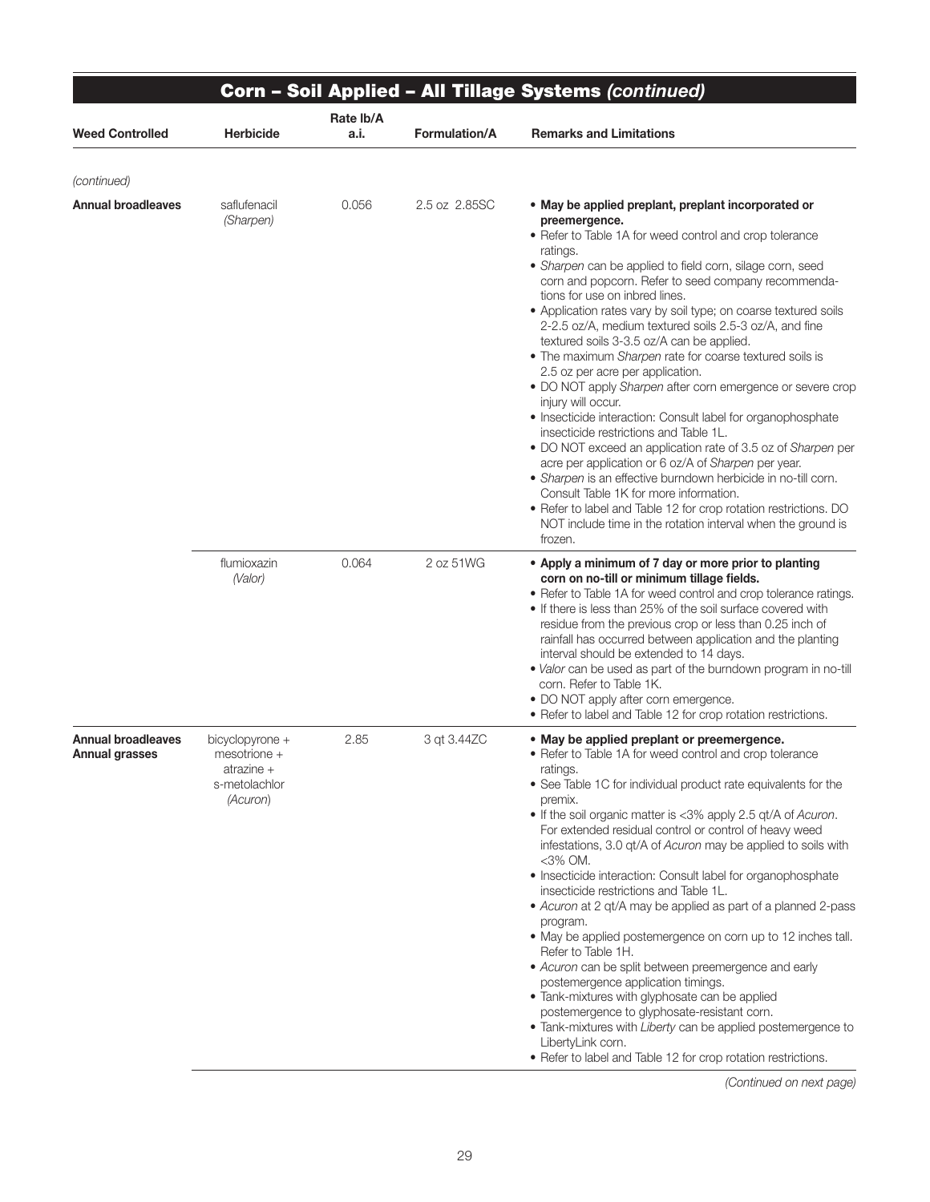|                                             | Corn - Soil Applied - All Tillage Systems (continued)                          |                   |                      |                                                                                                                                                                                                                                                                                                                                                                                                                                                                                                                                                                                                                                                                                                                                                                                                                                                                                                                                                                                                                                                                                                                                                           |  |
|---------------------------------------------|--------------------------------------------------------------------------------|-------------------|----------------------|-----------------------------------------------------------------------------------------------------------------------------------------------------------------------------------------------------------------------------------------------------------------------------------------------------------------------------------------------------------------------------------------------------------------------------------------------------------------------------------------------------------------------------------------------------------------------------------------------------------------------------------------------------------------------------------------------------------------------------------------------------------------------------------------------------------------------------------------------------------------------------------------------------------------------------------------------------------------------------------------------------------------------------------------------------------------------------------------------------------------------------------------------------------|--|
| <b>Weed Controlled</b>                      | <b>Herbicide</b>                                                               | Rate Ib/A<br>a.i. | <b>Formulation/A</b> | <b>Remarks and Limitations</b>                                                                                                                                                                                                                                                                                                                                                                                                                                                                                                                                                                                                                                                                                                                                                                                                                                                                                                                                                                                                                                                                                                                            |  |
| (continued)                                 |                                                                                |                   |                      |                                                                                                                                                                                                                                                                                                                                                                                                                                                                                                                                                                                                                                                                                                                                                                                                                                                                                                                                                                                                                                                                                                                                                           |  |
| <b>Annual broadleaves</b>                   | saflufenacil<br>(Sharpen)                                                      | 0.056             | 2.5 oz 2.85SC        | • May be applied preplant, preplant incorporated or<br>preemergence.<br>• Refer to Table 1A for weed control and crop tolerance<br>ratings.<br>• Sharpen can be applied to field corn, silage corn, seed<br>corn and popcorn. Refer to seed company recommenda-<br>tions for use on inbred lines.<br>• Application rates vary by soil type; on coarse textured soils<br>2-2.5 oz/A, medium textured soils 2.5-3 oz/A, and fine<br>textured soils 3-3.5 oz/A can be applied.<br>• The maximum Sharpen rate for coarse textured soils is<br>2.5 oz per acre per application.<br>• DO NOT apply Sharpen after corn emergence or severe crop<br>injury will occur.<br>• Insecticide interaction: Consult label for organophosphate<br>insecticide restrictions and Table 1L.<br>• DO NOT exceed an application rate of 3.5 oz of Sharpen per<br>acre per application or 6 oz/A of Sharpen per year.<br>• Sharpen is an effective burndown herbicide in no-till corn.<br>Consult Table 1K for more information.<br>• Refer to label and Table 12 for crop rotation restrictions. DO<br>NOT include time in the rotation interval when the ground is<br>frozen. |  |
|                                             | flumioxazin<br>(Valor)                                                         | 0.064             | 2 oz 51WG            | • Apply a minimum of 7 day or more prior to planting<br>corn on no-till or minimum tillage fields.<br>• Refer to Table 1A for weed control and crop tolerance ratings.<br>• If there is less than 25% of the soil surface covered with<br>residue from the previous crop or less than 0.25 inch of<br>rainfall has occurred between application and the planting<br>interval should be extended to 14 days.<br>• Valor can be used as part of the burndown program in no-till<br>corn. Refer to Table 1K.<br>• DO NOT apply after corn emergence.<br>• Refer to label and Table 12 for crop rotation restrictions.                                                                                                                                                                                                                                                                                                                                                                                                                                                                                                                                        |  |
| <b>Annual broadleaves</b><br>Annual grasses | bicyclopyrone +<br>$mesotrione +$<br>atrazine $+$<br>s-metolachlor<br>(Acuron) | 2.85              | 3 gt 3.44ZC          | • May be applied preplant or preemergence.<br>• Refer to Table 1A for weed control and crop tolerance<br>ratings.<br>• See Table 1C for individual product rate equivalents for the<br>premix.<br>• If the soil organic matter is <3% apply 2.5 qt/A of Acuron.<br>For extended residual control or control of heavy weed<br>infestations, 3.0 qt/A of Acuron may be applied to soils with<br><3% OM.<br>• Insecticide interaction: Consult label for organophosphate<br>insecticide restrictions and Table 1L.<br>• Acuron at 2 qt/A may be applied as part of a planned 2-pass<br>program.<br>• May be applied postemergence on corn up to 12 inches tall.<br>Refer to Table 1H.<br>• Acuron can be split between preemergence and early<br>postemergence application timings.<br>• Tank-mixtures with glyphosate can be applied<br>postemergence to glyphosate-resistant corn.<br>• Tank-mixtures with Liberty can be applied postemergence to<br>LibertyLink corn.<br>• Refer to label and Table 12 for crop rotation restrictions.                                                                                                                   |  |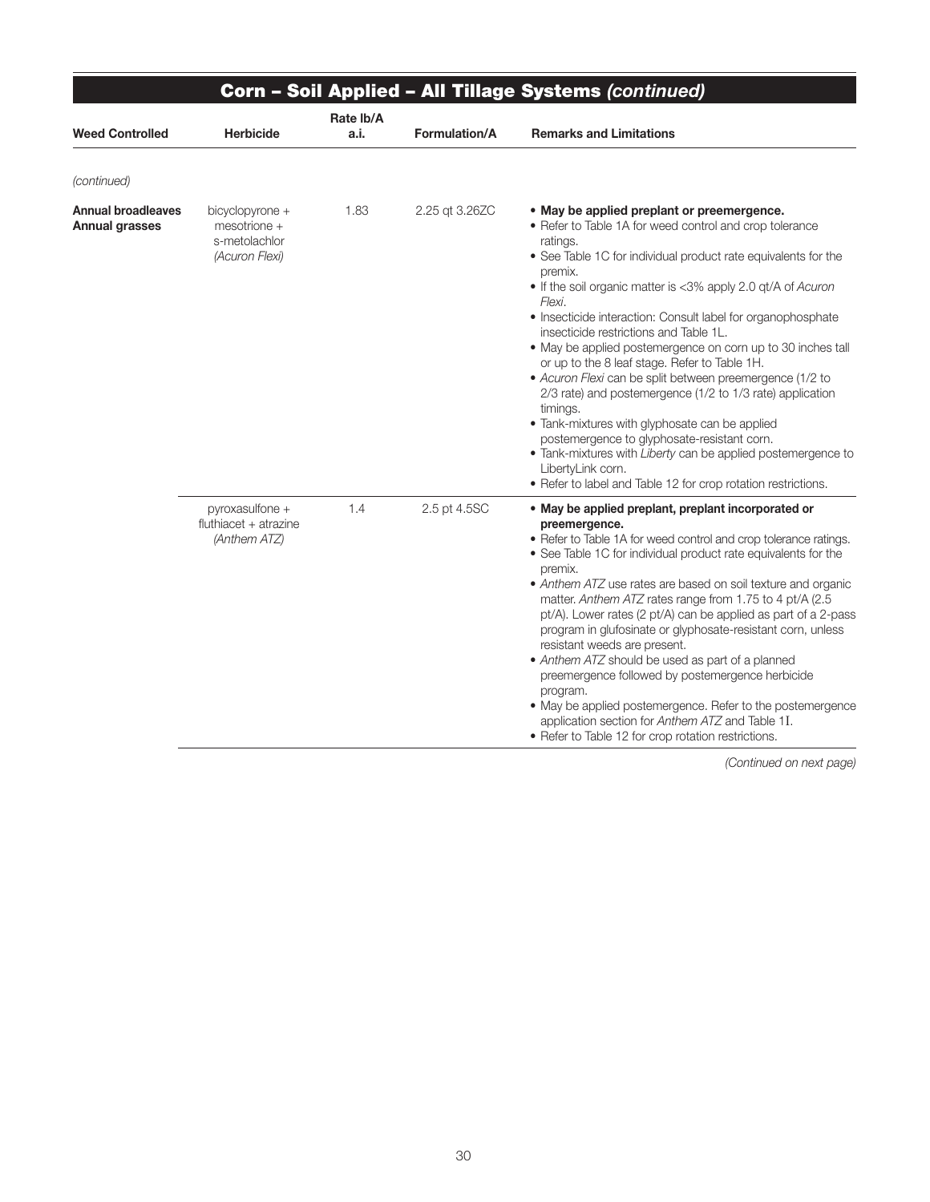| Corn - Soil Applied - All Tillage Systems (continued) |                                                                      |                   |                |                                                                                                                                                                                                                                                                                                                                                                                                                                                                                                                                                                                                                                                                                                                                                                                                                                                                                                |  |
|-------------------------------------------------------|----------------------------------------------------------------------|-------------------|----------------|------------------------------------------------------------------------------------------------------------------------------------------------------------------------------------------------------------------------------------------------------------------------------------------------------------------------------------------------------------------------------------------------------------------------------------------------------------------------------------------------------------------------------------------------------------------------------------------------------------------------------------------------------------------------------------------------------------------------------------------------------------------------------------------------------------------------------------------------------------------------------------------------|--|
| <b>Weed Controlled</b>                                | <b>Herbicide</b>                                                     | Rate Ib/A<br>a.i. | Formulation/A  | <b>Remarks and Limitations</b>                                                                                                                                                                                                                                                                                                                                                                                                                                                                                                                                                                                                                                                                                                                                                                                                                                                                 |  |
| (continued)                                           |                                                                      |                   |                |                                                                                                                                                                                                                                                                                                                                                                                                                                                                                                                                                                                                                                                                                                                                                                                                                                                                                                |  |
| <b>Annual broadleaves</b><br><b>Annual grasses</b>    | bicyclopyrone +<br>$mesotrione +$<br>s-metolachlor<br>(Acuron Flexi) | 1.83              | 2.25 gt 3.26ZC | • May be applied preplant or preemergence.<br>• Refer to Table 1A for weed control and crop tolerance<br>ratings.<br>• See Table 1C for individual product rate equivalents for the<br>premix.<br>• If the soil organic matter is <3% apply 2.0 gt/A of Acuron<br>Flexi.<br>• Insecticide interaction: Consult label for organophosphate<br>insecticide restrictions and Table 1L.<br>• May be applied postemergence on corn up to 30 inches tall<br>or up to the 8 leaf stage. Refer to Table 1H.<br>• Acuron Flexi can be split between preemergence (1/2 to<br>2/3 rate) and postemergence (1/2 to 1/3 rate) application<br>timings.<br>• Tank-mixtures with glyphosate can be applied<br>postemergence to glyphosate-resistant corn.<br>• Tank-mixtures with Liberty can be applied postemergence to<br>LibertyLink corn.<br>• Refer to label and Table 12 for crop rotation restrictions. |  |
|                                                       | pyroxasulfone +<br>fluthiacet + atrazine<br>(Anthem ATZ)             | 1.4               | 2.5 pt 4.5SC   | • May be applied preplant, preplant incorporated or<br>preemergence.<br>• Refer to Table 1A for weed control and crop tolerance ratings.<br>• See Table 1C for individual product rate equivalents for the<br>premix.<br>• Anthem ATZ use rates are based on soil texture and organic<br>matter. Anthem ATZ rates range from 1.75 to 4 pt/A (2.5)<br>pt/A). Lower rates (2 pt/A) can be applied as part of a 2-pass<br>program in glufosinate or glyphosate-resistant corn, unless<br>resistant weeds are present.<br>• Anthem ATZ should be used as part of a planned<br>preemergence followed by postemergence herbicide<br>program.<br>• May be applied postemergence. Refer to the postemergence<br>application section for Anthem ATZ and Table 1I.<br>• Refer to Table 12 for crop rotation restrictions.                                                                                |  |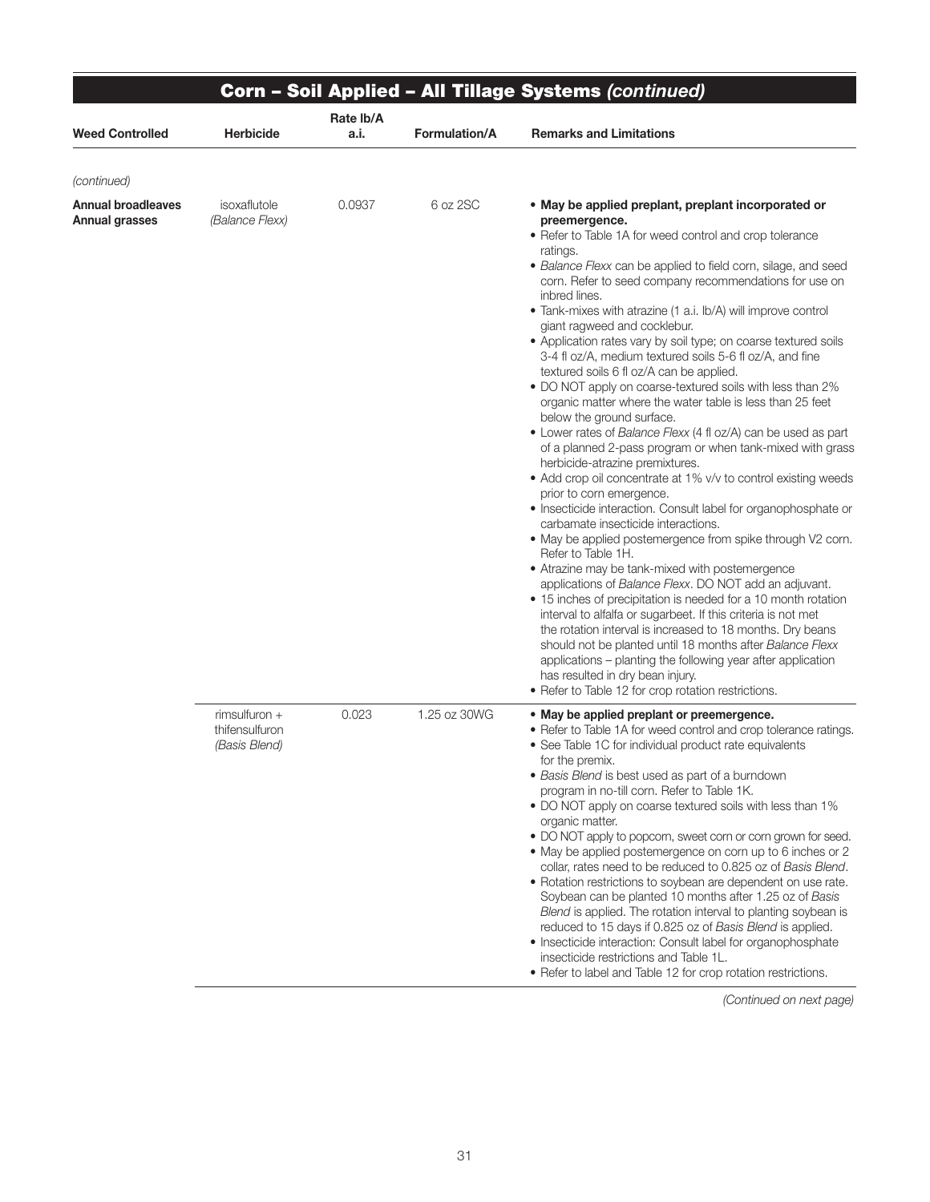|                                      |                                                    | Corn - Soil Applied - All Tillage Systems (continued) |               |                                                                                                                                                                                                                                                                                                                                                                                                                                                                                                                                                                                                                                                                                                                                                                                                                                                                                                                                                                                                                                                                                                                                                                                                                                                                                                                                                                                                                                                                                                                                                                                                                                                                                                                                 |  |  |  |  |
|--------------------------------------|----------------------------------------------------|-------------------------------------------------------|---------------|---------------------------------------------------------------------------------------------------------------------------------------------------------------------------------------------------------------------------------------------------------------------------------------------------------------------------------------------------------------------------------------------------------------------------------------------------------------------------------------------------------------------------------------------------------------------------------------------------------------------------------------------------------------------------------------------------------------------------------------------------------------------------------------------------------------------------------------------------------------------------------------------------------------------------------------------------------------------------------------------------------------------------------------------------------------------------------------------------------------------------------------------------------------------------------------------------------------------------------------------------------------------------------------------------------------------------------------------------------------------------------------------------------------------------------------------------------------------------------------------------------------------------------------------------------------------------------------------------------------------------------------------------------------------------------------------------------------------------------|--|--|--|--|
| <b>Weed Controlled</b>               | Herbicide                                          | Rate lb/A<br>a.i.                                     | Formulation/A | <b>Remarks and Limitations</b>                                                                                                                                                                                                                                                                                                                                                                                                                                                                                                                                                                                                                                                                                                                                                                                                                                                                                                                                                                                                                                                                                                                                                                                                                                                                                                                                                                                                                                                                                                                                                                                                                                                                                                  |  |  |  |  |
| (continued)                          |                                                    |                                                       |               |                                                                                                                                                                                                                                                                                                                                                                                                                                                                                                                                                                                                                                                                                                                                                                                                                                                                                                                                                                                                                                                                                                                                                                                                                                                                                                                                                                                                                                                                                                                                                                                                                                                                                                                                 |  |  |  |  |
| Annual broadleaves<br>Annual grasses | isoxaflutole<br>(Balance Flexx)                    | 0.0937                                                | 6 oz 2SC      | . May be applied preplant, preplant incorporated or<br>preemergence.<br>• Refer to Table 1A for weed control and crop tolerance<br>ratings.<br>• Balance Flexx can be applied to field corn, silage, and seed<br>corn. Refer to seed company recommendations for use on<br>inbred lines.<br>• Tank-mixes with atrazine (1 a.i. lb/A) will improve control<br>giant ragweed and cocklebur.<br>• Application rates vary by soil type; on coarse textured soils<br>3-4 fl oz/A, medium textured soils 5-6 fl oz/A, and fine<br>textured soils 6 fl oz/A can be applied.<br>• DO NOT apply on coarse-textured soils with less than 2%<br>organic matter where the water table is less than 25 feet<br>below the ground surface.<br>• Lower rates of Balance Flexx (4 fl oz/A) can be used as part<br>of a planned 2-pass program or when tank-mixed with grass<br>herbicide-atrazine premixtures.<br>• Add crop oil concentrate at 1% v/v to control existing weeds<br>prior to corn emergence.<br>• Insecticide interaction. Consult label for organophosphate or<br>carbamate insecticide interactions.<br>• May be applied postemergence from spike through V2 corn.<br>Refer to Table 1H.<br>• Atrazine may be tank-mixed with postemergence<br>applications of Balance Flexx. DO NOT add an adjuvant.<br>• 15 inches of precipitation is needed for a 10 month rotation<br>interval to alfalfa or sugarbeet. If this criteria is not met<br>the rotation interval is increased to 18 months. Dry beans<br>should not be planted until 18 months after Balance Flexx<br>applications – planting the following year after application<br>has resulted in dry bean injury.<br>• Refer to Table 12 for crop rotation restrictions. |  |  |  |  |
|                                      | rimsulfuron $+$<br>thifensulfuron<br>(Basis Blend) | 0.023                                                 | 1.25 oz 30WG  | . May be applied preplant or preemergence.<br>• Refer to Table 1A for weed control and crop tolerance ratings.<br>• See Table 1C for individual product rate equivalents<br>for the premix.<br>• Basis Blend is best used as part of a burndown<br>program in no-till corn. Refer to Table 1K.<br>• DO NOT apply on coarse textured soils with less than 1%<br>organic matter.<br>• DO NOT apply to popcorn, sweet corn or corn grown for seed.<br>• May be applied postemergence on corn up to 6 inches or 2<br>collar, rates need to be reduced to 0.825 oz of Basis Blend.<br>• Rotation restrictions to soybean are dependent on use rate.<br>Soybean can be planted 10 months after 1.25 oz of Basis<br>Blend is applied. The rotation interval to planting soybean is<br>reduced to 15 days if 0.825 oz of Basis Blend is applied.<br>• Insecticide interaction: Consult label for organophosphate<br>insecticide restrictions and Table 1L.<br>• Refer to label and Table 12 for crop rotation restrictions.                                                                                                                                                                                                                                                                                                                                                                                                                                                                                                                                                                                                                                                                                                             |  |  |  |  |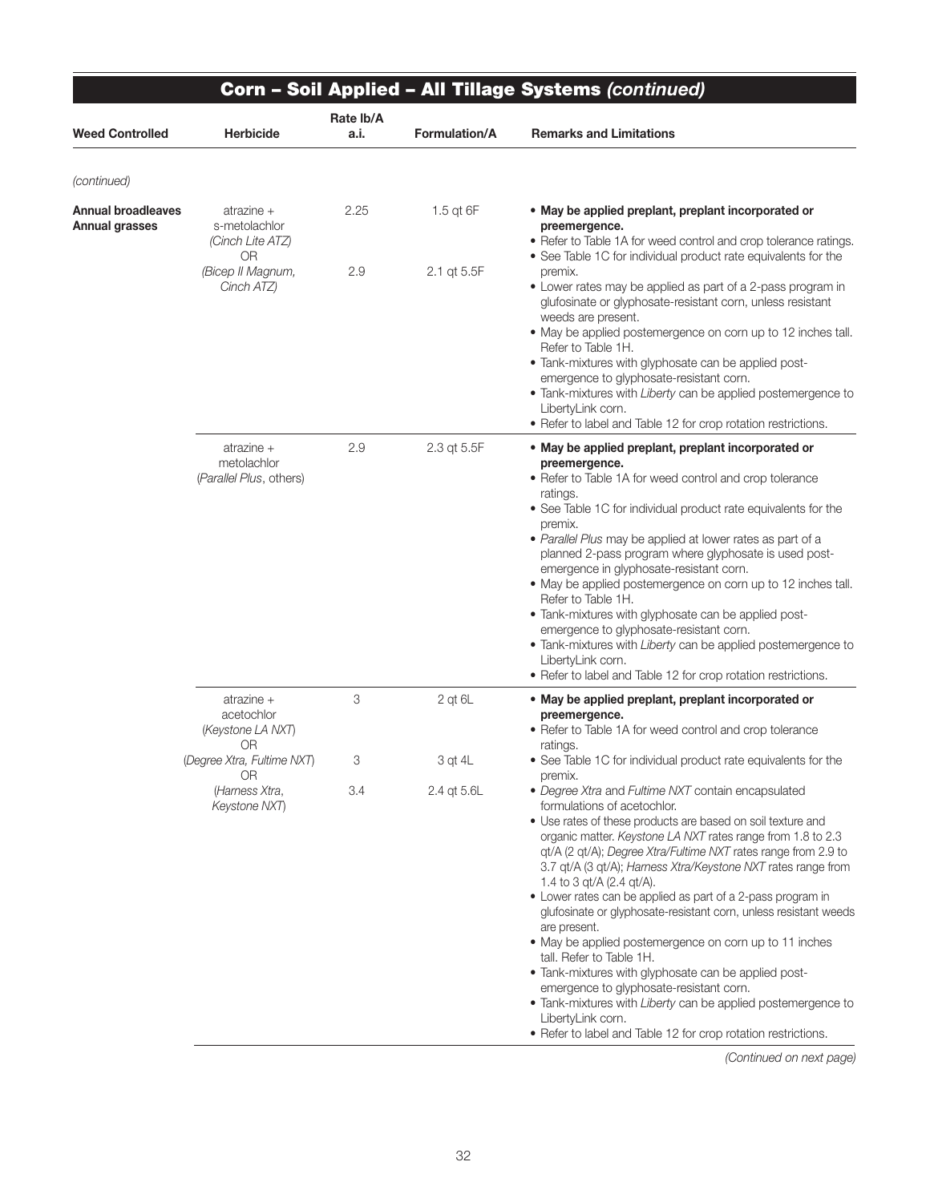| <b>Herbicide</b>                                     | Rate lb/A<br>a.i. |                      |                                                                                                                                                                                                                                                                                                                                                                                                                                                                                                                                                                                                                                                                                                                                                                                                                                                                                   |
|------------------------------------------------------|-------------------|----------------------|-----------------------------------------------------------------------------------------------------------------------------------------------------------------------------------------------------------------------------------------------------------------------------------------------------------------------------------------------------------------------------------------------------------------------------------------------------------------------------------------------------------------------------------------------------------------------------------------------------------------------------------------------------------------------------------------------------------------------------------------------------------------------------------------------------------------------------------------------------------------------------------|
|                                                      |                   | <b>Formulation/A</b> | <b>Remarks and Limitations</b>                                                                                                                                                                                                                                                                                                                                                                                                                                                                                                                                                                                                                                                                                                                                                                                                                                                    |
|                                                      |                   |                      |                                                                                                                                                                                                                                                                                                                                                                                                                                                                                                                                                                                                                                                                                                                                                                                                                                                                                   |
| atrazine +<br>s-metolachlor<br>(Cinch Lite ATZ)      | 2.25              | 1.5 $qt$ 6F          | • May be applied preplant, preplant incorporated or<br>preemergence.<br>• Refer to Table 1A for weed control and crop tolerance ratings.<br>• See Table 1C for individual product rate equivalents for the                                                                                                                                                                                                                                                                                                                                                                                                                                                                                                                                                                                                                                                                        |
| (Bicep II Magnum,<br>Cinch ATZ)                      | 2.9               | 2.1 qt 5.5F          | premix.<br>• Lower rates may be applied as part of a 2-pass program in<br>glufosinate or glyphosate-resistant corn, unless resistant<br>weeds are present.<br>• May be applied postemergence on corn up to 12 inches tall.<br>Refer to Table 1H.<br>• Tank-mixtures with glyphosate can be applied post-<br>emergence to glyphosate-resistant corn.<br>• Tank-mixtures with Liberty can be applied postemergence to<br>LibertyLink corn.<br>• Refer to label and Table 12 for crop rotation restrictions.                                                                                                                                                                                                                                                                                                                                                                         |
| atrazine +<br>metolachlor<br>(Parallel Plus, others) | 2.9               | 2.3 qt 5.5F          | . May be applied preplant, preplant incorporated or<br>preemergence.<br>• Refer to Table 1A for weed control and crop tolerance<br>ratings.<br>• See Table 1C for individual product rate equivalents for the<br>premix.<br>• Parallel Plus may be applied at lower rates as part of a<br>planned 2-pass program where glyphosate is used post-<br>emergence in glyphosate-resistant corn.<br>• May be applied postemergence on corn up to 12 inches tall.<br>Refer to Table 1H.<br>· Tank-mixtures with glyphosate can be applied post-<br>emergence to glyphosate-resistant corn.<br>• Tank-mixtures with Liberty can be applied postemergence to<br>LibertyLink corn.<br>• Refer to label and Table 12 for crop rotation restrictions.                                                                                                                                         |
| atrazine +<br>acetochlor<br>(Keystone LA NXT)        | 3                 | $2$ qt $6L$          | . May be applied preplant, preplant incorporated or<br>preemergence.<br>• Refer to Table 1A for weed control and crop tolerance<br>ratings.                                                                                                                                                                                                                                                                                                                                                                                                                                                                                                                                                                                                                                                                                                                                       |
| (Degree Xtra, Fultime NXT)                           | 3                 | 3 qt 4L              | • See Table 1C for individual product rate equivalents for the<br>premix.                                                                                                                                                                                                                                                                                                                                                                                                                                                                                                                                                                                                                                                                                                                                                                                                         |
| (Harness Xtra,<br>Keystone NXT)                      | 3.4               | 2.4 at 5.6L          | • Degree Xtra and Fultime NXT contain encapsulated<br>formulations of acetochlor.<br>• Use rates of these products are based on soil texture and<br>organic matter. Keystone LA NXT rates range from 1.8 to 2.3<br>qt/A (2 qt/A); Degree Xtra/Fultime NXT rates range from 2.9 to<br>3.7 qt/A (3 qt/A); Harness Xtra/Keystone NXT rates range from<br>1.4 to 3 qt/A (2.4 qt/A).<br>• Lower rates can be applied as part of a 2-pass program in<br>glufosinate or glyphosate-resistant corn, unless resistant weeds<br>are present.<br>• May be applied postemergence on corn up to 11 inches<br>tall. Refer to Table 1H.<br>• Tank-mixtures with glyphosate can be applied post-<br>emergence to glyphosate-resistant corn.<br>• Tank-mixtures with Liberty can be applied postemergence to<br>LibertyLink corn.<br>• Refer to label and Table 12 for crop rotation restrictions. |
|                                                      | 0R<br>0R<br>OR    |                      |                                                                                                                                                                                                                                                                                                                                                                                                                                                                                                                                                                                                                                                                                                                                                                                                                                                                                   |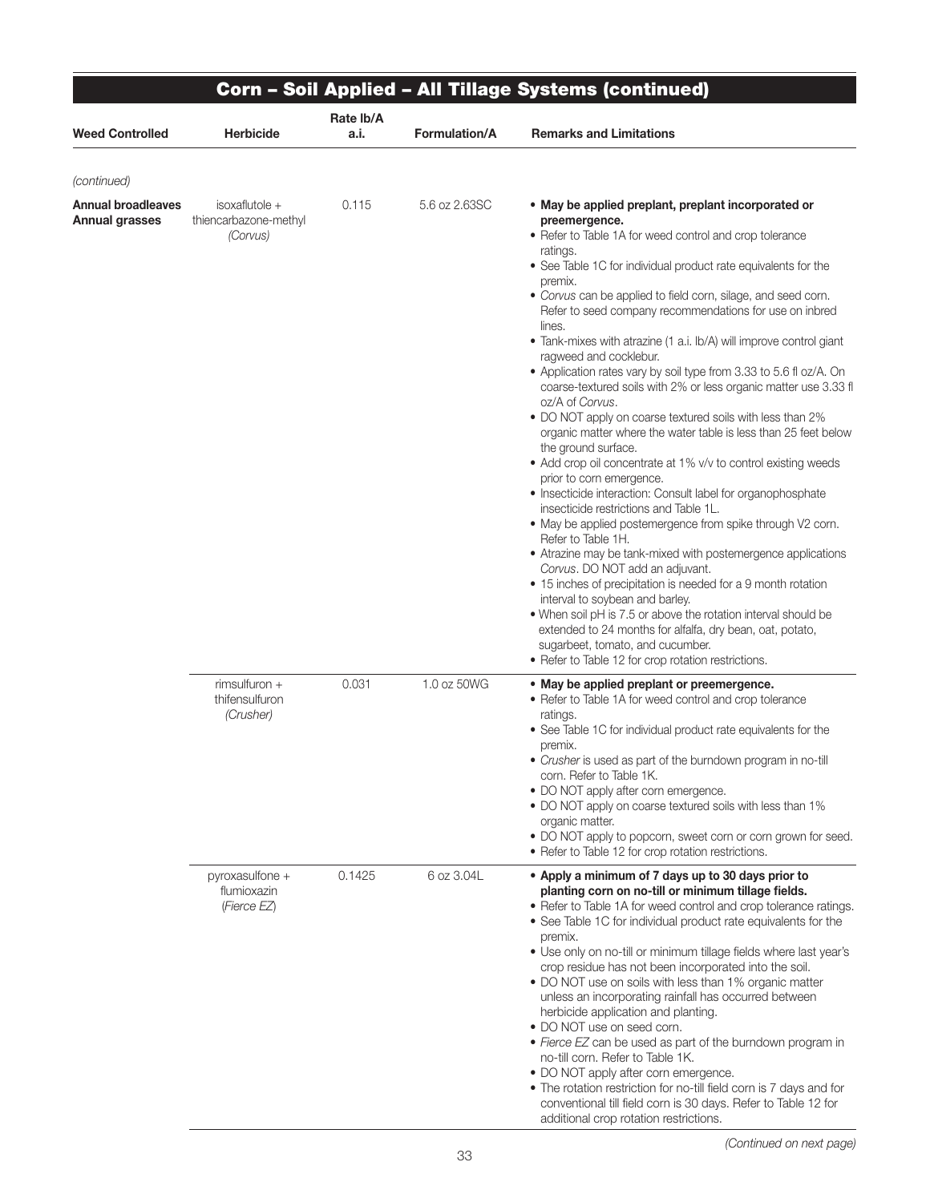|                                      |                                                       |                   |                      | Corn - Soil Applied - All Tillage Systems (continued)                                                                                                                                                                                                                                                                                                                                                                                                                                                                                                                                                                                                                                                                                                                                                                                                                                                                                                                                                                                                                                                                                                                                                                                                                                                                                                                                                                                                                                                            |
|--------------------------------------|-------------------------------------------------------|-------------------|----------------------|------------------------------------------------------------------------------------------------------------------------------------------------------------------------------------------------------------------------------------------------------------------------------------------------------------------------------------------------------------------------------------------------------------------------------------------------------------------------------------------------------------------------------------------------------------------------------------------------------------------------------------------------------------------------------------------------------------------------------------------------------------------------------------------------------------------------------------------------------------------------------------------------------------------------------------------------------------------------------------------------------------------------------------------------------------------------------------------------------------------------------------------------------------------------------------------------------------------------------------------------------------------------------------------------------------------------------------------------------------------------------------------------------------------------------------------------------------------------------------------------------------------|
| Weed Controlled                      | <b>Herbicide</b>                                      | Rate lb/A<br>a.i. | <b>Formulation/A</b> | <b>Remarks and Limitations</b>                                                                                                                                                                                                                                                                                                                                                                                                                                                                                                                                                                                                                                                                                                                                                                                                                                                                                                                                                                                                                                                                                                                                                                                                                                                                                                                                                                                                                                                                                   |
| (continued)                          |                                                       |                   |                      |                                                                                                                                                                                                                                                                                                                                                                                                                                                                                                                                                                                                                                                                                                                                                                                                                                                                                                                                                                                                                                                                                                                                                                                                                                                                                                                                                                                                                                                                                                                  |
| Annual broadleaves<br>Annual grasses | $isoxaflutole +$<br>thiencarbazone-methyl<br>(Corvus) | 0.115             | 5.6 oz 2.63SC        | • May be applied preplant, preplant incorporated or<br>preemergence.<br>• Refer to Table 1A for weed control and crop tolerance<br>ratings.<br>• See Table 1C for individual product rate equivalents for the<br>premix.<br>• Corvus can be applied to field corn, silage, and seed corn.<br>Refer to seed company recommendations for use on inbred<br>lines.<br>• Tank-mixes with atrazine (1 a.i. lb/A) will improve control giant<br>ragweed and cocklebur.<br>• Application rates vary by soil type from 3.33 to 5.6 fl oz/A. On<br>coarse-textured soils with 2% or less organic matter use 3.33 fl<br>oz/A of Corvus.<br>• DO NOT apply on coarse textured soils with less than 2%<br>organic matter where the water table is less than 25 feet below<br>the ground surface.<br>• Add crop oil concentrate at 1% v/v to control existing weeds<br>prior to corn emergence.<br>• Insecticide interaction: Consult label for organophosphate<br>insecticide restrictions and Table 1L.<br>• May be applied postemergence from spike through V2 corn.<br>Refer to Table 1H.<br>• Atrazine may be tank-mixed with postemergence applications<br>Corvus. DO NOT add an adjuvant.<br>• 15 inches of precipitation is needed for a 9 month rotation<br>interval to soybean and barley.<br>. When soil pH is 7.5 or above the rotation interval should be<br>extended to 24 months for alfalfa, dry bean, oat, potato,<br>sugarbeet, tomato, and cucumber.<br>• Refer to Table 12 for crop rotation restrictions. |
|                                      | rimsulfuron +<br>thifensulfuron<br>(Crusher)          | 0.031             | 1.0 oz 50WG          | • May be applied preplant or preemergence.<br>• Refer to Table 1A for weed control and crop tolerance<br>ratings.<br>• See Table 1C for individual product rate equivalents for the<br>premix.<br>• Crusher is used as part of the burndown program in no-till<br>corn. Refer to Table 1K.<br>· DO NOT apply after corn emergence.<br>• DO NOT apply on coarse textured soils with less than 1%<br>organic matter.<br>• DO NOT apply to popcorn, sweet corn or corn grown for seed.<br>• Refer to Table 12 for crop rotation restrictions.                                                                                                                                                                                                                                                                                                                                                                                                                                                                                                                                                                                                                                                                                                                                                                                                                                                                                                                                                                       |
|                                      | $pyroxasulfone +$<br>flumioxazin<br>(Fierce EZ)       | 0.1425            | 6 oz 3.04L           | • Apply a minimum of 7 days up to 30 days prior to<br>planting corn on no-till or minimum tillage fields.<br>• Refer to Table 1A for weed control and crop tolerance ratings.<br>• See Table 1C for individual product rate equivalents for the<br>premix.<br>• Use only on no-till or minimum tillage fields where last year's<br>crop residue has not been incorporated into the soil.<br>• DO NOT use on soils with less than 1% organic matter<br>unless an incorporating rainfall has occurred between<br>herbicide application and planting.<br>• DO NOT use on seed corn.<br>• Fierce EZ can be used as part of the burndown program in<br>no-till corn. Refer to Table 1K.<br>• DO NOT apply after corn emergence.<br>. The rotation restriction for no-till field corn is 7 days and for<br>conventional till field corn is 30 days. Refer to Table 12 for<br>additional crop rotation restrictions.                                                                                                                                                                                                                                                                                                                                                                                                                                                                                                                                                                                                    |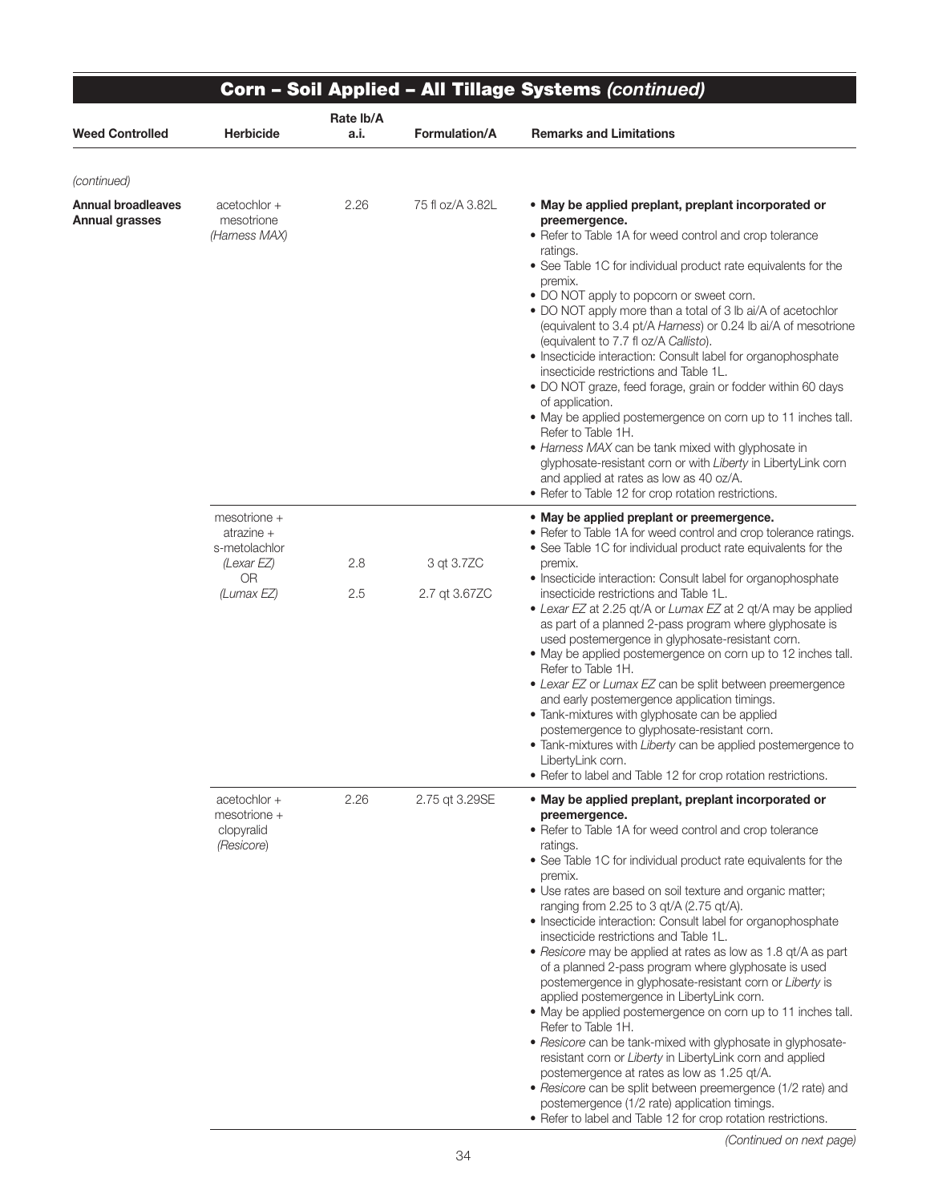|                                                    |                                                          |                   |                  | <b>Corn - Soil Applied - All Tillage Systems (continued)</b>                                                                                                                                                                                                                                                                                                                                                                                                                                                                                                                                                                                                                                                                                                                                                                                                                                                                                                                                                                                                                                                                     |
|----------------------------------------------------|----------------------------------------------------------|-------------------|------------------|----------------------------------------------------------------------------------------------------------------------------------------------------------------------------------------------------------------------------------------------------------------------------------------------------------------------------------------------------------------------------------------------------------------------------------------------------------------------------------------------------------------------------------------------------------------------------------------------------------------------------------------------------------------------------------------------------------------------------------------------------------------------------------------------------------------------------------------------------------------------------------------------------------------------------------------------------------------------------------------------------------------------------------------------------------------------------------------------------------------------------------|
| <b>Weed Controlled</b>                             | <b>Herbicide</b>                                         | Rate lb/A<br>a.i. | Formulation/A    | <b>Remarks and Limitations</b>                                                                                                                                                                                                                                                                                                                                                                                                                                                                                                                                                                                                                                                                                                                                                                                                                                                                                                                                                                                                                                                                                                   |
| (continued)                                        |                                                          |                   |                  |                                                                                                                                                                                                                                                                                                                                                                                                                                                                                                                                                                                                                                                                                                                                                                                                                                                                                                                                                                                                                                                                                                                                  |
| <b>Annual broadleaves</b><br><b>Annual grasses</b> | acetochlor +<br>mesotrione<br>(Harness MAX)              | 2.26              | 75 fl oz/A 3.82L | . May be applied preplant, preplant incorporated or<br>preemergence.<br>• Refer to Table 1A for weed control and crop tolerance<br>ratings.<br>• See Table 1C for individual product rate equivalents for the<br>premix.<br>• DO NOT apply to popcorn or sweet corn.<br>• DO NOT apply more than a total of 3 lb ai/A of acetochlor<br>(equivalent to 3.4 pt/A Harness) or 0.24 lb ai/A of mesotrione<br>(equivalent to 7.7 fl oz/A Callisto).<br>• Insecticide interaction: Consult label for organophosphate<br>insecticide restrictions and Table 1L.<br>• DO NOT graze, feed forage, grain or fodder within 60 days<br>of application.<br>• May be applied postemergence on corn up to 11 inches tall.<br>Refer to Table 1H.<br>• Harness MAX can be tank mixed with glyphosate in<br>glyphosate-resistant corn or with Liberty in LibertyLink corn<br>and applied at rates as low as 40 oz/A.<br>• Refer to Table 12 for crop rotation restrictions.                                                                                                                                                                        |
|                                                    | mesotrione +<br>atrazine +<br>s-metolachlor              |                   |                  | . May be applied preplant or preemergence.<br>• Refer to Table 1A for weed control and crop tolerance ratings.<br>• See Table 1C for individual product rate equivalents for the                                                                                                                                                                                                                                                                                                                                                                                                                                                                                                                                                                                                                                                                                                                                                                                                                                                                                                                                                 |
|                                                    | (Lexar EZ)<br><b>OR</b>                                  | 2.8               | 3 qt 3.7ZC       | premix.<br>• Insecticide interaction: Consult label for organophosphate                                                                                                                                                                                                                                                                                                                                                                                                                                                                                                                                                                                                                                                                                                                                                                                                                                                                                                                                                                                                                                                          |
|                                                    | (Lumax EZ)                                               | 2.5               | 2.7 qt 3.67ZC    | insecticide restrictions and Table 1L.<br>• Lexar EZ at 2.25 qt/A or Lumax EZ at 2 qt/A may be applied<br>as part of a planned 2-pass program where glyphosate is<br>used postemergence in glyphosate-resistant corn.<br>• May be applied postemergence on corn up to 12 inches tall.<br>Refer to Table 1H.<br>• Lexar EZ or Lumax EZ can be split between preemergence<br>and early postemergence application timings.<br>• Tank-mixtures with glyphosate can be applied<br>postemergence to glyphosate-resistant corn.<br>• Tank-mixtures with Liberty can be applied postemergence to<br>LibertyLink corn.<br>• Refer to label and Table 12 for crop rotation restrictions.                                                                                                                                                                                                                                                                                                                                                                                                                                                   |
|                                                    | acetochlor +<br>mesotrione +<br>clopyralid<br>(Resicore) | 2.26              | 2.75 gt 3.29SE   | . May be applied preplant, preplant incorporated or<br>preemergence.<br>• Refer to Table 1A for weed control and crop tolerance<br>ratings.<br>• See Table 1C for individual product rate equivalents for the<br>premix.<br>• Use rates are based on soil texture and organic matter;<br>ranging from 2.25 to 3 qt/A (2.75 qt/A).<br>• Insecticide interaction: Consult label for organophosphate<br>insecticide restrictions and Table 1L.<br>• Resicore may be applied at rates as low as 1.8 qt/A as part<br>of a planned 2-pass program where glyphosate is used<br>postemergence in glyphosate-resistant corn or Liberty is<br>applied postemergence in LibertyLink corn.<br>• May be applied postemergence on corn up to 11 inches tall.<br>Refer to Table 1H.<br>• Resicore can be tank-mixed with glyphosate in glyphosate-<br>resistant corn or Liberty in LibertyLink corn and applied<br>postemergence at rates as low as 1.25 qt/A.<br>• Resicore can be split between preemergence (1/2 rate) and<br>postemergence (1/2 rate) application timings.<br>• Refer to label and Table 12 for crop rotation restrictions. |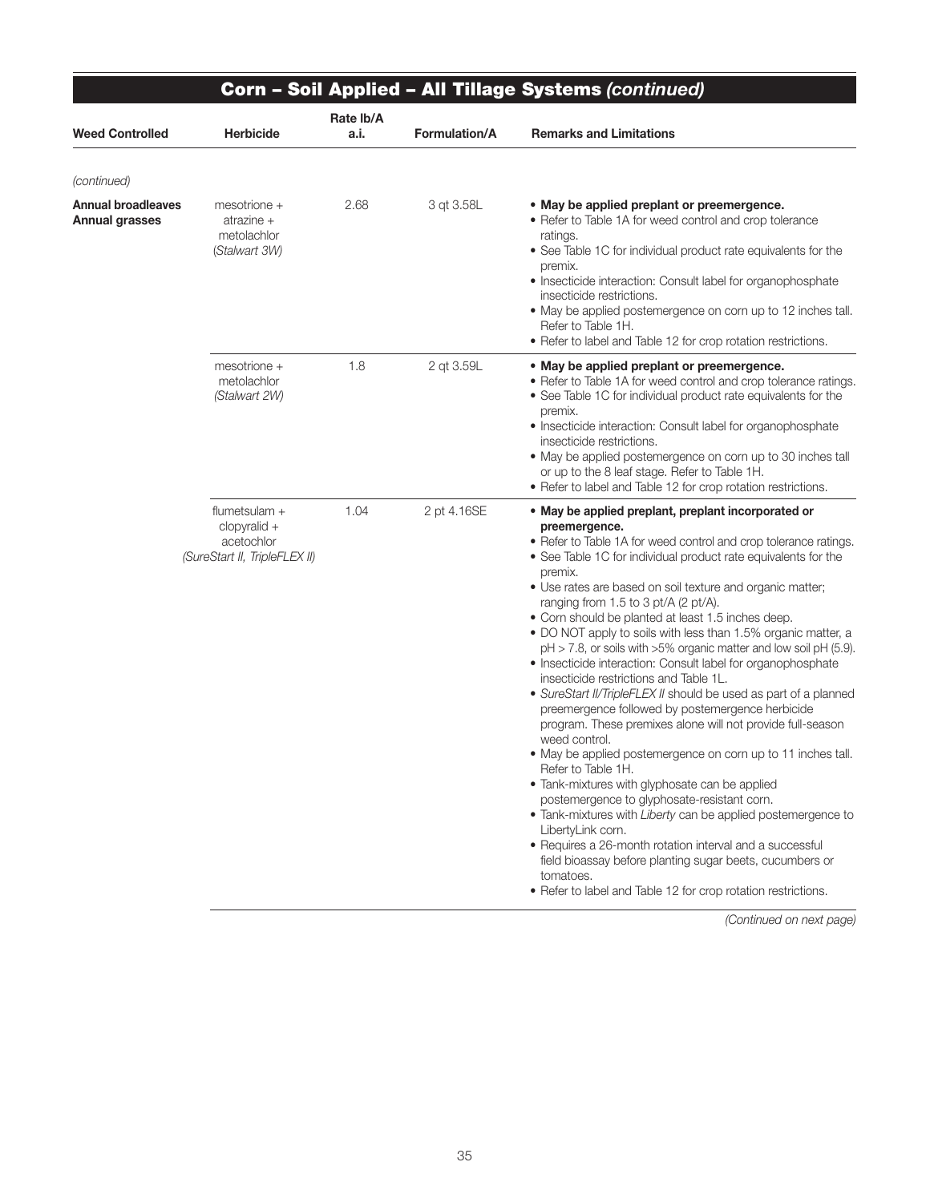|                                             |                                                                                |                   |                      | Corn - Soil Applied - All Tillage Systems (continued)                                                                                                                                                                                                                                                                                                                                                                                                                                                                                                                                                                                                                                                                                                                                                                                                                                                                                                                                                                                                                                                                                                                                                                                                                                                                             |
|---------------------------------------------|--------------------------------------------------------------------------------|-------------------|----------------------|-----------------------------------------------------------------------------------------------------------------------------------------------------------------------------------------------------------------------------------------------------------------------------------------------------------------------------------------------------------------------------------------------------------------------------------------------------------------------------------------------------------------------------------------------------------------------------------------------------------------------------------------------------------------------------------------------------------------------------------------------------------------------------------------------------------------------------------------------------------------------------------------------------------------------------------------------------------------------------------------------------------------------------------------------------------------------------------------------------------------------------------------------------------------------------------------------------------------------------------------------------------------------------------------------------------------------------------|
| <b>Weed Controlled</b>                      | <b>Herbicide</b>                                                               | Rate lb/A<br>a.i. | <b>Formulation/A</b> | <b>Remarks and Limitations</b>                                                                                                                                                                                                                                                                                                                                                                                                                                                                                                                                                                                                                                                                                                                                                                                                                                                                                                                                                                                                                                                                                                                                                                                                                                                                                                    |
| (continued)                                 |                                                                                |                   |                      |                                                                                                                                                                                                                                                                                                                                                                                                                                                                                                                                                                                                                                                                                                                                                                                                                                                                                                                                                                                                                                                                                                                                                                                                                                                                                                                                   |
| <b>Annual broadleaves</b><br>Annual grasses | $mesotrione +$<br>atrazine $+$<br>metolachlor<br>(Stalwart 3W)                 | 2.68              | 3 gt 3.58L           | • May be applied preplant or preemergence.<br>• Refer to Table 1A for weed control and crop tolerance<br>ratings.<br>• See Table 1C for individual product rate equivalents for the<br>premix.<br>• Insecticide interaction: Consult label for organophosphate<br>insecticide restrictions.<br>• May be applied postemergence on corn up to 12 inches tall.<br>Refer to Table 1H.<br>• Refer to label and Table 12 for crop rotation restrictions.                                                                                                                                                                                                                                                                                                                                                                                                                                                                                                                                                                                                                                                                                                                                                                                                                                                                                |
|                                             | $mesotrione +$<br>metolachlor<br>(Stalwart 2W)                                 | 1.8               | 2 qt 3.59L           | • May be applied preplant or preemergence.<br>• Refer to Table 1A for weed control and crop tolerance ratings.<br>• See Table 1C for individual product rate equivalents for the<br>premix.<br>• Insecticide interaction: Consult label for organophosphate<br>insecticide restrictions.<br>• May be applied postemergence on corn up to 30 inches tall<br>or up to the 8 leaf stage. Refer to Table 1H.<br>• Refer to label and Table 12 for crop rotation restrictions.                                                                                                                                                                                                                                                                                                                                                                                                                                                                                                                                                                                                                                                                                                                                                                                                                                                         |
|                                             | flumetsulam +<br>$clopyralid +$<br>acetochlor<br>(SureStart II, TripleFLEX II) | 1.04              | 2 pt 4.16SE          | • May be applied preplant, preplant incorporated or<br>preemergence.<br>• Refer to Table 1A for weed control and crop tolerance ratings.<br>• See Table 1C for individual product rate equivalents for the<br>premix.<br>• Use rates are based on soil texture and organic matter;<br>ranging from 1.5 to 3 pt/A (2 pt/A).<br>• Corn should be planted at least 1.5 inches deep.<br>• DO NOT apply to soils with less than 1.5% organic matter, a<br>$pH > 7.8$ , or soils with $>5\%$ organic matter and low soil $pH$ (5.9).<br>• Insecticide interaction: Consult label for organophosphate<br>insecticide restrictions and Table 1L.<br>• SureStart II/TripleFLEX II should be used as part of a planned<br>preemergence followed by postemergence herbicide<br>program. These premixes alone will not provide full-season<br>weed control.<br>• May be applied postemergence on corn up to 11 inches tall.<br>Refer to Table 1H.<br>• Tank-mixtures with glyphosate can be applied<br>postemergence to glyphosate-resistant corn.<br>• Tank-mixtures with Liberty can be applied postemergence to<br>LibertyLink corn.<br>• Requires a 26-month rotation interval and a successful<br>field bioassay before planting sugar beets, cucumbers or<br>tomatoes.<br>• Refer to label and Table 12 for crop rotation restrictions. |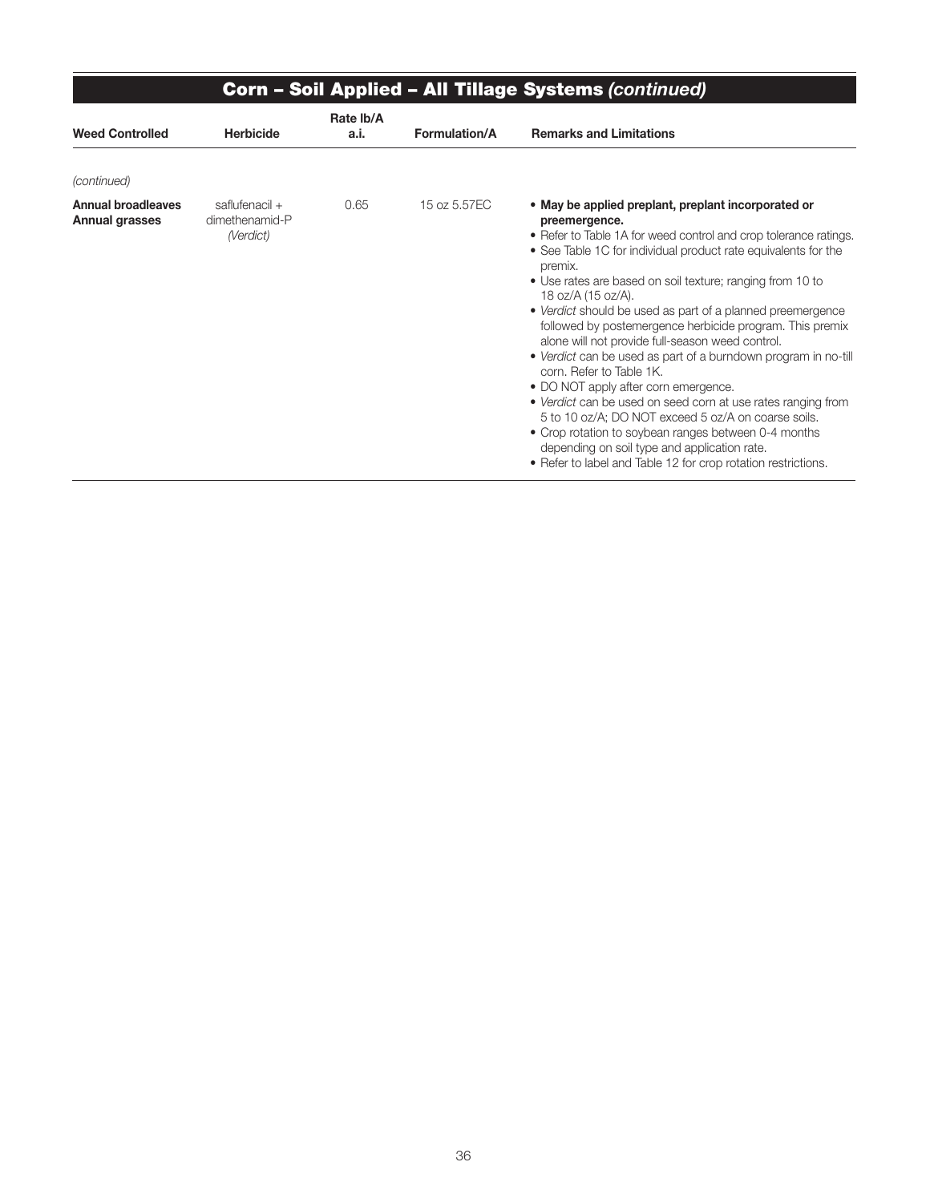|                                                    | <b>Corn - Soil Applied - All Tillage Systems (continued)</b> |                   |                      |                                                                                                                                                                                                                                                                                                                                                                                                                                                                                                                                                                                                                                                                                                                                                                                                                                                                                                                              |  |  |  |
|----------------------------------------------------|--------------------------------------------------------------|-------------------|----------------------|------------------------------------------------------------------------------------------------------------------------------------------------------------------------------------------------------------------------------------------------------------------------------------------------------------------------------------------------------------------------------------------------------------------------------------------------------------------------------------------------------------------------------------------------------------------------------------------------------------------------------------------------------------------------------------------------------------------------------------------------------------------------------------------------------------------------------------------------------------------------------------------------------------------------------|--|--|--|
| <b>Weed Controlled</b>                             | <b>Herbicide</b>                                             | Rate Ib/A<br>a.i. | <b>Formulation/A</b> | <b>Remarks and Limitations</b>                                                                                                                                                                                                                                                                                                                                                                                                                                                                                                                                                                                                                                                                                                                                                                                                                                                                                               |  |  |  |
| (continued)                                        |                                                              |                   |                      |                                                                                                                                                                                                                                                                                                                                                                                                                                                                                                                                                                                                                                                                                                                                                                                                                                                                                                                              |  |  |  |
| <b>Annual broadleaves</b><br><b>Annual grasses</b> | saflufenacil +<br>dimethenamid-P<br>(Verdict)                | 0.65              | 15 oz 5.57EC         | • May be applied preplant, preplant incorporated or<br>preemergence.<br>• Refer to Table 1A for weed control and crop tolerance ratings.<br>• See Table 1C for individual product rate equivalents for the<br>premix.<br>• Use rates are based on soil texture; ranging from 10 to<br>18 oz/A (15 oz/A).<br>• Verdict should be used as part of a planned preemergence<br>followed by postemergence herbicide program. This premix<br>alone will not provide full-season weed control.<br>• Verdict can be used as part of a burndown program in no-till<br>corn. Refer to Table 1K.<br>• DO NOT apply after corn emergence.<br>• Verdict can be used on seed corn at use rates ranging from<br>5 to 10 oz/A; DO NOT exceed 5 oz/A on coarse soils.<br>• Crop rotation to soybean ranges between 0-4 months<br>depending on soil type and application rate.<br>• Refer to label and Table 12 for crop rotation restrictions. |  |  |  |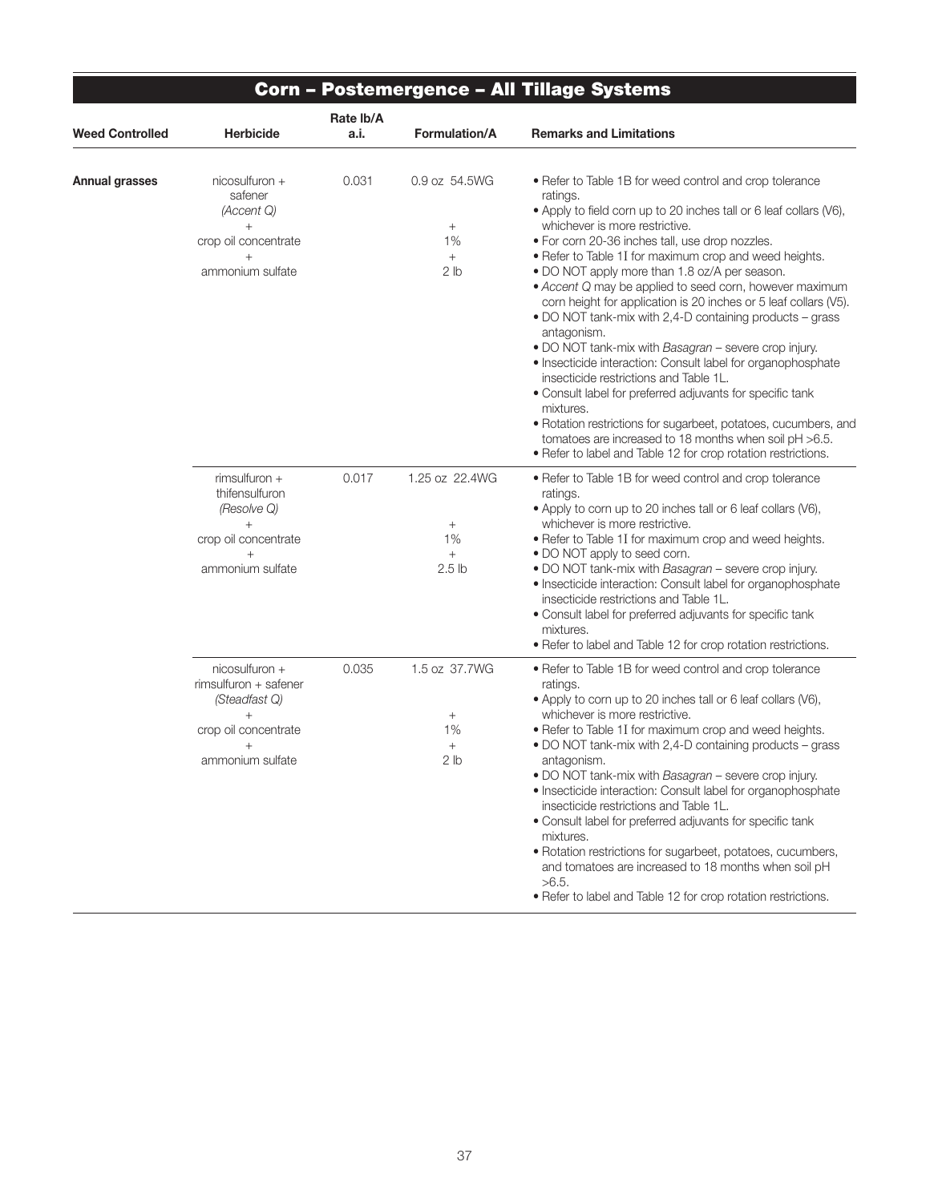| Weed Controlled | Herbicide                                                                                                             | Rate lb/A<br>a.i. | Formulation/A                                                          | <b>Remarks and Limitations</b>                                                                                                                                                                                                                                                                                                                                                                                                                                                                                                                                                                                                                                                                                                                                                                                                                                                                                                                                                                 |
|-----------------|-----------------------------------------------------------------------------------------------------------------------|-------------------|------------------------------------------------------------------------|------------------------------------------------------------------------------------------------------------------------------------------------------------------------------------------------------------------------------------------------------------------------------------------------------------------------------------------------------------------------------------------------------------------------------------------------------------------------------------------------------------------------------------------------------------------------------------------------------------------------------------------------------------------------------------------------------------------------------------------------------------------------------------------------------------------------------------------------------------------------------------------------------------------------------------------------------------------------------------------------|
| Annual grasses  | nicosulfuron +<br>safener<br>(Accent Q)<br>$+$<br>crop oil concentrate<br>ammonium sulfate                            | 0.031             | 0.9 oz 54.5WG<br>$\! + \!\!\!\!$<br>1%<br>$^{+}$<br>2 lb               | • Refer to Table 1B for weed control and crop tolerance<br>ratings.<br>• Apply to field corn up to 20 inches tall or 6 leaf collars (V6),<br>whichever is more restrictive.<br>. For corn 20-36 inches tall, use drop nozzles.<br>• Refer to Table 1I for maximum crop and weed heights.<br>• DO NOT apply more than 1.8 oz/A per season.<br>• Accent Q may be applied to seed corn, however maximum<br>corn height for application is 20 inches or 5 leaf collars (V5).<br>• DO NOT tank-mix with 2,4-D containing products – grass<br>antagonism.<br>. DO NOT tank-mix with Basagran - severe crop injury.<br>• Insecticide interaction: Consult label for organophosphate<br>insecticide restrictions and Table 1L.<br>• Consult label for preferred adjuvants for specific tank<br>mixtures.<br>• Rotation restrictions for sugarbeet, potatoes, cucumbers, and<br>tomatoes are increased to 18 months when soil pH >6.5.<br>• Refer to label and Table 12 for crop rotation restrictions. |
|                 | rimsulfuron +<br>thifensulfuron<br>(Resolve Q)<br>$+$<br>crop oil concentrate<br>$+$<br>ammonium sulfate              | 0.017             | 1.25 oz 22.4WG<br>$\! + \!\!\!\!$<br>1%<br>$^{+}$<br>2.5 <sub>lb</sub> | • Refer to Table 1B for weed control and crop tolerance<br>ratings.<br>• Apply to corn up to 20 inches tall or 6 leaf collars (V6),<br>whichever is more restrictive.<br>• Refer to Table 1I for maximum crop and weed heights.<br>• DO NOT apply to seed corn.<br>. DO NOT tank-mix with Basagran - severe crop injury.<br>• Insecticide interaction: Consult label for organophosphate<br>insecticide restrictions and Table 1L.<br>• Consult label for preferred adjuvants for specific tank<br>mixtures.<br>• Refer to label and Table 12 for crop rotation restrictions.                                                                                                                                                                                                                                                                                                                                                                                                                  |
|                 | nicosulfuron +<br>rimsulfuron + safener<br>(Steadfast Q)<br>$^{+}$<br>crop oil concentrate<br>$+$<br>ammonium sulfate | 0.035             | 1.5 oz 37.7WG<br>$^{+}$<br>1%<br>$+$<br>2 lb                           | • Refer to Table 1B for weed control and crop tolerance<br>ratings.<br>• Apply to corn up to 20 inches tall or 6 leaf collars (V6),<br>whichever is more restrictive.<br>• Refer to Table 1I for maximum crop and weed heights.<br>• DO NOT tank-mix with 2,4-D containing products - grass<br>antagonism.<br>. DO NOT tank-mix with Basagran - severe crop injury.<br>• Insecticide interaction: Consult label for organophosphate<br>insecticide restrictions and Table 1L.<br>• Consult label for preferred adjuvants for specific tank<br>mixtures.<br>• Rotation restrictions for sugarbeet, potatoes, cucumbers,<br>and tomatoes are increased to 18 months when soil pH<br>$>6.5$ .<br>. Refer to label and Table 12 for crop rotation restrictions.                                                                                                                                                                                                                                    |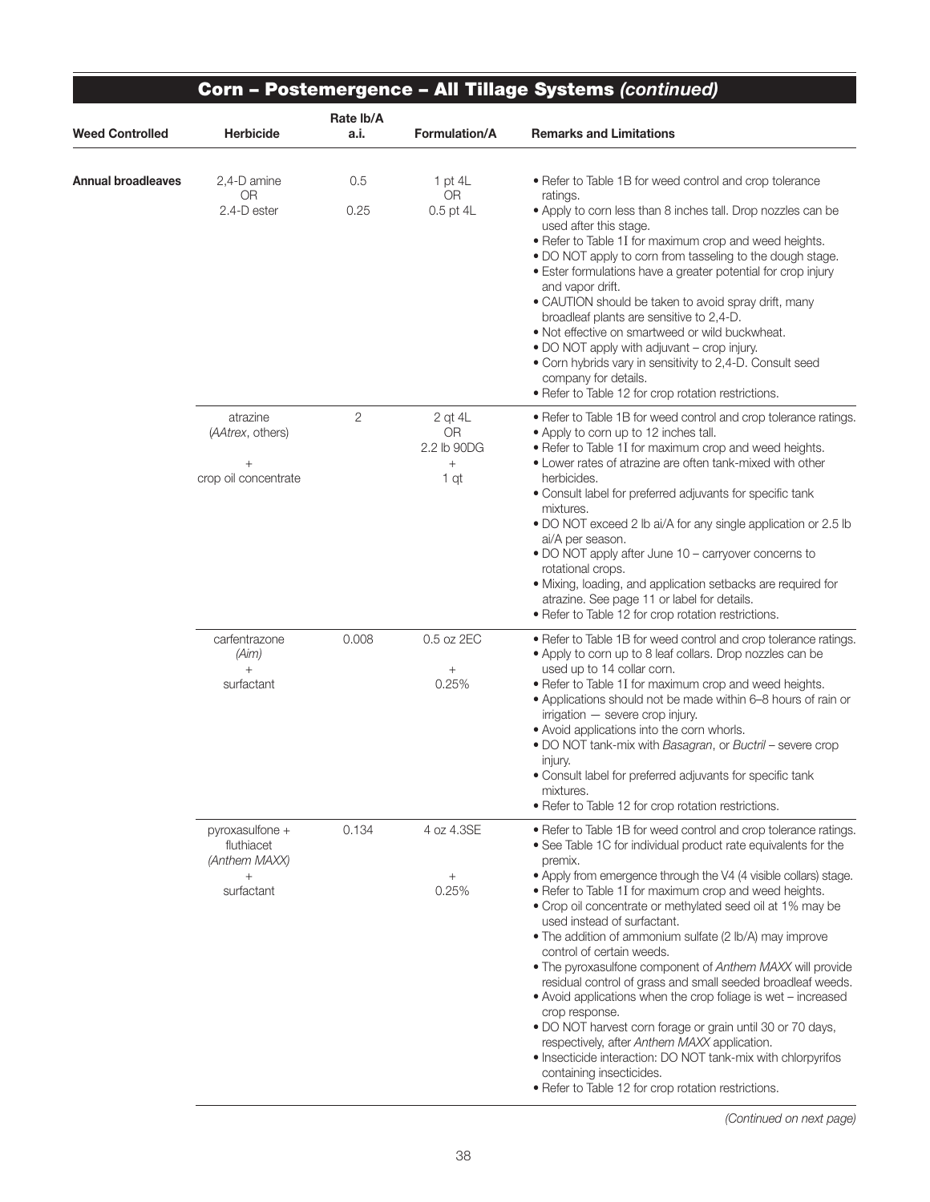|                    |                                                                        |                   |                                                                | Corn - Postemergence - All Tillage Systems (continued)                                                                                                                                                                                                                                                                                                                                                                                                                                                                                                                                                                                                                                                                                                                                                                                                                                                                                           |  |
|--------------------|------------------------------------------------------------------------|-------------------|----------------------------------------------------------------|--------------------------------------------------------------------------------------------------------------------------------------------------------------------------------------------------------------------------------------------------------------------------------------------------------------------------------------------------------------------------------------------------------------------------------------------------------------------------------------------------------------------------------------------------------------------------------------------------------------------------------------------------------------------------------------------------------------------------------------------------------------------------------------------------------------------------------------------------------------------------------------------------------------------------------------------------|--|
| Weed Controlled    | <b>Herbicide</b>                                                       | Rate lb/A<br>a.i. | Formulation/A                                                  | <b>Remarks and Limitations</b>                                                                                                                                                                                                                                                                                                                                                                                                                                                                                                                                                                                                                                                                                                                                                                                                                                                                                                                   |  |
| Annual broadleaves | 2,4-D amine<br><b>OR</b><br>2.4-D ester                                | 0.5<br>0.25       | 1 pt $4L$<br><b>OR</b><br>0.5 pt 4L                            | • Refer to Table 1B for weed control and crop tolerance<br>ratings.<br>• Apply to corn less than 8 inches tall. Drop nozzles can be<br>used after this stage.<br>• Refer to Table 1I for maximum crop and weed heights.<br>. DO NOT apply to corn from tasseling to the dough stage.<br>• Ester formulations have a greater potential for crop injury<br>and vapor drift.<br>· CAUTION should be taken to avoid spray drift, many<br>broadleaf plants are sensitive to 2,4-D.<br>• Not effective on smartweed or wild buckwheat.<br>• DO NOT apply with adjuvant - crop injury.<br>• Corn hybrids vary in sensitivity to 2,4-D. Consult seed<br>company for details.<br>· Refer to Table 12 for crop rotation restrictions.                                                                                                                                                                                                                      |  |
|                    | atrazine<br>(AAtrex, others)<br>crop oil concentrate                   | $\overline{c}$    | 2 gt 4L<br><b>OR</b><br>2.2 lb 90DG<br>$\! + \!\!\!\!$<br>1 qt | • Refer to Table 1B for weed control and crop tolerance ratings.<br>• Apply to corn up to 12 inches tall.<br>• Refer to Table 1I for maximum crop and weed heights.<br>• Lower rates of atrazine are often tank-mixed with other<br>herbicides.<br>• Consult label for preferred adjuvants for specific tank<br>mixtures.<br>• DO NOT exceed 2 lb ai/A for any single application or 2.5 lb<br>ai/A per season.<br>• DO NOT apply after June 10 - carryover concerns to<br>rotational crops.<br>• Mixing, loading, and application setbacks are required for<br>atrazine. See page 11 or label for details.<br>• Refer to Table 12 for crop rotation restrictions.                                                                                                                                                                                                                                                                               |  |
|                    | carfentrazone<br>(Aim)<br>$^{+}$<br>surfactant                         | 0.008             | 0.5 oz 2EC<br>$^{+}$<br>0.25%                                  | • Refer to Table 1B for weed control and crop tolerance ratings.<br>• Apply to corn up to 8 leaf collars. Drop nozzles can be<br>used up to 14 collar corn.<br>. Refer to Table 1I for maximum crop and weed heights.<br>• Applications should not be made within 6-8 hours of rain or<br>irrigation - severe crop injury.<br>• Avoid applications into the corn whorls.<br>. DO NOT tank-mix with Basagran, or Buctril - severe crop<br>injury.<br>• Consult label for preferred adjuvants for specific tank<br>mixtures.<br>• Refer to Table 12 for crop rotation restrictions.                                                                                                                                                                                                                                                                                                                                                                |  |
|                    | pyroxasulfone +<br>fluthiacet<br>(Anthem MAXX)<br>$^{+}$<br>surfactant | 0.134             | 4 oz 4.3SE<br>$\! + \!\!\!\!$<br>0.25%                         | • Refer to Table 1B for weed control and crop tolerance ratings.<br>• See Table 1C for individual product rate equivalents for the<br>premix.<br>• Apply from emergence through the V4 (4 visible collars) stage.<br>• Refer to Table 1I for maximum crop and weed heights.<br>• Crop oil concentrate or methylated seed oil at 1% may be<br>used instead of surfactant.<br>• The addition of ammonium sulfate (2 lb/A) may improve<br>control of certain weeds.<br>• The pyroxasulfone component of Anthem MAXX will provide<br>residual control of grass and small seeded broadleaf weeds.<br>• Avoid applications when the crop foliage is wet - increased<br>crop response.<br>. DO NOT harvest corn forage or grain until 30 or 70 days,<br>respectively, after Anthem MAXX application.<br>· Insecticide interaction: DO NOT tank-mix with chlorpyrifos<br>containing insecticides.<br>• Refer to Table 12 for crop rotation restrictions. |  |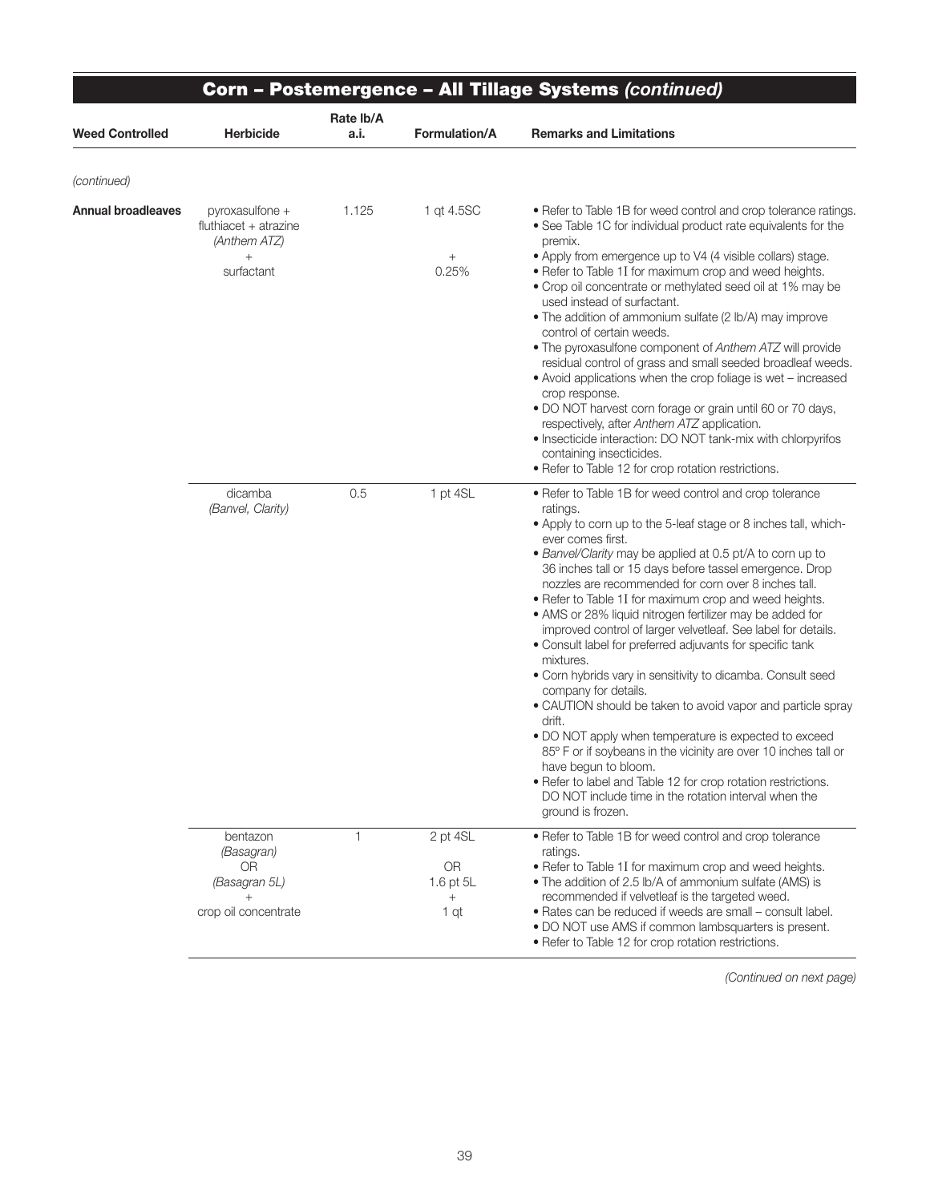|                           | Corn - Postemergence - All Tillage Systems (continued)                       |                   |                                               |                                                                                                                                                                                                                                                                                                                                                                                                                                                                                                                                                                                                                                                                                                                                                                                                                                                                                                                                                                                                                                                                                 |  |  |
|---------------------------|------------------------------------------------------------------------------|-------------------|-----------------------------------------------|---------------------------------------------------------------------------------------------------------------------------------------------------------------------------------------------------------------------------------------------------------------------------------------------------------------------------------------------------------------------------------------------------------------------------------------------------------------------------------------------------------------------------------------------------------------------------------------------------------------------------------------------------------------------------------------------------------------------------------------------------------------------------------------------------------------------------------------------------------------------------------------------------------------------------------------------------------------------------------------------------------------------------------------------------------------------------------|--|--|
| <b>Weed Controlled</b>    | <b>Herbicide</b>                                                             | Rate lb/A<br>a.i. | <b>Formulation/A</b>                          | <b>Remarks and Limitations</b>                                                                                                                                                                                                                                                                                                                                                                                                                                                                                                                                                                                                                                                                                                                                                                                                                                                                                                                                                                                                                                                  |  |  |
| (continued)               |                                                                              |                   |                                               |                                                                                                                                                                                                                                                                                                                                                                                                                                                                                                                                                                                                                                                                                                                                                                                                                                                                                                                                                                                                                                                                                 |  |  |
| <b>Annual broadleaves</b> | pyroxasulfone +<br>fluthiacet + atrazine<br>(Anthem ATZ)                     | 1.125             | 1 gt 4.5SC                                    | • Refer to Table 1B for weed control and crop tolerance ratings.<br>• See Table 1C for individual product rate equivalents for the<br>premix.                                                                                                                                                                                                                                                                                                                                                                                                                                                                                                                                                                                                                                                                                                                                                                                                                                                                                                                                   |  |  |
|                           | $+$<br>surfactant                                                            |                   | $^{+}$<br>0.25%                               | • Apply from emergence up to V4 (4 visible collars) stage.<br>• Refer to Table 1I for maximum crop and weed heights.<br>• Crop oil concentrate or methylated seed oil at 1% may be<br>used instead of surfactant.<br>• The addition of ammonium sulfate (2 lb/A) may improve<br>control of certain weeds.<br>. The pyroxasulfone component of Anthem ATZ will provide<br>residual control of grass and small seeded broadleaf weeds.<br>• Avoid applications when the crop foliage is wet - increased<br>crop response.<br>. DO NOT harvest corn forage or grain until 60 or 70 days,<br>respectively, after Anthem ATZ application.<br>• Insecticide interaction: DO NOT tank-mix with chlorpyrifos<br>containing insecticides.<br>· Refer to Table 12 for crop rotation restrictions.                                                                                                                                                                                                                                                                                         |  |  |
|                           | dicamba<br>(Banvel, Clarity)                                                 | 0.5               | 1 pt 4SL                                      | • Refer to Table 1B for weed control and crop tolerance<br>ratings.<br>• Apply to corn up to the 5-leaf stage or 8 inches tall, which-<br>ever comes first.<br>• Banvel/Clarity may be applied at 0.5 pt/A to corn up to<br>36 inches tall or 15 days before tassel emergence. Drop<br>nozzles are recommended for corn over 8 inches tall.<br>• Refer to Table 1I for maximum crop and weed heights.<br>• AMS or 28% liquid nitrogen fertilizer may be added for<br>improved control of larger velvetleaf. See label for details.<br>• Consult label for preferred adjuvants for specific tank<br>mixtures.<br>• Corn hybrids vary in sensitivity to dicamba. Consult seed<br>company for details.<br>• CAUTION should be taken to avoid vapor and particle spray<br>drift.<br>. DO NOT apply when temperature is expected to exceed<br>85° F or if soybeans in the vicinity are over 10 inches tall or<br>have begun to bloom.<br>• Refer to label and Table 12 for crop rotation restrictions.<br>DO NOT include time in the rotation interval when the<br>ground is frozen. |  |  |
|                           | bentazon<br>(Basagran)<br>0R<br>(Basagran 5L)<br>$+$<br>crop oil concentrate | 1                 | 2 pt 4SL<br>OR<br>1.6 pt 5L<br>$^{+}$<br>1 gt | . Refer to Table 1B for weed control and crop tolerance<br>ratings.<br>. Refer to Table 1I for maximum crop and weed heights.<br>• The addition of 2.5 lb/A of ammonium sulfate (AMS) is<br>recommended if velvetleaf is the targeted weed.<br>• Rates can be reduced if weeds are small – consult label.<br>. DO NOT use AMS if common lambsquarters is present.<br>• Refer to Table 12 for crop rotation restrictions.                                                                                                                                                                                                                                                                                                                                                                                                                                                                                                                                                                                                                                                        |  |  |

۰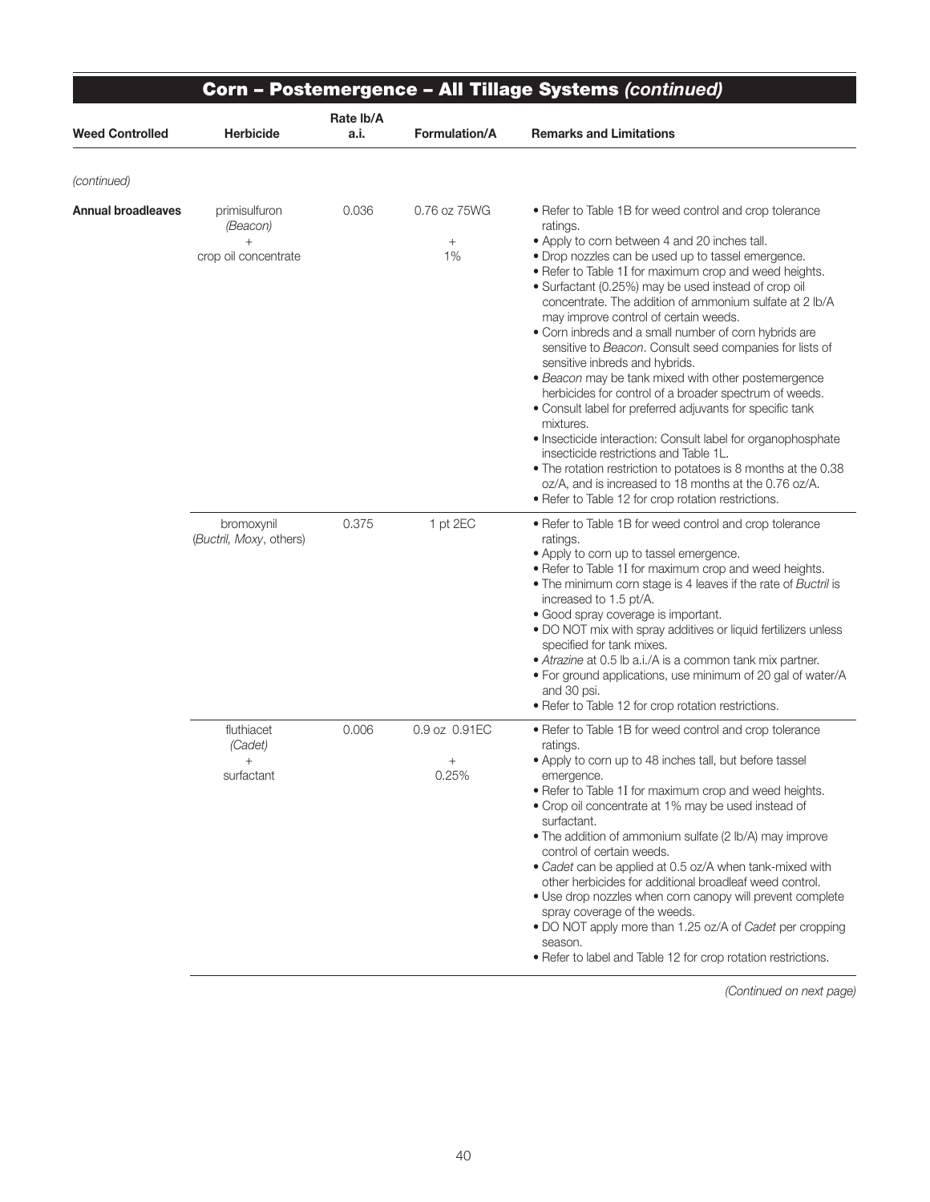|                           |                                                   | Rate lb/A |                                | <b>Corn - Postemergence - All Tillage Systems (continued)</b>                                                                                                                                                                                                                                                                                                                                                                                                                                                                                                                                                                                                                                                                                                                                                                                                                                                                                                                                                                                  |
|---------------------------|---------------------------------------------------|-----------|--------------------------------|------------------------------------------------------------------------------------------------------------------------------------------------------------------------------------------------------------------------------------------------------------------------------------------------------------------------------------------------------------------------------------------------------------------------------------------------------------------------------------------------------------------------------------------------------------------------------------------------------------------------------------------------------------------------------------------------------------------------------------------------------------------------------------------------------------------------------------------------------------------------------------------------------------------------------------------------------------------------------------------------------------------------------------------------|
| <b>Weed Controlled</b>    | <b>Herbicide</b>                                  | a.i.      | Formulation/A                  | <b>Remarks and Limitations</b>                                                                                                                                                                                                                                                                                                                                                                                                                                                                                                                                                                                                                                                                                                                                                                                                                                                                                                                                                                                                                 |
| (continued)               |                                                   |           |                                |                                                                                                                                                                                                                                                                                                                                                                                                                                                                                                                                                                                                                                                                                                                                                                                                                                                                                                                                                                                                                                                |
| <b>Annual broadleaves</b> | primisulfuron<br>(Beacon)<br>crop oil concentrate | 0.036     | 0.76 oz 75WG<br>$^{+}$<br>1%   | • Refer to Table 1B for weed control and crop tolerance<br>ratings.<br>• Apply to corn between 4 and 20 inches tall.<br>· Drop nozzles can be used up to tassel emergence.<br>. Refer to Table 1I for maximum crop and weed heights.<br>• Surfactant (0.25%) may be used instead of crop oil<br>concentrate. The addition of ammonium sulfate at 2 lb/A<br>may improve control of certain weeds.<br>• Corn inbreds and a small number of corn hybrids are<br>sensitive to Beacon. Consult seed companies for lists of<br>sensitive inbreds and hybrids.<br>• Beacon may be tank mixed with other postemergence<br>herbicides for control of a broader spectrum of weeds.<br>• Consult label for preferred adjuvants for specific tank<br>mixtures.<br>• Insecticide interaction: Consult label for organophosphate<br>insecticide restrictions and Table 1L.<br>. The rotation restriction to potatoes is 8 months at the 0.38<br>oz/A, and is increased to 18 months at the 0.76 oz/A.<br>• Refer to Table 12 for crop rotation restrictions. |
|                           | bromoxynil<br>(Buctril, Moxy, others)             | 0.375     | 1 pt 2EC                       | • Refer to Table 1B for weed control and crop tolerance<br>ratings.<br>• Apply to corn up to tassel emergence.<br>• Refer to Table 1I for maximum crop and weed heights.<br>• The minimum corn stage is 4 leaves if the rate of Buctril is<br>increased to 1.5 pt/A.<br>· Good spray coverage is important.<br>. DO NOT mix with spray additives or liquid fertilizers unless<br>specified for tank mixes.<br>• Atrazine at 0.5 lb a.i./A is a common tank mix partner.<br>. For ground applications, use minimum of 20 gal of water/A<br>and 30 psi.<br>• Refer to Table 12 for crop rotation restrictions.                                                                                                                                                                                                                                                                                                                                                                                                                                   |
|                           | fluthiacet<br>(Cadet)<br>$+$<br>surfactant        | 0.006     | 0.9 oz 0.91EC<br>$^+$<br>0.25% | • Refer to Table 1B for weed control and crop tolerance<br>ratings.<br>• Apply to corn up to 48 inches tall, but before tassel<br>emergence.<br>• Refer to Table 1I for maximum crop and weed heights.<br>• Crop oil concentrate at 1% may be used instead of<br>surfactant.<br>• The addition of ammonium sulfate (2 lb/A) may improve<br>control of certain weeds.<br>• Cadet can be applied at 0.5 oz/A when tank-mixed with<br>other herbicides for additional broadleaf weed control.<br>. Use drop nozzles when corn canopy will prevent complete<br>spray coverage of the weeds.<br>• DO NOT apply more than 1.25 oz/A of Cadet per cropping<br>season.<br>• Refer to label and Table 12 for crop rotation restrictions.                                                                                                                                                                                                                                                                                                                |

Ξ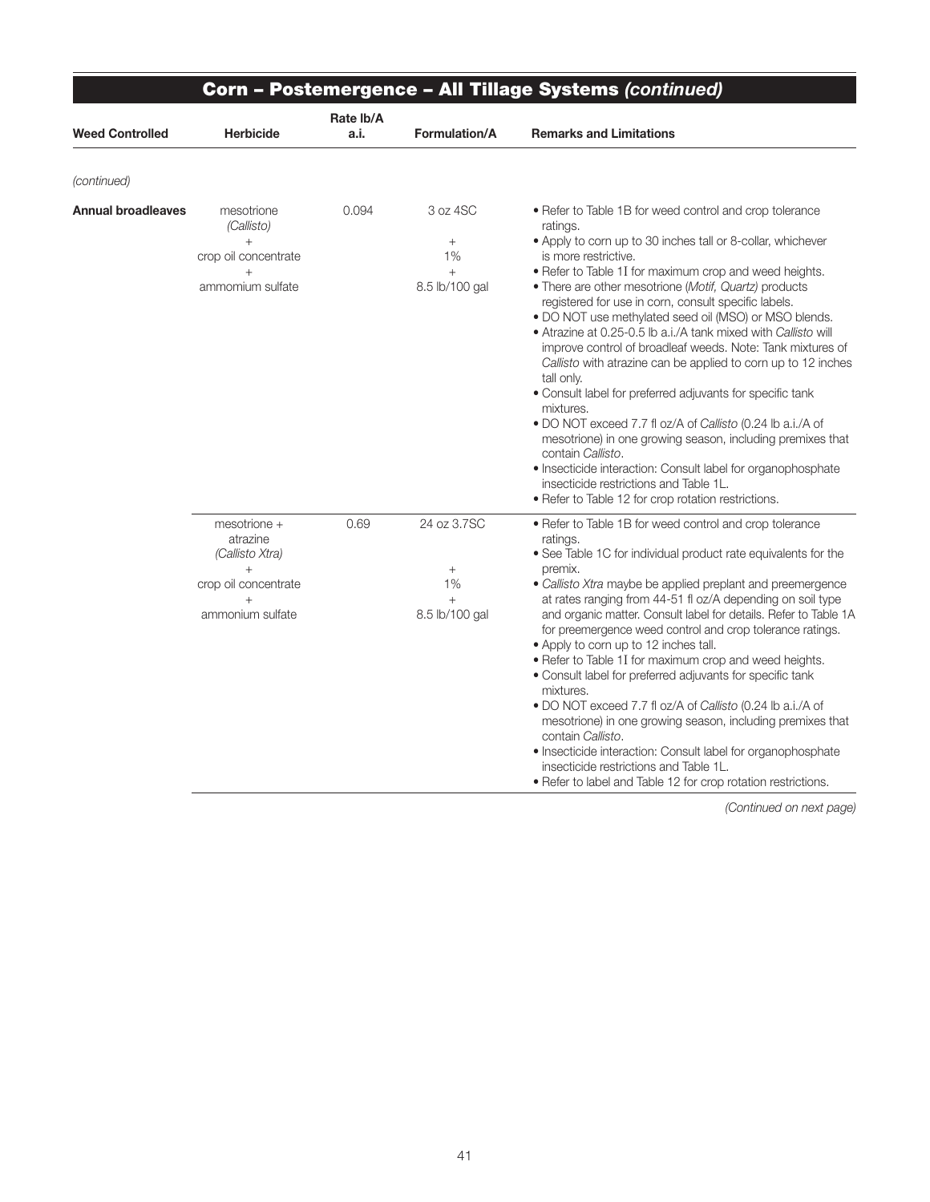|                        |                                                                                                          | Corn – Postemergence – All Tillage Systems (continued) |                                                         |                                                                                                                                                                                                                                                                                                                                                                                                                                                                                                                                                                                                                                                                                                                                                                                                                                                                                                                                                                                                           |  |  |  |
|------------------------|----------------------------------------------------------------------------------------------------------|--------------------------------------------------------|---------------------------------------------------------|-----------------------------------------------------------------------------------------------------------------------------------------------------------------------------------------------------------------------------------------------------------------------------------------------------------------------------------------------------------------------------------------------------------------------------------------------------------------------------------------------------------------------------------------------------------------------------------------------------------------------------------------------------------------------------------------------------------------------------------------------------------------------------------------------------------------------------------------------------------------------------------------------------------------------------------------------------------------------------------------------------------|--|--|--|
| <b>Weed Controlled</b> | <b>Herbicide</b>                                                                                         | Rate Ib/A<br>a.i.                                      | Formulation/A                                           | <b>Remarks and Limitations</b>                                                                                                                                                                                                                                                                                                                                                                                                                                                                                                                                                                                                                                                                                                                                                                                                                                                                                                                                                                            |  |  |  |
| (continued)            |                                                                                                          |                                                        |                                                         |                                                                                                                                                                                                                                                                                                                                                                                                                                                                                                                                                                                                                                                                                                                                                                                                                                                                                                                                                                                                           |  |  |  |
| Annual broadleaves     | mesotrione<br>(Callisto)<br>$+$<br>crop oil concentrate<br>$^{+}$<br>ammomium sulfate                    | 0.094                                                  | 3 oz 4SC<br>$+$<br>1%<br>$^{+}$<br>8.5 lb/100 gal       | • Refer to Table 1B for weed control and crop tolerance<br>ratings.<br>• Apply to corn up to 30 inches tall or 8-collar, whichever<br>is more restrictive.<br>• Refer to Table 1I for maximum crop and weed heights.<br>• There are other mesotrione (Motif, Quartz) products<br>registered for use in corn, consult specific labels.<br>. DO NOT use methylated seed oil (MSO) or MSO blends.<br>• Atrazine at 0.25-0.5 lb a.i./A tank mixed with Callisto will<br>improve control of broadleaf weeds. Note: Tank mixtures of<br>Callisto with atrazine can be applied to corn up to 12 inches<br>tall only.<br>• Consult label for preferred adjuvants for specific tank<br>mixtures.<br>. DO NOT exceed 7.7 fl oz/A of Callisto (0.24 lb a.i./A of<br>mesotrione) in one growing season, including premixes that<br>contain Callisto.<br>· Insecticide interaction: Consult label for organophosphate<br>insecticide restrictions and Table 1L.<br>• Refer to Table 12 for crop rotation restrictions. |  |  |  |
|                        | mesotrione +<br>atrazine<br>(Callisto Xtra)<br>$+$<br>crop oil concentrate<br>$^{+}$<br>ammonium sulfate | 0.69                                                   | 24 oz 3.7SC<br>$^{+}$<br>1%<br>$^{+}$<br>8.5 lb/100 gal | • Refer to Table 1B for weed control and crop tolerance<br>ratings.<br>• See Table 1C for individual product rate equivalents for the<br>premix.<br>• Callisto Xtra maybe be applied preplant and preemergence<br>at rates ranging from 44-51 fl oz/A depending on soil type<br>and organic matter. Consult label for details. Refer to Table 1A<br>for preemergence weed control and crop tolerance ratings.<br>. Apply to corn up to 12 inches tall.<br>. Refer to Table 1I for maximum crop and weed heights.<br>• Consult label for preferred adjuvants for specific tank<br>mixtures.<br>. DO NOT exceed 7.7 fl oz/A of Callisto (0.24 lb a.i./A of<br>mesotrione) in one growing season, including premixes that<br>contain Callisto.<br>· Insecticide interaction: Consult label for organophosphate<br>insecticide restrictions and Table 1L.<br>• Refer to label and Table 12 for crop rotation restrictions.                                                                                    |  |  |  |

∍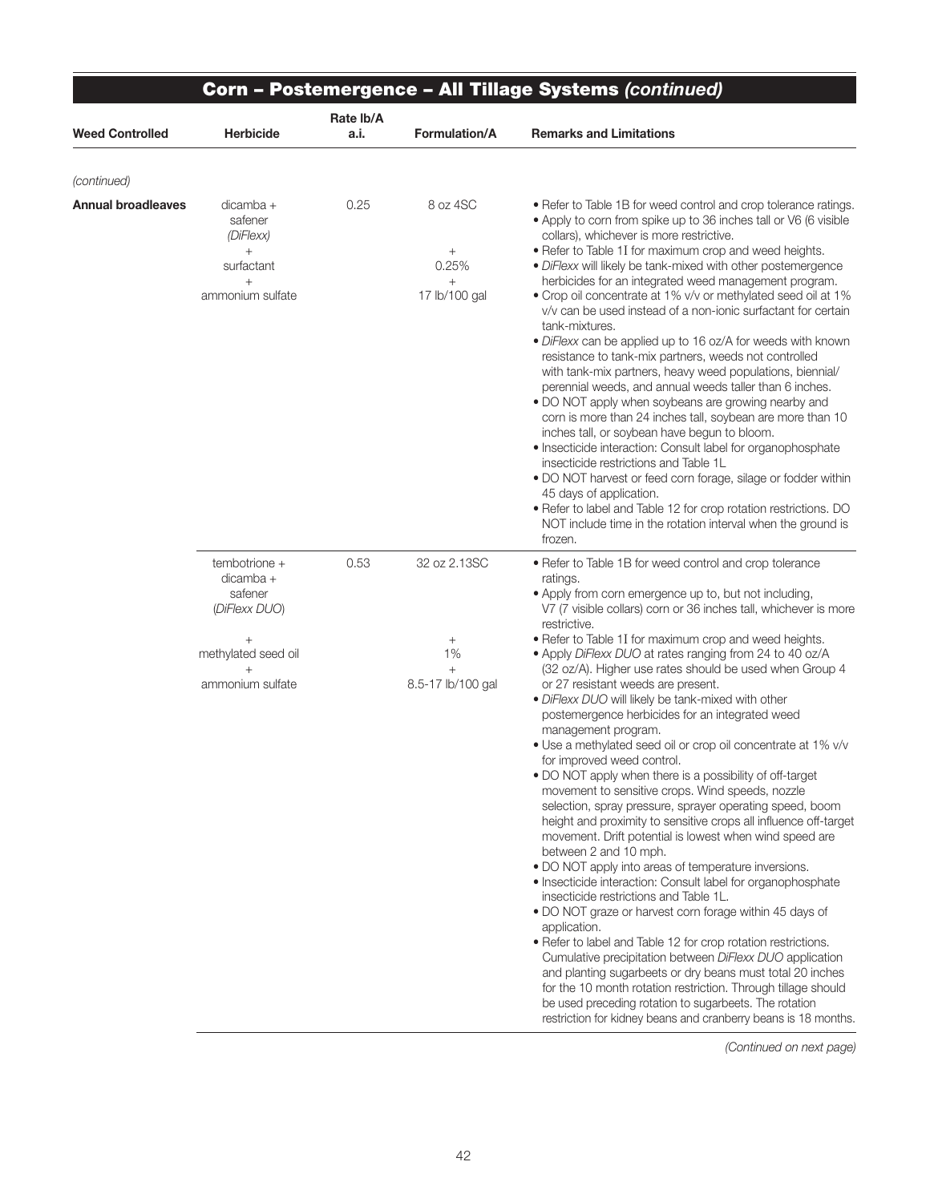|                           |                                                             |                   |                                             | Corn - Postemergence - All Tillage Systems (continued)                                                                                                                                                                                                                                                                                                                                                                                                                                                                                                                                                                                                                                                                                                                                                                                                                                                                                                                                                                                                                                                                                                                                                                                                                                                                                                                                                                    |  |
|---------------------------|-------------------------------------------------------------|-------------------|---------------------------------------------|---------------------------------------------------------------------------------------------------------------------------------------------------------------------------------------------------------------------------------------------------------------------------------------------------------------------------------------------------------------------------------------------------------------------------------------------------------------------------------------------------------------------------------------------------------------------------------------------------------------------------------------------------------------------------------------------------------------------------------------------------------------------------------------------------------------------------------------------------------------------------------------------------------------------------------------------------------------------------------------------------------------------------------------------------------------------------------------------------------------------------------------------------------------------------------------------------------------------------------------------------------------------------------------------------------------------------------------------------------------------------------------------------------------------------|--|
| <b>Weed Controlled</b>    | <b>Herbicide</b>                                            | Rate lb/A<br>a.i. | Formulation/A                               | <b>Remarks and Limitations</b>                                                                                                                                                                                                                                                                                                                                                                                                                                                                                                                                                                                                                                                                                                                                                                                                                                                                                                                                                                                                                                                                                                                                                                                                                                                                                                                                                                                            |  |
| (continued)               |                                                             |                   |                                             |                                                                                                                                                                                                                                                                                                                                                                                                                                                                                                                                                                                                                                                                                                                                                                                                                                                                                                                                                                                                                                                                                                                                                                                                                                                                                                                                                                                                                           |  |
| <b>Annual broadleaves</b> | $dicamba +$<br>safener<br>(DiFlexx)<br>$^{+}$<br>surfactant | 0.25              | 8 oz 4SC<br>$\! + \!\!\!\!$<br>0.25%        | • Refer to Table 1B for weed control and crop tolerance ratings.<br>• Apply to corn from spike up to 36 inches tall or V6 (6 visible<br>collars), whichever is more restrictive.<br>• Refer to Table 1I for maximum crop and weed heights.<br>· DiFlexx will likely be tank-mixed with other postemergence                                                                                                                                                                                                                                                                                                                                                                                                                                                                                                                                                                                                                                                                                                                                                                                                                                                                                                                                                                                                                                                                                                                |  |
|                           | $+$<br>ammonium sulfate                                     |                   | $^{+}$<br>17 lb/100 gal                     | herbicides for an integrated weed management program.<br>• Crop oil concentrate at 1% v/v or methylated seed oil at 1%<br>v/v can be used instead of a non-ionic surfactant for certain<br>tank-mixtures.<br>• DiFlexx can be applied up to 16 oz/A for weeds with known<br>resistance to tank-mix partners, weeds not controlled<br>with tank-mix partners, heavy weed populations, biennial/<br>perennial weeds, and annual weeds taller than 6 inches.<br>. DO NOT apply when soybeans are growing nearby and<br>corn is more than 24 inches tall, soybean are more than 10<br>inches tall, or soybean have begun to bloom.<br>· Insecticide interaction: Consult label for organophosphate<br>insecticide restrictions and Table 1L<br>. DO NOT harvest or feed corn forage, silage or fodder within<br>45 days of application.<br>• Refer to label and Table 12 for crop rotation restrictions. DO<br>NOT include time in the rotation interval when the ground is<br>frozen.                                                                                                                                                                                                                                                                                                                                                                                                                                        |  |
|                           | tembotrione +<br>dicamba +<br>safener<br>(DiFlexx DUO)      | 0.53              | 32 oz 2.13SC                                | • Refer to Table 1B for weed control and crop tolerance<br>ratings.<br>• Apply from corn emergence up to, but not including,<br>V7 (7 visible collars) corn or 36 inches tall, whichever is more<br>restrictive.                                                                                                                                                                                                                                                                                                                                                                                                                                                                                                                                                                                                                                                                                                                                                                                                                                                                                                                                                                                                                                                                                                                                                                                                          |  |
|                           | methylated seed oil<br>ammonium sulfate                     |                   | $^{+}$<br>1%<br>$^{+}$<br>8.5-17 lb/100 gal | • Refer to Table 1I for maximum crop and weed heights.<br>• Apply DiFlexx DUO at rates ranging from 24 to 40 oz/A<br>(32 oz/A). Higher use rates should be used when Group 4<br>or 27 resistant weeds are present.<br>· DiFlexx DUO will likely be tank-mixed with other<br>postemergence herbicides for an integrated weed<br>management program.<br>• Use a methylated seed oil or crop oil concentrate at 1% v/v<br>for improved weed control.<br>. DO NOT apply when there is a possibility of off-target<br>movement to sensitive crops. Wind speeds, nozzle<br>selection, spray pressure, sprayer operating speed, boom<br>height and proximity to sensitive crops all influence off-target<br>movement. Drift potential is lowest when wind speed are<br>between 2 and 10 mph.<br>• DO NOT apply into areas of temperature inversions.<br>• Insecticide interaction: Consult label for organophosphate<br>insecticide restrictions and Table 1L.<br>. DO NOT graze or harvest corn forage within 45 days of<br>application.<br>• Refer to label and Table 12 for crop rotation restrictions.<br>Cumulative precipitation between DiFlexx DUO application<br>and planting sugarbeets or dry beans must total 20 inches<br>for the 10 month rotation restriction. Through tillage should<br>be used preceding rotation to sugarbeets. The rotation<br>restriction for kidney beans and cranberry beans is 18 months. |  |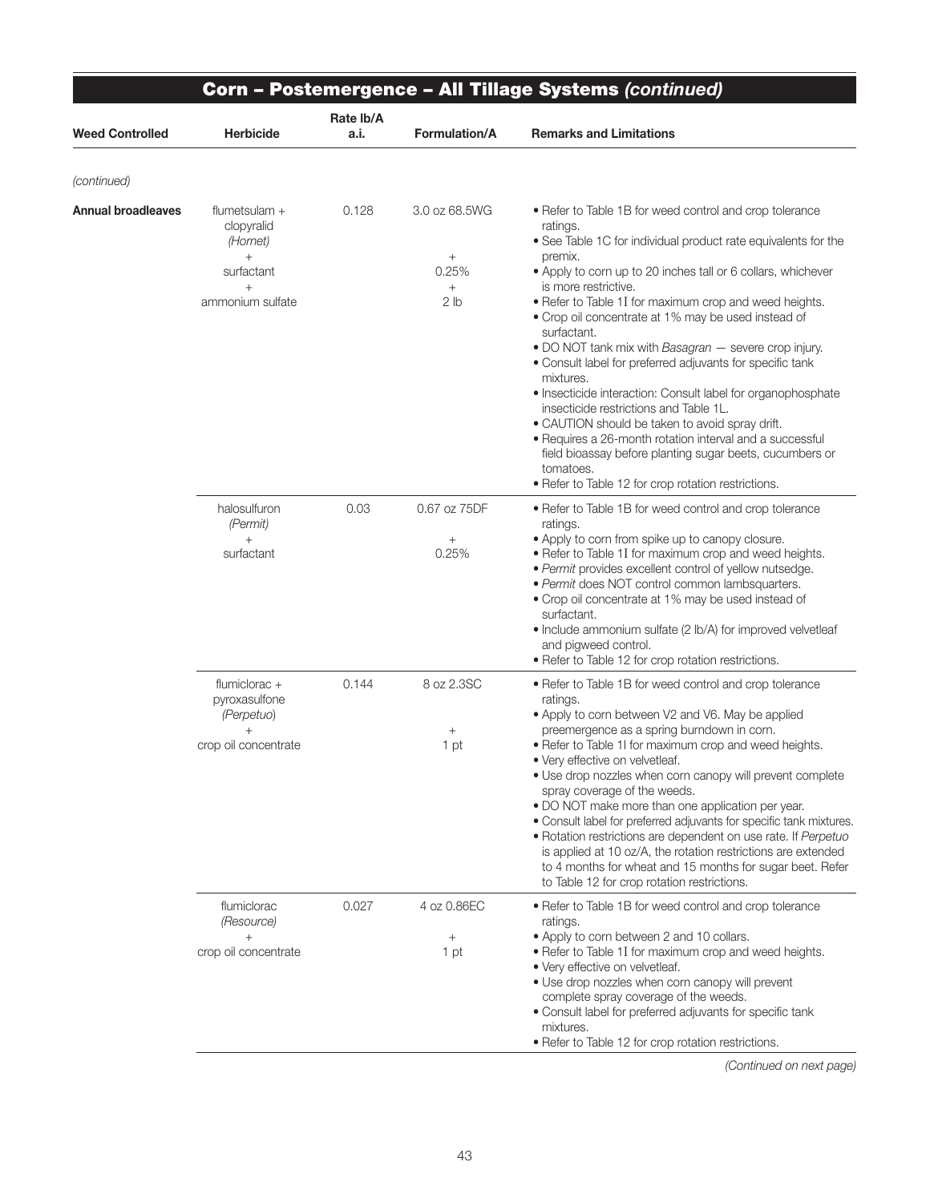|                        | <b>Corn - Postemergence - All Tillage Systems (continued)</b>                                   |                   |                                                                     |                                                                                                                                                                                                                                                                                                                                                                                                                                                                                                                                                                                                                                                                                                                                                                                                                                                                      |  |
|------------------------|-------------------------------------------------------------------------------------------------|-------------------|---------------------------------------------------------------------|----------------------------------------------------------------------------------------------------------------------------------------------------------------------------------------------------------------------------------------------------------------------------------------------------------------------------------------------------------------------------------------------------------------------------------------------------------------------------------------------------------------------------------------------------------------------------------------------------------------------------------------------------------------------------------------------------------------------------------------------------------------------------------------------------------------------------------------------------------------------|--|
| <b>Weed Controlled</b> | <b>Herbicide</b>                                                                                | Rate lb/A<br>a.i. | <b>Formulation/A</b>                                                | <b>Remarks and Limitations</b>                                                                                                                                                                                                                                                                                                                                                                                                                                                                                                                                                                                                                                                                                                                                                                                                                                       |  |
| (continued)            |                                                                                                 |                   |                                                                     |                                                                                                                                                                                                                                                                                                                                                                                                                                                                                                                                                                                                                                                                                                                                                                                                                                                                      |  |
| Annual broadleaves     | flumetsulam $+$<br>clopyralid<br>(Hornet)<br>$^{+}$<br>surfactant<br>$^{+}$<br>ammonium sulfate | 0.128             | 3.0 oz 68.5WG<br>$\! + \!\!\!\!$<br>0.25%<br>$+$<br>2 <sub>lb</sub> | • Refer to Table 1B for weed control and crop tolerance<br>ratings.<br>• See Table 1C for individual product rate equivalents for the<br>premix.<br>• Apply to corn up to 20 inches tall or 6 collars, whichever<br>is more restrictive.<br>. Refer to Table 1I for maximum crop and weed heights.<br>• Crop oil concentrate at 1% may be used instead of<br>surfactant.<br>. DO NOT tank mix with Basagran - severe crop injury.<br>• Consult label for preferred adjuvants for specific tank<br>mixtures.<br>• Insecticide interaction: Consult label for organophosphate<br>insecticide restrictions and Table 1L.<br>• CAUTION should be taken to avoid spray drift.<br>· Requires a 26-month rotation interval and a successful<br>field bioassay before planting sugar beets, cucumbers or<br>tomatoes.<br>• Refer to Table 12 for crop rotation restrictions. |  |
|                        | halosulfuron<br>(Permit)<br>$+$<br>surfactant                                                   | 0.03              | 0.67 oz 75DF<br>$\! +$<br>0.25%                                     | • Refer to Table 1B for weed control and crop tolerance<br>ratings.<br>• Apply to corn from spike up to canopy closure.<br>. Refer to Table 1I for maximum crop and weed heights.<br>· Permit provides excellent control of yellow nutsedge.<br>· Permit does NOT control common lambsquarters.<br>• Crop oil concentrate at 1% may be used instead of<br>surfactant.<br>• Include ammonium sulfate (2 lb/A) for improved velvetleaf<br>and pigweed control.<br>• Refer to Table 12 for crop rotation restrictions.                                                                                                                                                                                                                                                                                                                                                  |  |
|                        | flumiclorac +<br>pyroxasulfone<br>(Perpetuo)<br>$\ddot{}$<br>crop oil concentrate               | 0.144             | 8 oz 2.3SC<br>$^{+}$<br>1 pt                                        | • Refer to Table 1B for weed control and crop tolerance<br>ratings.<br>• Apply to corn between V2 and V6. May be applied<br>preemergence as a spring burndown in corn.<br>• Refer to Table 1I for maximum crop and weed heights.<br>• Verv effective on velvetleaf.<br>. Use drop nozzles when corn canopy will prevent complete<br>spray coverage of the weeds.<br>• DO NOT make more than one application per year.<br>· Consult label for preferred adjuvants for specific tank mixtures.<br>• Rotation restrictions are dependent on use rate. If Perpetuo<br>is applied at 10 oz/A, the rotation restrictions are extended<br>to 4 months for wheat and 15 months for sugar beet. Refer<br>to Table 12 for crop rotation restrictions.                                                                                                                          |  |
|                        | flumiclorac<br>(Resource)<br>$+$<br>crop oil concentrate                                        | 0.027             | 4 oz 0.86EC<br>$+$<br>1 pt                                          | • Refer to Table 1B for weed control and crop tolerance<br>ratings.<br>• Apply to corn between 2 and 10 collars.<br>• Refer to Table 1I for maximum crop and weed heights.<br>• Very effective on velvetleaf.<br>• Use drop nozzles when corn canopy will prevent<br>complete spray coverage of the weeds.<br>• Consult label for preferred adjuvants for specific tank<br>mixtures.<br>• Refer to Table 12 for crop rotation restrictions.                                                                                                                                                                                                                                                                                                                                                                                                                          |  |

∍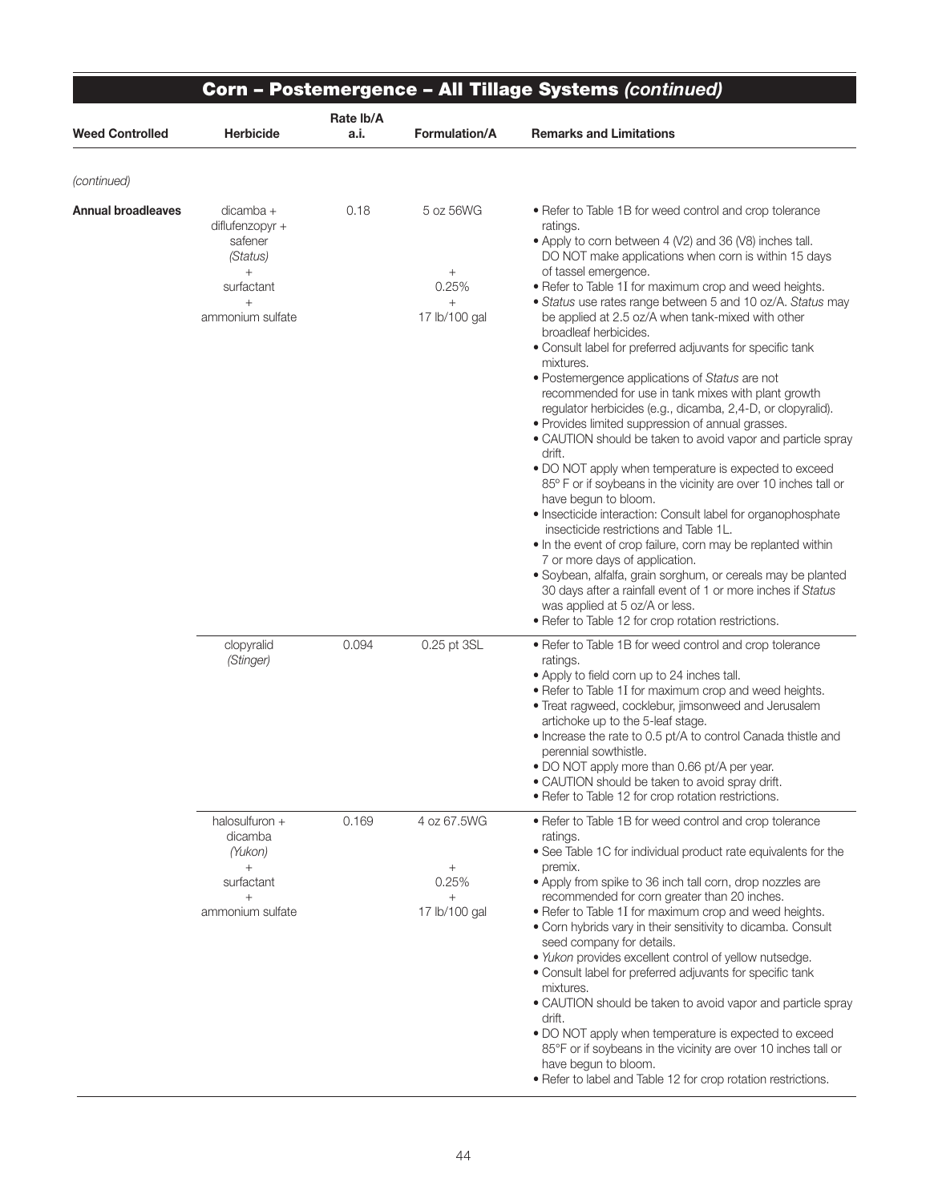|                           | Corn - Postemergence - All Tillage Systems (continued)                                                 |                   |                                                                  |                                                                                                                                                                                                                                                                                                                                                                                                                                                                                                                                                                                                                                                                                                                                                                                                                                                                                                                                                                                                                                                                                                                                                                                                                                                                                                                                                                                               |  |
|---------------------------|--------------------------------------------------------------------------------------------------------|-------------------|------------------------------------------------------------------|-----------------------------------------------------------------------------------------------------------------------------------------------------------------------------------------------------------------------------------------------------------------------------------------------------------------------------------------------------------------------------------------------------------------------------------------------------------------------------------------------------------------------------------------------------------------------------------------------------------------------------------------------------------------------------------------------------------------------------------------------------------------------------------------------------------------------------------------------------------------------------------------------------------------------------------------------------------------------------------------------------------------------------------------------------------------------------------------------------------------------------------------------------------------------------------------------------------------------------------------------------------------------------------------------------------------------------------------------------------------------------------------------|--|
| <b>Weed Controlled</b>    | <b>Herbicide</b>                                                                                       | Rate lb/A<br>a.i. | <b>Formulation/A</b>                                             | <b>Remarks and Limitations</b>                                                                                                                                                                                                                                                                                                                                                                                                                                                                                                                                                                                                                                                                                                                                                                                                                                                                                                                                                                                                                                                                                                                                                                                                                                                                                                                                                                |  |
| (continued)               |                                                                                                        |                   |                                                                  |                                                                                                                                                                                                                                                                                                                                                                                                                                                                                                                                                                                                                                                                                                                                                                                                                                                                                                                                                                                                                                                                                                                                                                                                                                                                                                                                                                                               |  |
| <b>Annual broadleaves</b> | dicamba +<br>diflufenzopyr +<br>safener<br>(Status)<br>$+$<br>surfactant<br>$^{+}$<br>ammonium sulfate | 0.18              | 5 oz 56WG<br>$\! + \!\!\!\!$<br>0.25%<br>$\! +$<br>17 lb/100 gal | • Refer to Table 1B for weed control and crop tolerance<br>ratings.<br>• Apply to corn between 4 (V2) and 36 (V8) inches tall.<br>DO NOT make applications when corn is within 15 days<br>of tassel emergence.<br>• Refer to Table 1I for maximum crop and weed heights.<br>· Status use rates range between 5 and 10 oz/A. Status may<br>be applied at 2.5 oz/A when tank-mixed with other<br>broadleaf herbicides.<br>• Consult label for preferred adjuvants for specific tank<br>mixtures.<br>• Postemergence applications of Status are not<br>recommended for use in tank mixes with plant growth<br>regulator herbicides (e.g., dicamba, 2,4-D, or clopyralid).<br>· Provides limited suppression of annual grasses.<br>• CAUTION should be taken to avoid vapor and particle spray<br>drift.<br>• DO NOT apply when temperature is expected to exceed<br>85° F or if soybeans in the vicinity are over 10 inches tall or<br>have begun to bloom.<br>. Insecticide interaction: Consult label for organophosphate<br>insecticide restrictions and Table 1L.<br>. In the event of crop failure, corn may be replanted within<br>7 or more days of application.<br>· Soybean, alfalfa, grain sorghum, or cereals may be planted<br>30 days after a rainfall event of 1 or more inches if Status<br>was applied at 5 oz/A or less.<br>• Refer to Table 12 for crop rotation restrictions. |  |
|                           | clopyralid<br>(Stinger)                                                                                | 0.094             | 0.25 pt 3SL                                                      | • Refer to Table 1B for weed control and crop tolerance<br>ratings.<br>• Apply to field corn up to 24 inches tall.<br>. Refer to Table 1I for maximum crop and weed heights.<br>• Treat ragweed, cocklebur, jimsonweed and Jerusalem<br>artichoke up to the 5-leaf stage.<br>. Increase the rate to 0.5 pt/A to control Canada thistle and<br>perennial sowthistle.<br>. DO NOT apply more than 0.66 pt/A per year.<br>• CAUTION should be taken to avoid spray drift.<br>• Refer to Table 12 for crop rotation restrictions.                                                                                                                                                                                                                                                                                                                                                                                                                                                                                                                                                                                                                                                                                                                                                                                                                                                                 |  |
|                           | halosulfuron +<br>dicamba<br>(Yukon)<br>$^{+}$<br>surfactant<br>$^{+}$<br>ammonium sulfate             | 0.169             | 4 oz 67.5WG<br>$\! + \!\!\!\!$<br>0.25%<br>$+$<br>17 lb/100 gal  | • Refer to Table 1B for weed control and crop tolerance<br>ratings.<br>• See Table 1C for individual product rate equivalents for the<br>premix.<br>• Apply from spike to 36 inch tall corn, drop nozzles are<br>recommended for corn greater than 20 inches.<br>. Refer to Table 1I for maximum crop and weed heights.<br>• Corn hybrids vary in their sensitivity to dicamba. Consult<br>seed company for details.<br>. Yukon provides excellent control of yellow nutsedge.<br>• Consult label for preferred adjuvants for specific tank<br>mixtures.<br>• CAUTION should be taken to avoid vapor and particle spray<br>drift.<br>• DO NOT apply when temperature is expected to exceed<br>85°F or if soybeans in the vicinity are over 10 inches tall or<br>have begun to bloom.<br>· Refer to label and Table 12 for crop rotation restrictions.                                                                                                                                                                                                                                                                                                                                                                                                                                                                                                                                         |  |

٦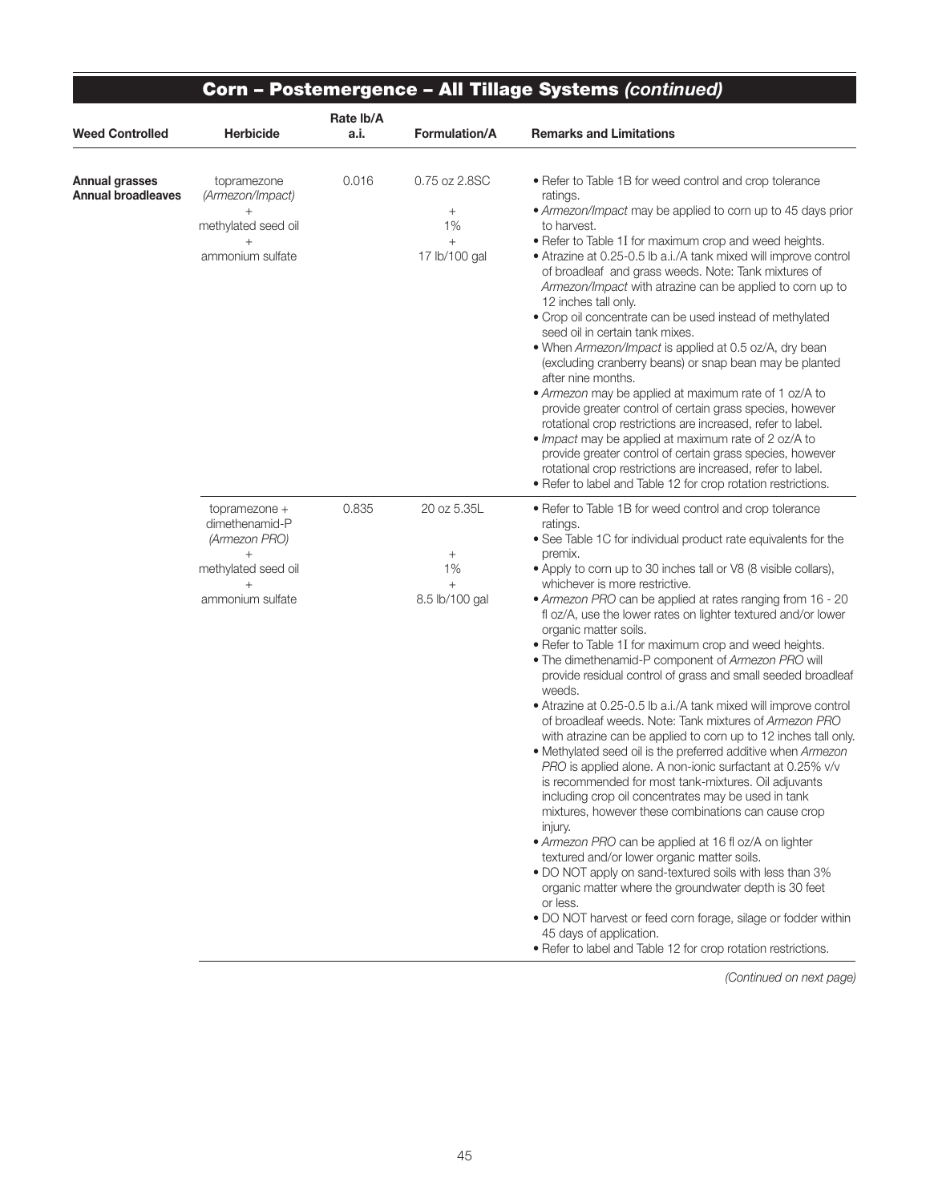|                                                    |                                                                                                    | Rate lb/A | Corn - Postemergence - All Tillage Systems (continued)            |                                                                                                                                                                                                                                                                                                                                                                                                                                                                                                                                                                                                                                                                                                                                                                                                                                                                                                                                                                                                                                                                                                                                                                                                                                                                                                                                                                                                                                                                                                                             |  |
|----------------------------------------------------|----------------------------------------------------------------------------------------------------|-----------|-------------------------------------------------------------------|-----------------------------------------------------------------------------------------------------------------------------------------------------------------------------------------------------------------------------------------------------------------------------------------------------------------------------------------------------------------------------------------------------------------------------------------------------------------------------------------------------------------------------------------------------------------------------------------------------------------------------------------------------------------------------------------------------------------------------------------------------------------------------------------------------------------------------------------------------------------------------------------------------------------------------------------------------------------------------------------------------------------------------------------------------------------------------------------------------------------------------------------------------------------------------------------------------------------------------------------------------------------------------------------------------------------------------------------------------------------------------------------------------------------------------------------------------------------------------------------------------------------------------|--|
| <b>Weed Controlled</b>                             | Herbicide                                                                                          | a.i.      | Formulation/A                                                     | <b>Remarks and Limitations</b>                                                                                                                                                                                                                                                                                                                                                                                                                                                                                                                                                                                                                                                                                                                                                                                                                                                                                                                                                                                                                                                                                                                                                                                                                                                                                                                                                                                                                                                                                              |  |
| <b>Annual grasses</b><br><b>Annual broadleaves</b> | topramezone<br>(Armezon/Impact)<br>$+$<br>methylated seed oil<br>ammonium sulfate                  | 0.016     | 0.75 oz 2.8SC<br>$\! + \!\!\!\!$<br>1%<br>$^{+}$<br>17 lb/100 gal | • Refer to Table 1B for weed control and crop tolerance<br>ratings.<br>• Armezon/Impact may be applied to corn up to 45 days prior<br>to harvest.<br>• Refer to Table 1I for maximum crop and weed heights.<br>• Atrazine at 0.25-0.5 lb a.i./A tank mixed will improve control<br>of broadleaf and grass weeds. Note: Tank mixtures of<br>Armezon/Impact with atrazine can be applied to corn up to<br>12 inches tall only.<br>• Crop oil concentrate can be used instead of methylated<br>seed oil in certain tank mixes.<br>. When Armezon/Impact is applied at 0.5 oz/A, dry bean<br>(excluding cranberry beans) or snap bean may be planted<br>after nine months.<br>• Armezon may be applied at maximum rate of 1 oz/A to<br>provide greater control of certain grass species, however<br>rotational crop restrictions are increased, refer to label.<br>. Impact may be applied at maximum rate of 2 oz/A to<br>provide greater control of certain grass species, however<br>rotational crop restrictions are increased, refer to label.<br>• Refer to label and Table 12 for crop rotation restrictions.                                                                                                                                                                                                                                                                                                                                                                                                            |  |
|                                                    | topramezone +<br>dimethenamid-P<br>(Armezon PRO)<br>$+$<br>methylated seed oil<br>ammonium sulfate | 0.835     | 20 oz 5.35L<br>$\! +$<br>1%<br>$^{+}$<br>8.5 lb/100 gal           | • Refer to Table 1B for weed control and crop tolerance<br>ratings.<br>• See Table 1C for individual product rate equivalents for the<br>premix.<br>• Apply to corn up to 30 inches tall or V8 (8 visible collars),<br>whichever is more restrictive.<br>• Armezon PRO can be applied at rates ranging from 16 - 20<br>fl oz/A, use the lower rates on lighter textured and/or lower<br>organic matter soils.<br>. Refer to Table 1I for maximum crop and weed heights.<br>. The dimethenamid-P component of Armezon PRO will<br>provide residual control of grass and small seeded broadleaf<br>weeds.<br>• Atrazine at 0.25-0.5 lb a.i./A tank mixed will improve control<br>of broadleaf weeds. Note: Tank mixtures of Armezon PRO<br>with atrazine can be applied to corn up to 12 inches tall only.<br>• Methylated seed oil is the preferred additive when Armezon<br>PRO is applied alone. A non-ionic surfactant at 0.25% v/v<br>is recommended for most tank-mixtures. Oil adjuvants<br>including crop oil concentrates may be used in tank<br>mixtures, however these combinations can cause crop<br>injury.<br>• Armezon PRO can be applied at 16 fl oz/A on lighter<br>textured and/or lower organic matter soils.<br>. DO NOT apply on sand-textured soils with less than 3%<br>organic matter where the groundwater depth is 30 feet<br>or less.<br>• DO NOT harvest or feed corn forage, silage or fodder within<br>45 days of application.<br>• Refer to label and Table 12 for crop rotation restrictions. |  |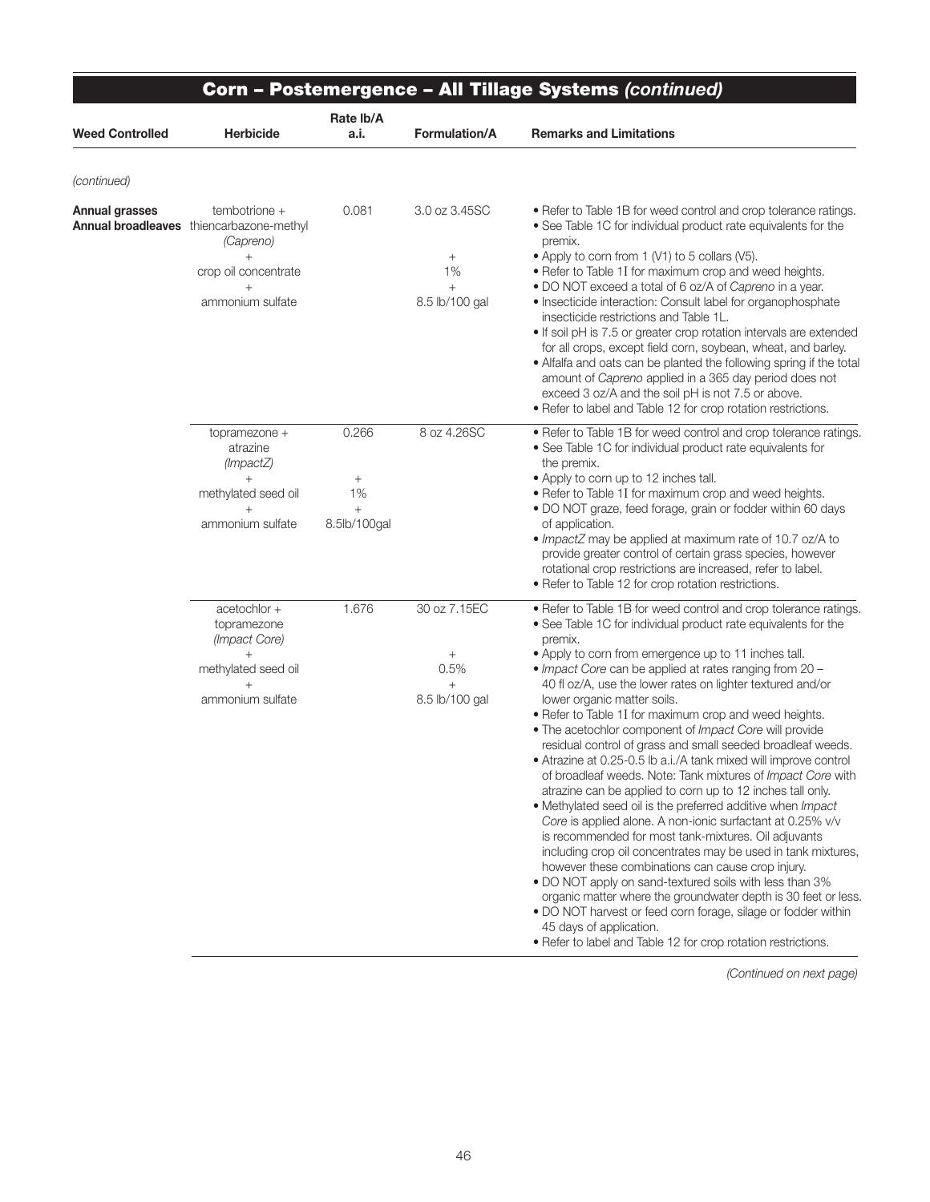|                        |                                                                                                                                            | Rate lb/A                                       |                                                            |                                                                                                                                                                                                                                                                                                                                                                                                                                                                                                                                                                                                                                                                                                                                                                                                                                                                                                                                                                                                                                                                                                                                                                                                                                                                                                                                                               |
|------------------------|--------------------------------------------------------------------------------------------------------------------------------------------|-------------------------------------------------|------------------------------------------------------------|---------------------------------------------------------------------------------------------------------------------------------------------------------------------------------------------------------------------------------------------------------------------------------------------------------------------------------------------------------------------------------------------------------------------------------------------------------------------------------------------------------------------------------------------------------------------------------------------------------------------------------------------------------------------------------------------------------------------------------------------------------------------------------------------------------------------------------------------------------------------------------------------------------------------------------------------------------------------------------------------------------------------------------------------------------------------------------------------------------------------------------------------------------------------------------------------------------------------------------------------------------------------------------------------------------------------------------------------------------------|
| <b>Weed Controlled</b> | <b>Herbicide</b>                                                                                                                           | a.i.                                            | Formulation/A                                              | <b>Remarks and Limitations</b>                                                                                                                                                                                                                                                                                                                                                                                                                                                                                                                                                                                                                                                                                                                                                                                                                                                                                                                                                                                                                                                                                                                                                                                                                                                                                                                                |
| (continued)            |                                                                                                                                            |                                                 |                                                            |                                                                                                                                                                                                                                                                                                                                                                                                                                                                                                                                                                                                                                                                                                                                                                                                                                                                                                                                                                                                                                                                                                                                                                                                                                                                                                                                                               |
| Annual grasses         | tembotrione +<br><b>Annual broadleaves</b> thiencarbazone-methyl<br>(Capreno)<br>$+$<br>crop oil concentrate<br>$^{+}$<br>ammonium sulfate | 0.081                                           | 3.0 oz 3.45SC<br>$^+$<br>1%<br>8.5 lb/100 gal              | • Refer to Table 1B for weed control and crop tolerance ratings.<br>• See Table 1C for individual product rate equivalents for the<br>premix.<br>• Apply to corn from 1 (V1) to 5 collars (V5).<br>. Refer to Table 1I for maximum crop and weed heights.<br>. DO NOT exceed a total of 6 oz/A of Capreno in a year.<br>• Insecticide interaction: Consult label for organophosphate<br>insecticide restrictions and Table 1L.<br>• If soil pH is 7.5 or greater crop rotation intervals are extended<br>for all crops, except field corn, soybean, wheat, and barley.<br>• Alfalfa and oats can be planted the following spring if the total<br>amount of Capreno applied in a 365 day period does not<br>exceed 3 oz/A and the soil pH is not 7.5 or above.<br>. Refer to label and Table 12 for crop rotation restrictions.                                                                                                                                                                                                                                                                                                                                                                                                                                                                                                                                |
|                        | topramezone +<br>atrazine<br>(ImpackZ)<br>methylated seed oil<br>$+$<br>ammonium sulfate                                                   | 0.266<br>$^{+}$<br>1%<br>$^{+}$<br>8.5lb/100gal | 8 oz 4.26SC                                                | . Refer to Table 1B for weed control and crop tolerance ratings.<br>• See Table 1C for individual product rate equivalents for<br>the premix.<br>• Apply to corn up to 12 inches tall.<br>. Refer to Table 1I for maximum crop and weed heights.<br>· DO NOT graze, feed forage, grain or fodder within 60 days<br>of application.<br>. ImpactZ may be applied at maximum rate of 10.7 oz/A to<br>provide greater control of certain grass species, however<br>rotational crop restrictions are increased, refer to label.<br>• Refer to Table 12 for crop rotation restrictions.                                                                                                                                                                                                                                                                                                                                                                                                                                                                                                                                                                                                                                                                                                                                                                             |
|                        | acetochlor +<br>topramezone<br>(Impact Core)<br>$+$<br>methylated seed oil<br>ammonium sulfate                                             | 1.676                                           | 30 oz 7.15EC<br>$^{+}$<br>0.5%<br>$\! +$<br>8.5 lb/100 gal | . Refer to Table 1B for weed control and crop tolerance ratings.<br>• See Table 1C for individual product rate equivalents for the<br>premix.<br>• Apply to corn from emergence up to 11 inches tall.<br>. Impact Core can be applied at rates ranging from 20 -<br>40 fl oz/A, use the lower rates on lighter textured and/or<br>lower organic matter soils.<br>. Refer to Table 1I for maximum crop and weed heights.<br>. The acetochlor component of Impact Core will provide<br>residual control of grass and small seeded broadleaf weeds.<br>• Atrazine at 0.25-0.5 lb a.i./A tank mixed will improve control<br>of broadleaf weeds. Note: Tank mixtures of <i>Impact Core</i> with<br>atrazine can be applied to corn up to 12 inches tall only.<br>• Methylated seed oil is the preferred additive when Impact<br>Core is applied alone. A non-ionic surfactant at 0.25% v/v<br>is recommended for most tank-mixtures. Oil adjuvants<br>including crop oil concentrates may be used in tank mixtures,<br>however these combinations can cause crop injury.<br>. DO NOT apply on sand-textured soils with less than 3%<br>organic matter where the groundwater depth is 30 feet or less.<br>. DO NOT harvest or feed corn forage, silage or fodder within<br>45 days of application.<br>. Refer to label and Table 12 for crop rotation restrictions. |

Ξ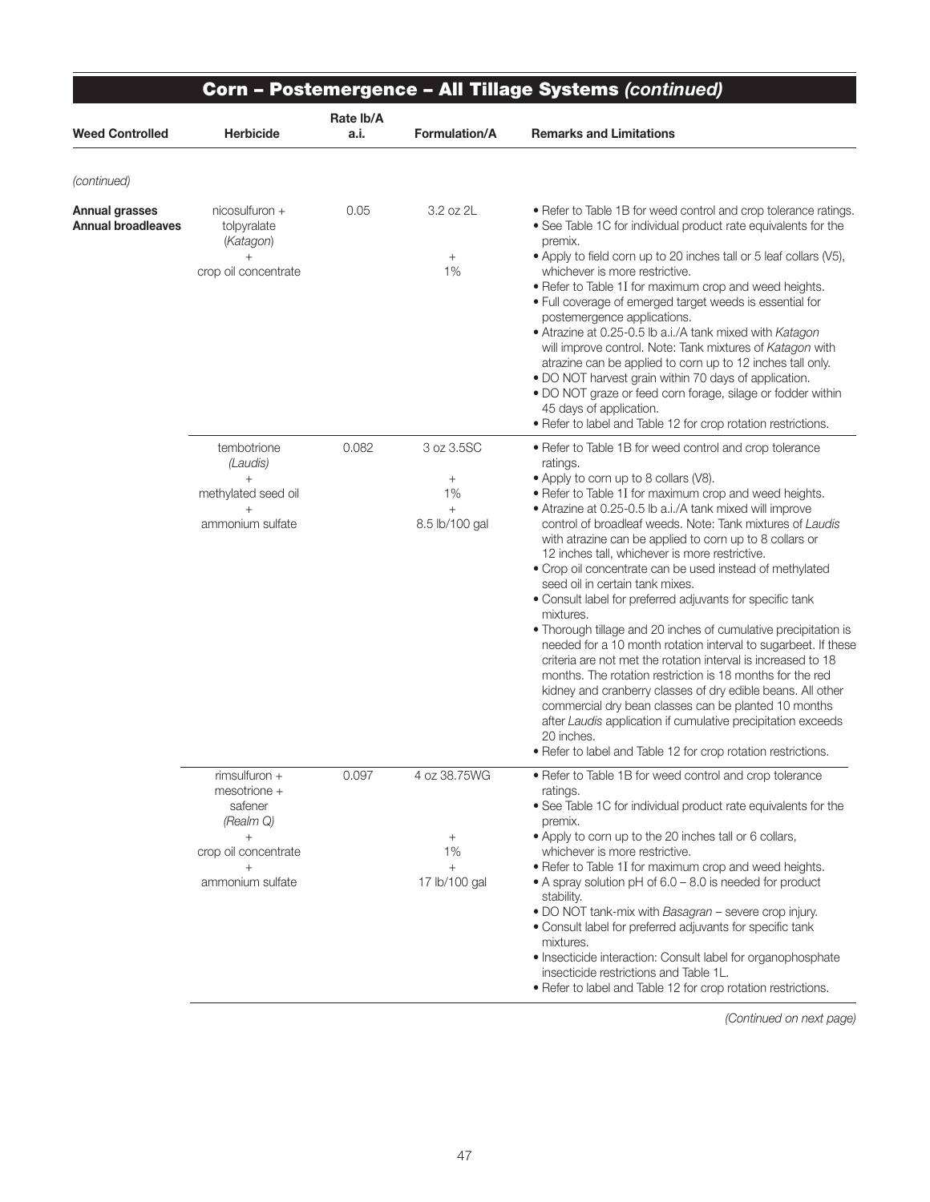|                                                    |                                                                                                          | Rate Ib/A | Corn - Postemergence - All Tillage Systems (continued)  |                                                                                                                                                                                                                                                                                                                                                                                                                                                                                                                                                                                                                                                                                                                                                                                                                                                                                                                                                                                                                                                                                                                                |
|----------------------------------------------------|----------------------------------------------------------------------------------------------------------|-----------|---------------------------------------------------------|--------------------------------------------------------------------------------------------------------------------------------------------------------------------------------------------------------------------------------------------------------------------------------------------------------------------------------------------------------------------------------------------------------------------------------------------------------------------------------------------------------------------------------------------------------------------------------------------------------------------------------------------------------------------------------------------------------------------------------------------------------------------------------------------------------------------------------------------------------------------------------------------------------------------------------------------------------------------------------------------------------------------------------------------------------------------------------------------------------------------------------|
| <b>Weed Controlled</b>                             | <b>Herbicide</b>                                                                                         | a.i.      | <b>Formulation/A</b>                                    | <b>Remarks and Limitations</b>                                                                                                                                                                                                                                                                                                                                                                                                                                                                                                                                                                                                                                                                                                                                                                                                                                                                                                                                                                                                                                                                                                 |
| (continued)                                        |                                                                                                          |           |                                                         |                                                                                                                                                                                                                                                                                                                                                                                                                                                                                                                                                                                                                                                                                                                                                                                                                                                                                                                                                                                                                                                                                                                                |
| <b>Annual grasses</b><br><b>Annual broadleaves</b> | $nicosulfuron +$<br>tolpyralate<br>(Katagon)<br>$^{+}$<br>crop oil concentrate                           | 0.05      | 3.2 oz 2L<br>$^{+}$<br>1%                               | • Refer to Table 1B for weed control and crop tolerance ratings.<br>• See Table 1C for individual product rate equivalents for the<br>premix.<br>• Apply to field corn up to 20 inches tall or 5 leaf collars (V5),<br>whichever is more restrictive.<br>. Refer to Table 1I for maximum crop and weed heights.<br>. Full coverage of emerged target weeds is essential for<br>postemergence applications.<br>• Atrazine at 0.25-0.5 lb a.i./A tank mixed with Katagon<br>will improve control. Note: Tank mixtures of Katagon with<br>atrazine can be applied to corn up to 12 inches tall only.<br>. DO NOT harvest grain within 70 days of application.<br>. DO NOT graze or feed corn forage, silage or fodder within<br>45 days of application.<br>. Refer to label and Table 12 for crop rotation restrictions.                                                                                                                                                                                                                                                                                                          |
|                                                    | tembotrione<br>(Laudis)<br>$^{+}$<br>methylated seed oil<br>$^{+}$<br>ammonium sulfate                   | 0.082     | 3 oz 3.5SC<br>$^{+}$<br>1%<br>$^{+}$<br>8.5 lb/100 gal  | • Refer to Table 1B for weed control and crop tolerance<br>ratings.<br>• Apply to corn up to 8 collars (V8).<br>. Refer to Table 1I for maximum crop and weed heights.<br>• Atrazine at 0.25-0.5 lb a.i./A tank mixed will improve<br>control of broadleaf weeds. Note: Tank mixtures of Laudis<br>with atrazine can be applied to corn up to 8 collars or<br>12 inches tall, whichever is more restrictive.<br>· Crop oil concentrate can be used instead of methylated<br>seed oil in certain tank mixes.<br>• Consult label for preferred adjuvants for specific tank<br>mixtures.<br>• Thorough tillage and 20 inches of cumulative precipitation is<br>needed for a 10 month rotation interval to sugarbeet. If these<br>criteria are not met the rotation interval is increased to 18<br>months. The rotation restriction is 18 months for the red<br>kidney and cranberry classes of dry edible beans. All other<br>commercial dry bean classes can be planted 10 months<br>after Laudis application if cumulative precipitation exceeds<br>20 inches.<br>• Refer to label and Table 12 for crop rotation restrictions. |
|                                                    | rimsulfuron +<br>mesotrione +<br>safener<br>(Realm Q)<br>$+$<br>crop oil concentrate<br>ammonium sulfate | 0.097     | 4 oz 38.75WG<br>$^{+}$<br>1%<br>$^{+}$<br>17 lb/100 gal | • Refer to Table 1B for weed control and crop tolerance<br>ratings.<br>• See Table 1C for individual product rate equivalents for the<br>premix.<br>• Apply to corn up to the 20 inches tall or 6 collars,<br>whichever is more restrictive.<br>. Refer to Table 1I for maximum crop and weed heights.<br>• A spray solution pH of 6.0 – 8.0 is needed for product<br>stability.<br>. DO NOT tank-mix with Basagran - severe crop injury.<br>• Consult label for preferred adjuvants for specific tank<br>mixtures.<br>. Insecticide interaction: Consult label for organophosphate<br>insecticide restrictions and Table 1L.<br>• Refer to label and Table 12 for crop rotation restrictions.                                                                                                                                                                                                                                                                                                                                                                                                                                 |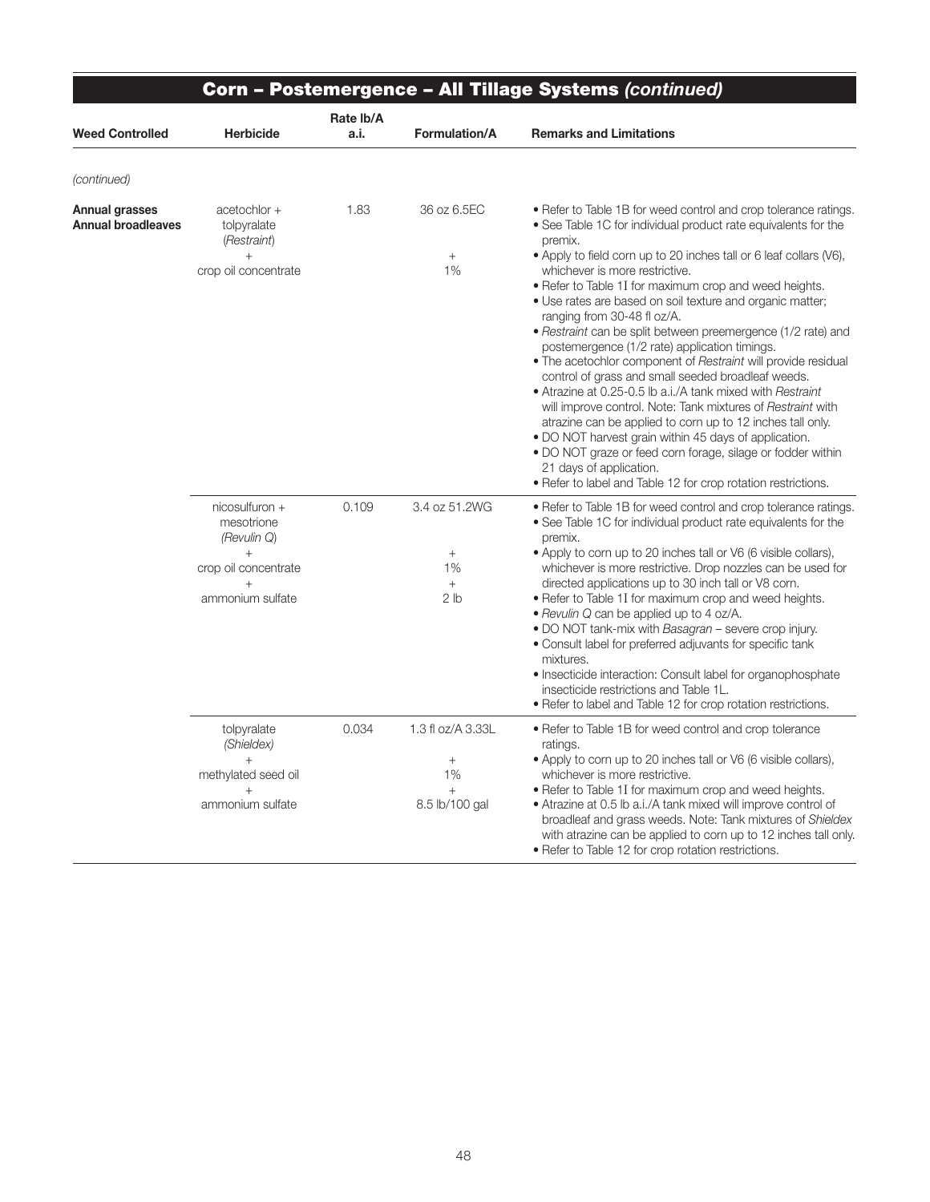| <b>Corn - Postemergence - All Tillage Systems (continued)</b> |                                                                                                             |                   |                                                                  |                                                                                                                                                                                                                                                                                                                                                                                                                                                                                                                                                                                                                                                                                                                                                                                                                                                                                                                                                                                                                                                                    |
|---------------------------------------------------------------|-------------------------------------------------------------------------------------------------------------|-------------------|------------------------------------------------------------------|--------------------------------------------------------------------------------------------------------------------------------------------------------------------------------------------------------------------------------------------------------------------------------------------------------------------------------------------------------------------------------------------------------------------------------------------------------------------------------------------------------------------------------------------------------------------------------------------------------------------------------------------------------------------------------------------------------------------------------------------------------------------------------------------------------------------------------------------------------------------------------------------------------------------------------------------------------------------------------------------------------------------------------------------------------------------|
| <b>Weed Controlled</b>                                        | <b>Herbicide</b>                                                                                            | Rate Ib/A<br>a.i. | <b>Formulation/A</b>                                             | <b>Remarks and Limitations</b>                                                                                                                                                                                                                                                                                                                                                                                                                                                                                                                                                                                                                                                                                                                                                                                                                                                                                                                                                                                                                                     |
| (continued)                                                   |                                                                                                             |                   |                                                                  |                                                                                                                                                                                                                                                                                                                                                                                                                                                                                                                                                                                                                                                                                                                                                                                                                                                                                                                                                                                                                                                                    |
| Annual grasses<br><b>Annual broadleaves</b>                   | acetochlor +<br>tolpyralate<br>(Restraint)<br>$^{+}$<br>crop oil concentrate                                | 1.83              | 36 oz 6.5EC<br>$\! + \!\!\!\!$<br>1%                             | • Refer to Table 1B for weed control and crop tolerance ratings.<br>• See Table 1C for individual product rate equivalents for the<br>premix.<br>• Apply to field corn up to 20 inches tall or 6 leaf collars (V6),<br>whichever is more restrictive.<br>• Refer to Table 1I for maximum crop and weed heights.<br>. Use rates are based on soil texture and organic matter;<br>ranging from 30-48 fl oz/A.<br>· Restraint can be split between preemergence (1/2 rate) and<br>postemergence (1/2 rate) application timings.<br>. The acetochlor component of Restraint will provide residual<br>control of grass and small seeded broadleaf weeds.<br>• Atrazine at 0.25-0.5 lb a.i./A tank mixed with Restraint<br>will improve control. Note: Tank mixtures of Restraint with<br>atrazine can be applied to corn up to 12 inches tall only.<br>• DO NOT harvest grain within 45 days of application.<br>• DO NOT graze or feed corn forage, silage or fodder within<br>21 days of application.<br>. Refer to label and Table 12 for crop rotation restrictions. |
|                                                               | nicosulfuron +<br>mesotrione<br>(Revulin Q)<br>$^{+}$<br>crop oil concentrate<br>$^{+}$<br>ammonium sulfate | 0.109             | 3.4 oz 51.2WG<br>$+$<br>1%<br>$\! + \!\!\!\!$<br>2 <sub>lb</sub> | • Refer to Table 1B for weed control and crop tolerance ratings.<br>. See Table 1C for individual product rate equivalents for the<br>premix.<br>• Apply to corn up to 20 inches tall or V6 (6 visible collars),<br>whichever is more restrictive. Drop nozzles can be used for<br>directed applications up to 30 inch tall or V8 corn.<br>• Refer to Table 1I for maximum crop and weed heights.<br>• Revulin Q can be applied up to 4 oz/A.<br>. DO NOT tank-mix with Basagran - severe crop injury.<br>• Consult label for preferred adjuvants for specific tank<br>mixtures.<br>• Insecticide interaction: Consult label for organophosphate<br>insecticide restrictions and Table 1L.<br>• Refer to label and Table 12 for crop rotation restrictions.                                                                                                                                                                                                                                                                                                        |
|                                                               | tolpyralate<br>(Shieldex)<br>methylated seed oil<br>$^{+}$<br>ammonium sulfate                              | 0.034             | 1.3 fl oz/A 3.33L<br>$^+$<br>1%<br>$^{+}$<br>8.5 lb/100 gal      | • Refer to Table 1B for weed control and crop tolerance<br>ratings.<br>• Apply to corn up to 20 inches tall or V6 (6 visible collars),<br>whichever is more restrictive.<br>• Refer to Table 1I for maximum crop and weed heights.<br>• Atrazine at 0.5 lb a.i./A tank mixed will improve control of<br>broadleaf and grass weeds. Note: Tank mixtures of Shieldex<br>with atrazine can be applied to corn up to 12 inches tall only.<br>• Refer to Table 12 for crop rotation restrictions.                                                                                                                                                                                                                                                                                                                                                                                                                                                                                                                                                                       |

∍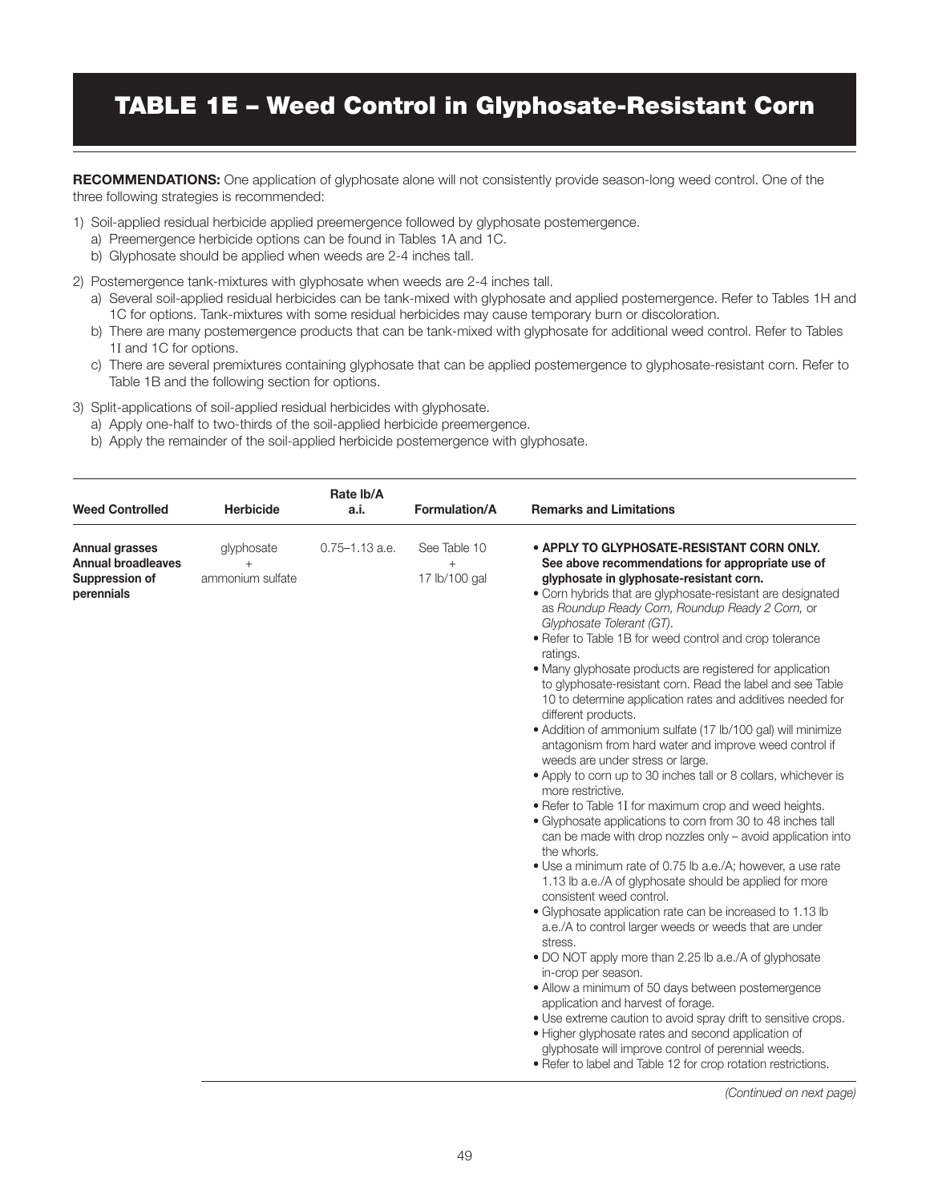# TABLE 1E – Weed Control in Glyphosate-Resistant Corn

**RECOMMENDATIONS:** One application of glyphosate alone will not consistently provide season-long weed control. One of the three following strategies is recommended:

- 1) Soil-applied residual herbicide applied preemergence followed by glyphosate postemergence.
	- a) Preemergence herbicide options can be found in Tables 1A and 1C.
	- b) Glyphosate should be applied when weeds are 2-4 inches tall.
- 2) Postemergence tank-mixtures with glyphosate when weeds are 2-4 inches tall.
	- a) Several soil-applied residual herbicides can be tank-mixed with glyphosate and applied postemergence. Refer to Tables 1H and 1C for options. Tank-mixtures with some residual herbicides may cause temporary burn or discoloration.
	- b) There are many postemergence products that can be tank-mixed with glyphosate for additional weed control. Refer to Tables 1I and 1C for options.
	- c) There are several premixtures containing glyphosate that can be applied postemergence to glyphosate-resistant corn. Refer to Table 1B and the following section for options.
- 3) Split-applications of soil-applied residual herbicides with glyphosate.
	- a) Apply one-half to two-thirds of the soil-applied herbicide preemergence.
	- b) Apply the remainder of the soil-applied herbicide postemergence with glyphosate.

| <b>Weed Controlled</b>                                                             | <b>Herbicide</b>                         | Rate Ib/A<br>a.i.  | Formulation/A                        | <b>Remarks and Limitations</b>                                                                                                                                                                                                                                                                                                                                                                                                                                                                                                                                                                                                                                                                                                                                                                                                                                                                                                                                                                                                                                                                                                                                                                                                                                                                                                                                                                                                                                                                                                                                                                                                                                                                                                                                     |
|------------------------------------------------------------------------------------|------------------------------------------|--------------------|--------------------------------------|--------------------------------------------------------------------------------------------------------------------------------------------------------------------------------------------------------------------------------------------------------------------------------------------------------------------------------------------------------------------------------------------------------------------------------------------------------------------------------------------------------------------------------------------------------------------------------------------------------------------------------------------------------------------------------------------------------------------------------------------------------------------------------------------------------------------------------------------------------------------------------------------------------------------------------------------------------------------------------------------------------------------------------------------------------------------------------------------------------------------------------------------------------------------------------------------------------------------------------------------------------------------------------------------------------------------------------------------------------------------------------------------------------------------------------------------------------------------------------------------------------------------------------------------------------------------------------------------------------------------------------------------------------------------------------------------------------------------------------------------------------------------|
| <b>Annual grasses</b><br><b>Annual broadleaves</b><br>Suppression of<br>perennials | glyphosate<br>$^{+}$<br>ammonium sulfate | $0.75 - 1.13$ a.e. | See Table 10<br>$+$<br>17 lb/100 gal | • APPLY TO GLYPHOSATE-RESISTANT CORN ONLY.<br>See above recommendations for appropriate use of<br>glyphosate in glyphosate-resistant corn.<br>• Corn hybrids that are glyphosate-resistant are designated<br>as Roundup Ready Corn, Roundup Ready 2 Corn, or<br>Glyphosate Tolerant (GT).<br>• Refer to Table 1B for weed control and crop tolerance<br>ratings.<br>• Many glyphosate products are registered for application<br>to glyphosate-resistant corn. Read the label and see Table<br>10 to determine application rates and additives needed for<br>different products.<br>• Addition of ammonium sulfate (17 lb/100 gal) will minimize<br>antagonism from hard water and improve weed control if<br>weeds are under stress or large.<br>• Apply to corn up to 30 inches tall or 8 collars, whichever is<br>more restrictive.<br>. Refer to Table 1I for maximum crop and weed heights.<br>· Glyphosate applications to corn from 30 to 48 inches tall<br>can be made with drop nozzles only - avoid application into<br>the whorls.<br>• Use a minimum rate of 0.75 lb a.e./A; however, a use rate<br>1.13 lb a.e./A of glyphosate should be applied for more<br>consistent weed control.<br>• Glyphosate application rate can be increased to 1.13 lb<br>a.e./A to control larger weeds or weeds that are under<br>stress.<br>. DO NOT apply more than 2.25 lb a.e./A of glyphosate<br>in-crop per season.<br>• Allow a minimum of 50 days between postemergence<br>application and harvest of forage.<br>. Use extreme caution to avoid spray drift to sensitive crops.<br>• Higher glyphosate rates and second application of<br>glyphosate will improve control of perennial weeds.<br>• Refer to label and Table 12 for crop rotation restrictions. |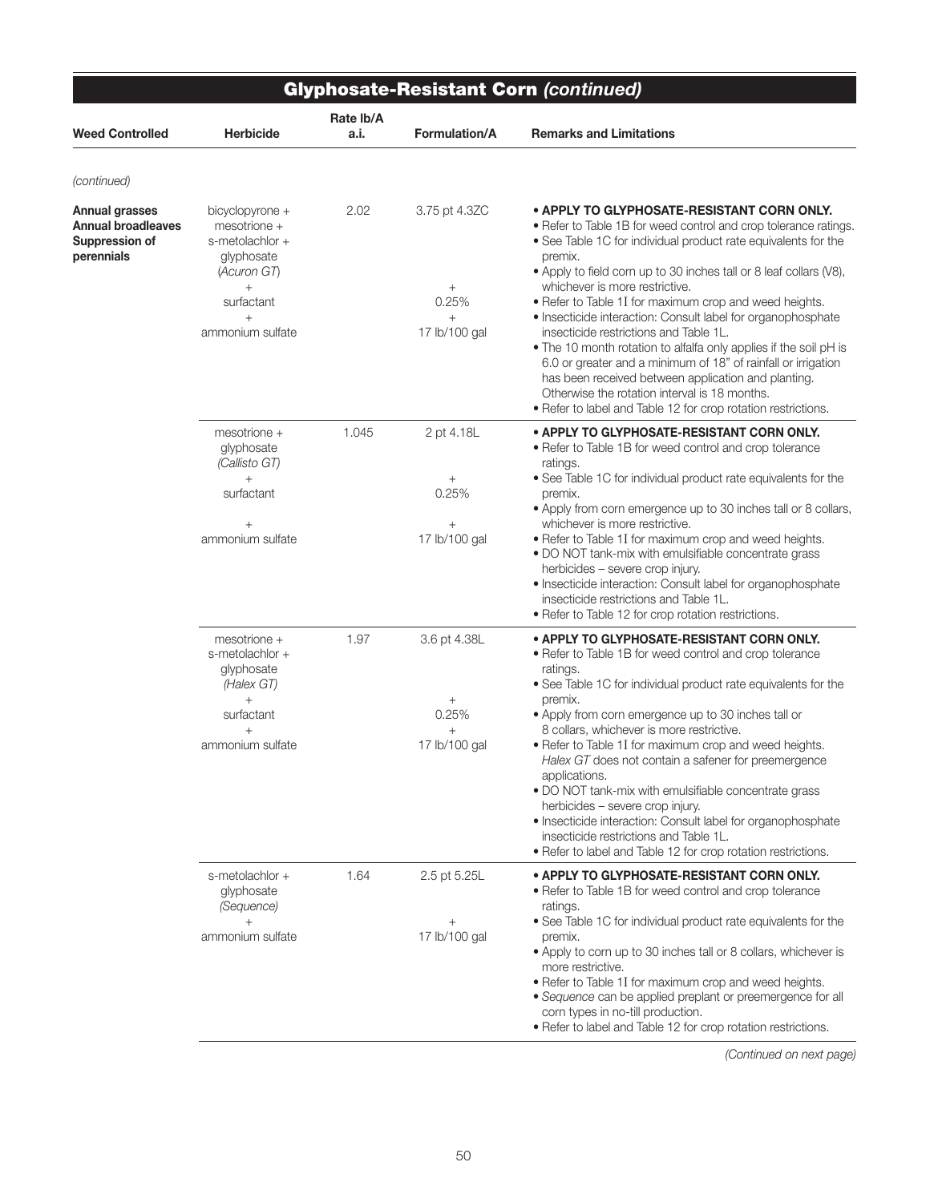|                                                                      | <b>Glyphosate-Resistant Corn (continued)</b>                                                                                       |                   |                                                             |                                                                                                                                                                                                                                                                                                                                                                                                                                                                                                                                                                                                                                                                                                                                                                                        |  |  |
|----------------------------------------------------------------------|------------------------------------------------------------------------------------------------------------------------------------|-------------------|-------------------------------------------------------------|----------------------------------------------------------------------------------------------------------------------------------------------------------------------------------------------------------------------------------------------------------------------------------------------------------------------------------------------------------------------------------------------------------------------------------------------------------------------------------------------------------------------------------------------------------------------------------------------------------------------------------------------------------------------------------------------------------------------------------------------------------------------------------------|--|--|
| <b>Weed Controlled</b>                                               | <b>Herbicide</b>                                                                                                                   | Rate Ib/A<br>a.i. | <b>Formulation/A</b>                                        | <b>Remarks and Limitations</b>                                                                                                                                                                                                                                                                                                                                                                                                                                                                                                                                                                                                                                                                                                                                                         |  |  |
| (continued)                                                          |                                                                                                                                    |                   |                                                             |                                                                                                                                                                                                                                                                                                                                                                                                                                                                                                                                                                                                                                                                                                                                                                                        |  |  |
| Annual grasses<br>Annual broadleaves<br>Suppression of<br>perennials | bicyclopyrone +<br>mesotrione +<br>s-metolachlor +<br>glyphosate<br>(Acuron GT)<br>$^{+}$<br>surfactant<br>$+$<br>ammonium sulfate | 2.02              | 3.75 pt 4.3ZC<br>$^{+}$<br>0.25%<br>$\! +$<br>17 lb/100 gal | • APPLY TO GLYPHOSATE-RESISTANT CORN ONLY.<br>• Refer to Table 1B for weed control and crop tolerance ratings.<br>• See Table 1C for individual product rate equivalents for the<br>premix.<br>• Apply to field corn up to 30 inches tall or 8 leaf collars (V8),<br>whichever is more restrictive.<br>. Refer to Table 1I for maximum crop and weed heights.<br>. Insecticide interaction: Consult label for organophosphate<br>insecticide restrictions and Table 1L.<br>. The 10 month rotation to alfalfa only applies if the soil pH is<br>6.0 or greater and a minimum of 18" of rainfall or irrigation<br>has been received between application and planting.<br>Otherwise the rotation interval is 18 months.<br>• Refer to label and Table 12 for crop rotation restrictions. |  |  |
|                                                                      | mesotrione +<br>glyphosate<br>(Callisto GT)<br>$+$<br>surfactant                                                                   | 1.045             | 2 pt 4.18L<br>0.25%                                         | • APPLY TO GLYPHOSATE-RESISTANT CORN ONLY.<br>• Refer to Table 1B for weed control and crop tolerance<br>ratings.<br>• See Table 1C for individual product rate equivalents for the<br>premix.<br>• Apply from corn emergence up to 30 inches tall or 8 collars,                                                                                                                                                                                                                                                                                                                                                                                                                                                                                                                       |  |  |
|                                                                      | ammonium sulfate                                                                                                                   |                   | $^{+}$<br>17 lb/100 gal                                     | whichever is more restrictive.<br>. Refer to Table 1I for maximum crop and weed heights.<br>• DO NOT tank-mix with emulsifiable concentrate grass<br>herbicides - severe crop injury.<br>• Insecticide interaction: Consult label for organophosphate<br>insecticide restrictions and Table 1L.<br>• Refer to Table 12 for crop rotation restrictions.                                                                                                                                                                                                                                                                                                                                                                                                                                 |  |  |
|                                                                      | $mesotrione +$<br>s-metolachlor +<br>glyphosate<br>(Halex GT)<br>$+$<br>surfactant<br>ammonium sulfate                             | 1.97              | 3.6 pt 4.38L<br>$^{+}$<br>0.25%<br>$^{+}$<br>17 lb/100 gal  | • APPLY TO GLYPHOSATE-RESISTANT CORN ONLY.<br>• Refer to Table 1B for weed control and crop tolerance<br>ratings.<br>• See Table 1C for individual product rate equivalents for the<br>premix.<br>. Apply from corn emergence up to 30 inches tall or<br>8 collars, whichever is more restrictive.<br>. Refer to Table 1I for maximum crop and weed heights.<br>Halex GT does not contain a safener for preemergence<br>applications.<br>. DO NOT tank-mix with emulsifiable concentrate grass<br>herbicides - severe crop injury.<br>• Insecticide interaction: Consult label for organophosphate<br>insecticide restrictions and Table 1L.<br>· Refer to label and Table 12 for crop rotation restrictions.                                                                          |  |  |
|                                                                      | s-metolachlor +<br>glyphosate<br>(Sequence)<br>$^{+}$<br>ammonium sulfate                                                          | 1.64              | 2.5 pt 5.25L<br>$^{+}$<br>17 lb/100 gal                     | • APPLY TO GLYPHOSATE-RESISTANT CORN ONLY.<br>• Refer to Table 1B for weed control and crop tolerance<br>ratings.<br>• See Table 1C for individual product rate equivalents for the<br>premix.<br>• Apply to corn up to 30 inches tall or 8 collars, whichever is<br>more restrictive.<br>• Refer to Table 1I for maximum crop and weed heights.<br>• Sequence can be applied preplant or preemergence for all<br>corn types in no-till production.<br>. Refer to label and Table 12 for crop rotation restrictions.                                                                                                                                                                                                                                                                   |  |  |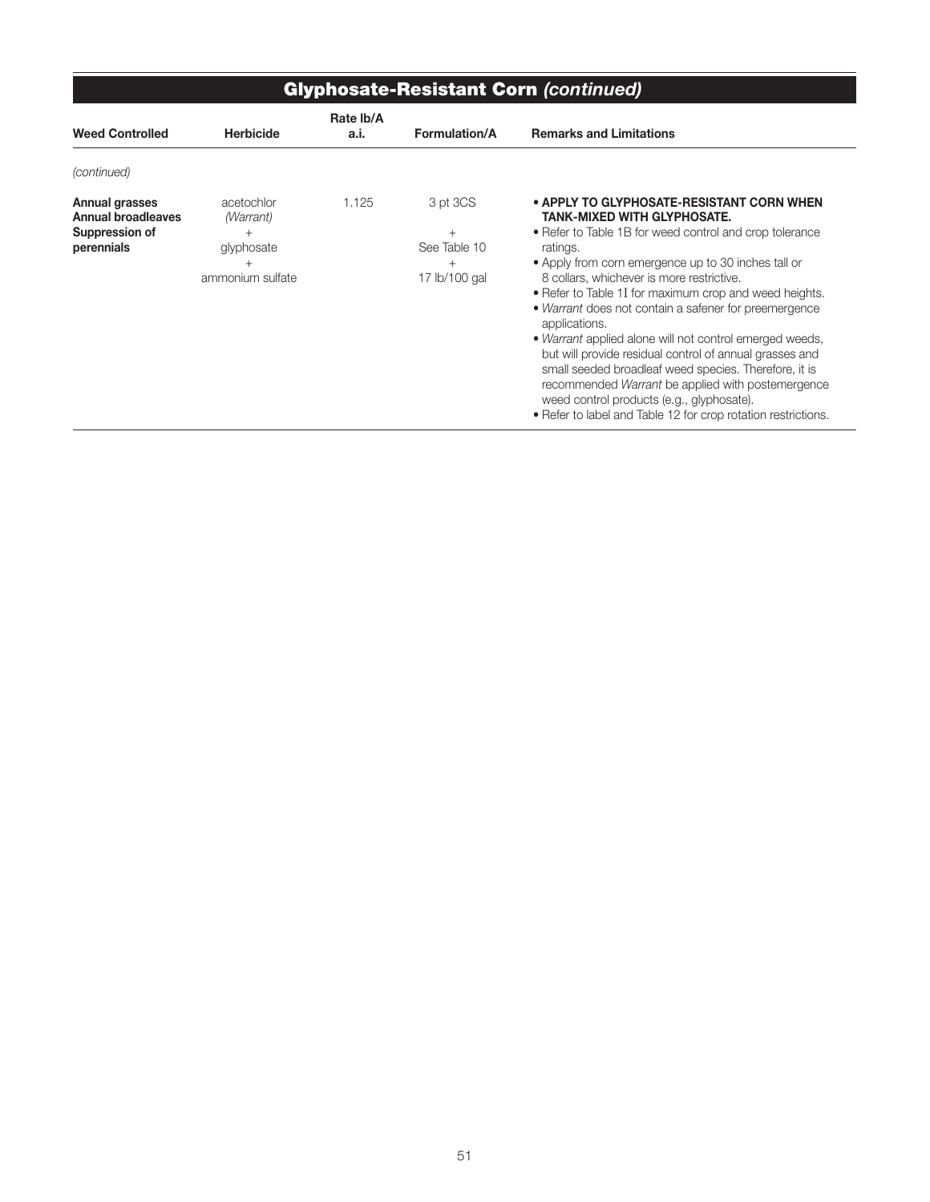|                                                                             | <b>Glyphosate-Resistant Corn (continued)</b>                        |                   |                                                         |                                                                                                                                                                                                                                                                                                                                                                                                                                                                                                                                                                                                                                                                                                                                                  |
|-----------------------------------------------------------------------------|---------------------------------------------------------------------|-------------------|---------------------------------------------------------|--------------------------------------------------------------------------------------------------------------------------------------------------------------------------------------------------------------------------------------------------------------------------------------------------------------------------------------------------------------------------------------------------------------------------------------------------------------------------------------------------------------------------------------------------------------------------------------------------------------------------------------------------------------------------------------------------------------------------------------------------|
| <b>Weed Controlled</b>                                                      | <b>Herbicide</b>                                                    | Rate Ib/A<br>a.i. | <b>Formulation/A</b>                                    | <b>Remarks and Limitations</b>                                                                                                                                                                                                                                                                                                                                                                                                                                                                                                                                                                                                                                                                                                                   |
| (continued)                                                                 |                                                                     |                   |                                                         |                                                                                                                                                                                                                                                                                                                                                                                                                                                                                                                                                                                                                                                                                                                                                  |
| Annual grasses<br><b>Annual broadleaves</b><br>Suppression of<br>perennials | acetochlor<br>(Warrant)<br>$^{+}$<br>glyphosate<br>ammonium sulfate | 1.125             | 3 pt 3CS<br>$+$<br>See Table 10<br>$+$<br>17 lb/100 gal | • APPLY TO GLYPHOSATE-RESISTANT CORN WHEN<br><b>TANK-MIXED WITH GLYPHOSATE.</b><br>• Refer to Table 1B for weed control and crop tolerance<br>ratings.<br>• Apply from corn emergence up to 30 inches tall or<br>8 collars, whichever is more restrictive.<br>• Refer to Table 1I for maximum crop and weed heights.<br>• Warrant does not contain a safener for preemergence<br>applications.<br>• Warrant applied alone will not control emerged weeds,<br>but will provide residual control of annual grasses and<br>small seeded broadleaf weed species. Therefore, it is<br>recommended Warrant be applied with postemergence<br>weed control products (e.g., glyphosate).<br>• Refer to label and Table 12 for crop rotation restrictions. |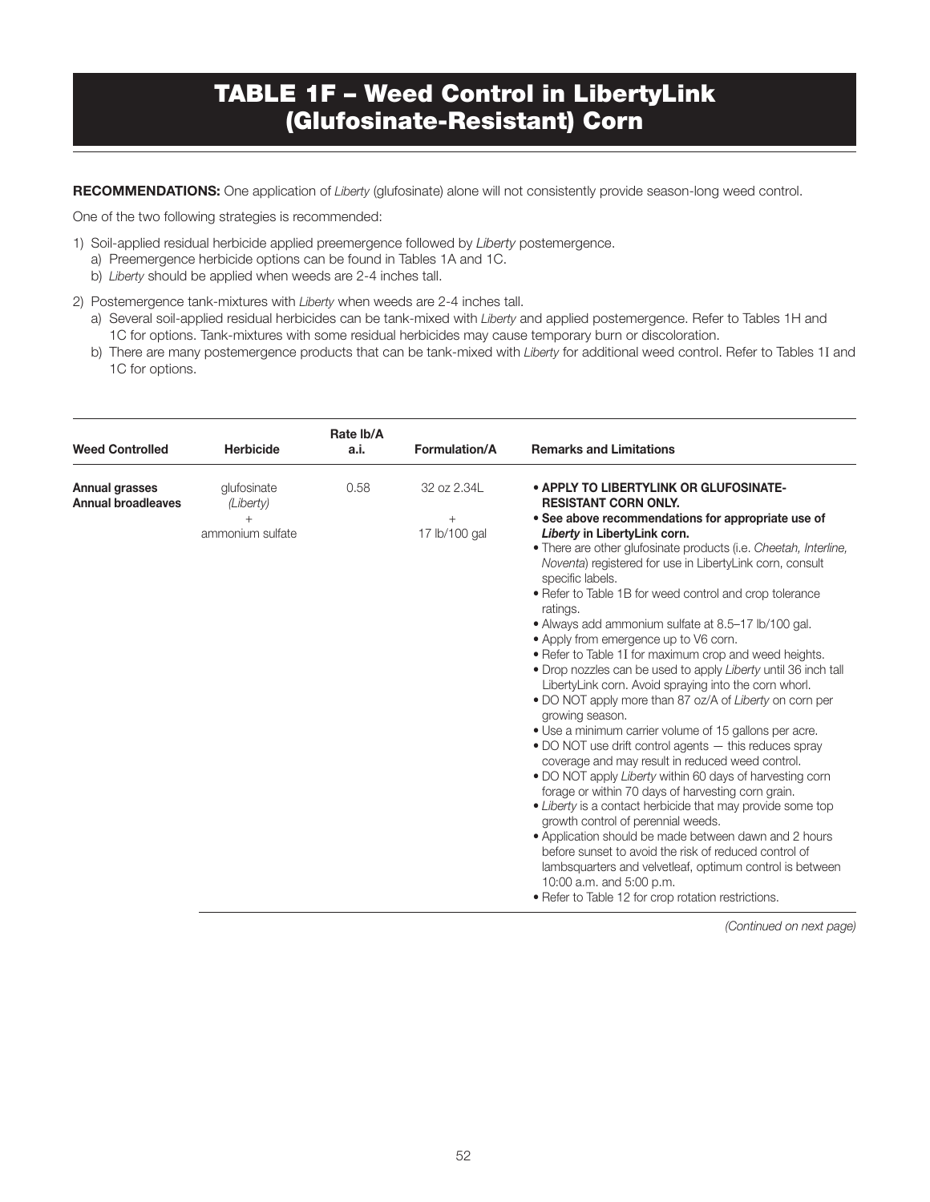### TABLE 1F – Weed Control in LibertyLink (Glufosinate-Resistant) Corn

RECOMMENDATIONS: One application of *Liberty* (glufosinate) alone will not consistently provide season-long weed control.

One of the two following strategies is recommended:

- 1) Soil-applied residual herbicide applied preemergence followed by *Liberty* postemergence.
	- a) Preemergence herbicide options can be found in Tables 1A and 1C.
	- b) *Liberty* should be applied when weeds are 2-4 inches tall.
- 2) Postemergence tank-mixtures with *Liberty* when weeds are 2-4 inches tall.
	- a) Several soil-applied residual herbicides can be tank-mixed with *Liberty* and applied postemergence. Refer to Tables 1H and 1C for options. Tank-mixtures with some residual herbicides may cause temporary burn or discoloration.
	- b) There are many postemergence products that can be tank-mixed with *Liberty* for additional weed control. Refer to Tables 1I and 1C for options.

| <b>Weed Controlled</b>                      | <b>Herbicide</b>                             | Rate Ib/A<br>a.i. | Formulation/A                          | <b>Remarks and Limitations</b>                                                                                                                                                                                                                                                                                                                                                                                                                                                                                                                                                                                                                                                                                                                                                                                                                                                                                                                                                                                                                                                                                                                                                                                                                                                                                                                                                                                           |
|---------------------------------------------|----------------------------------------------|-------------------|----------------------------------------|--------------------------------------------------------------------------------------------------------------------------------------------------------------------------------------------------------------------------------------------------------------------------------------------------------------------------------------------------------------------------------------------------------------------------------------------------------------------------------------------------------------------------------------------------------------------------------------------------------------------------------------------------------------------------------------------------------------------------------------------------------------------------------------------------------------------------------------------------------------------------------------------------------------------------------------------------------------------------------------------------------------------------------------------------------------------------------------------------------------------------------------------------------------------------------------------------------------------------------------------------------------------------------------------------------------------------------------------------------------------------------------------------------------------------|
| Annual grasses<br><b>Annual broadleaves</b> | glufosinate<br>(Liberty)<br>ammonium sulfate | 0.58              | 32 oz 2.34L<br>$^{+}$<br>17 lb/100 gal | • APPLY TO LIBERTYLINK OR GLUFOSINATE-<br><b>RESISTANT CORN ONLY.</b><br>• See above recommendations for appropriate use of<br>Liberty in LibertyLink corn.<br>. There are other glufosinate products (i.e. Cheetah, Interline,<br>Noventa) registered for use in LibertyLink corn, consult<br>specific labels.<br>• Refer to Table 1B for weed control and crop tolerance<br>ratings.<br>• Always add ammonium sulfate at 8.5–17 lb/100 gal.<br>• Apply from emergence up to V6 corn.<br>. Refer to Table 1I for maximum crop and weed heights.<br>. Drop nozzles can be used to apply Liberty until 36 inch tall<br>LibertyLink corn. Avoid spraying into the corn whorl.<br>. DO NOT apply more than 87 oz/A of Liberty on corn per<br>growing season.<br>• Use a minimum carrier volume of 15 gallons per acre.<br>• DO NOT use drift control agents - this reduces spray<br>coverage and may result in reduced weed control.<br>• DO NOT apply Liberty within 60 days of harvesting corn<br>forage or within 70 days of harvesting corn grain.<br>• Liberty is a contact herbicide that may provide some top<br>growth control of perennial weeds.<br>• Application should be made between dawn and 2 hours<br>before sunset to avoid the risk of reduced control of<br>lambsquarters and velvetleaf, optimum control is between<br>10:00 a.m. and 5:00 p.m.<br>• Refer to Table 12 for crop rotation restrictions. |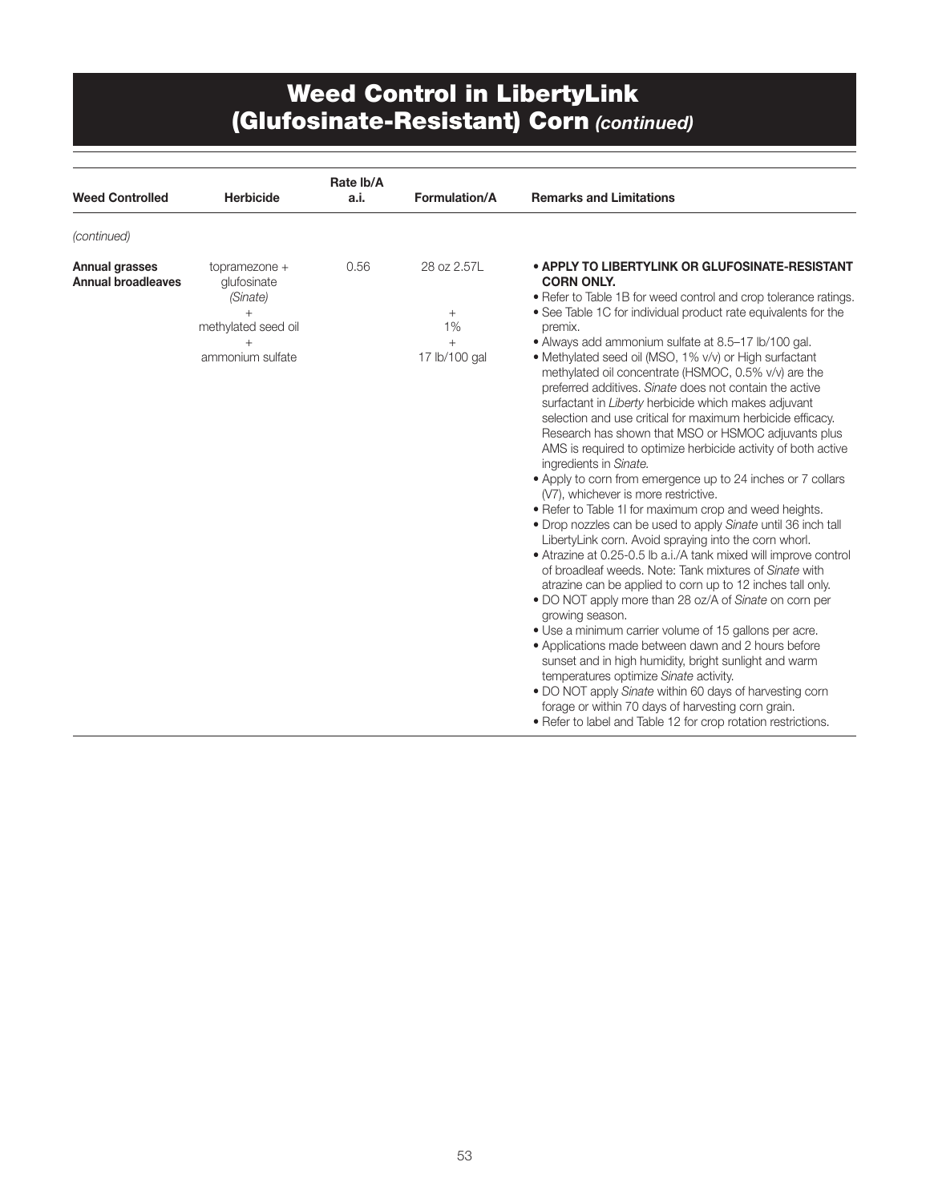#### Weed Control in LibertyLink (Glufosinate-Resistant) Corn *(continued)*

| <b>Weed Controlled</b>                             | <b>Herbicide</b>                                                                    | Rate Ib/A<br>a.i. | Formulation/A                                       | <b>Remarks and Limitations</b>                                                                                                                                                                                                                                                                                                                                                                                                                                                                                                                                                                                                                                                                                                                                                                                                                                                                                                                                                                                                                                                                                                                                                                                                                                                                                                                                                                                                                                                                                                                                                                                                                                                                              |
|----------------------------------------------------|-------------------------------------------------------------------------------------|-------------------|-----------------------------------------------------|-------------------------------------------------------------------------------------------------------------------------------------------------------------------------------------------------------------------------------------------------------------------------------------------------------------------------------------------------------------------------------------------------------------------------------------------------------------------------------------------------------------------------------------------------------------------------------------------------------------------------------------------------------------------------------------------------------------------------------------------------------------------------------------------------------------------------------------------------------------------------------------------------------------------------------------------------------------------------------------------------------------------------------------------------------------------------------------------------------------------------------------------------------------------------------------------------------------------------------------------------------------------------------------------------------------------------------------------------------------------------------------------------------------------------------------------------------------------------------------------------------------------------------------------------------------------------------------------------------------------------------------------------------------------------------------------------------------|
| (continued)                                        |                                                                                     |                   |                                                     |                                                                                                                                                                                                                                                                                                                                                                                                                                                                                                                                                                                                                                                                                                                                                                                                                                                                                                                                                                                                                                                                                                                                                                                                                                                                                                                                                                                                                                                                                                                                                                                                                                                                                                             |
| <b>Annual grasses</b><br><b>Annual broadleaves</b> | topramezone +<br>glufosinate<br>(Sinate)<br>methylated seed oil<br>ammonium sulfate | 0.56              | 28 oz 2.57L<br>$+$<br>1%<br>$^{+}$<br>17 lb/100 gal | • APPLY TO LIBERTYLINK OR GLUFOSINATE-RESISTANT<br><b>CORN ONLY.</b><br>• Refer to Table 1B for weed control and crop tolerance ratings.<br>• See Table 1C for individual product rate equivalents for the<br>premix.<br>• Always add ammonium sulfate at 8.5-17 lb/100 gal.<br>• Methylated seed oil (MSO, 1% v/v) or High surfactant<br>methylated oil concentrate (HSMOC, 0.5% v/v) are the<br>preferred additives. Sinate does not contain the active<br>surfactant in Liberty herbicide which makes adjuvant<br>selection and use critical for maximum herbicide efficacy.<br>Research has shown that MSO or HSMOC adjuvants plus<br>AMS is required to optimize herbicide activity of both active<br>ingredients in Sinate.<br>• Apply to corn from emergence up to 24 inches or 7 collars<br>(V7), whichever is more restrictive.<br>. Refer to Table 1I for maximum crop and weed heights.<br>• Drop nozzles can be used to apply Sinate until 36 inch tall<br>LibertyLink corn. Avoid spraying into the corn whorl.<br>• Atrazine at 0.25-0.5 lb a.i./A tank mixed will improve control<br>of broadleaf weeds. Note: Tank mixtures of Sinate with<br>atrazine can be applied to corn up to 12 inches tall only.<br>• DO NOT apply more than 28 oz/A of Sinate on corn per<br>growing season.<br>• Use a minimum carrier volume of 15 gallons per acre.<br>• Applications made between dawn and 2 hours before<br>sunset and in high humidity, bright sunlight and warm<br>temperatures optimize Sinate activity.<br>. DO NOT apply Sinate within 60 days of harvesting corn<br>forage or within 70 days of harvesting corn grain.<br>• Refer to label and Table 12 for crop rotation restrictions. |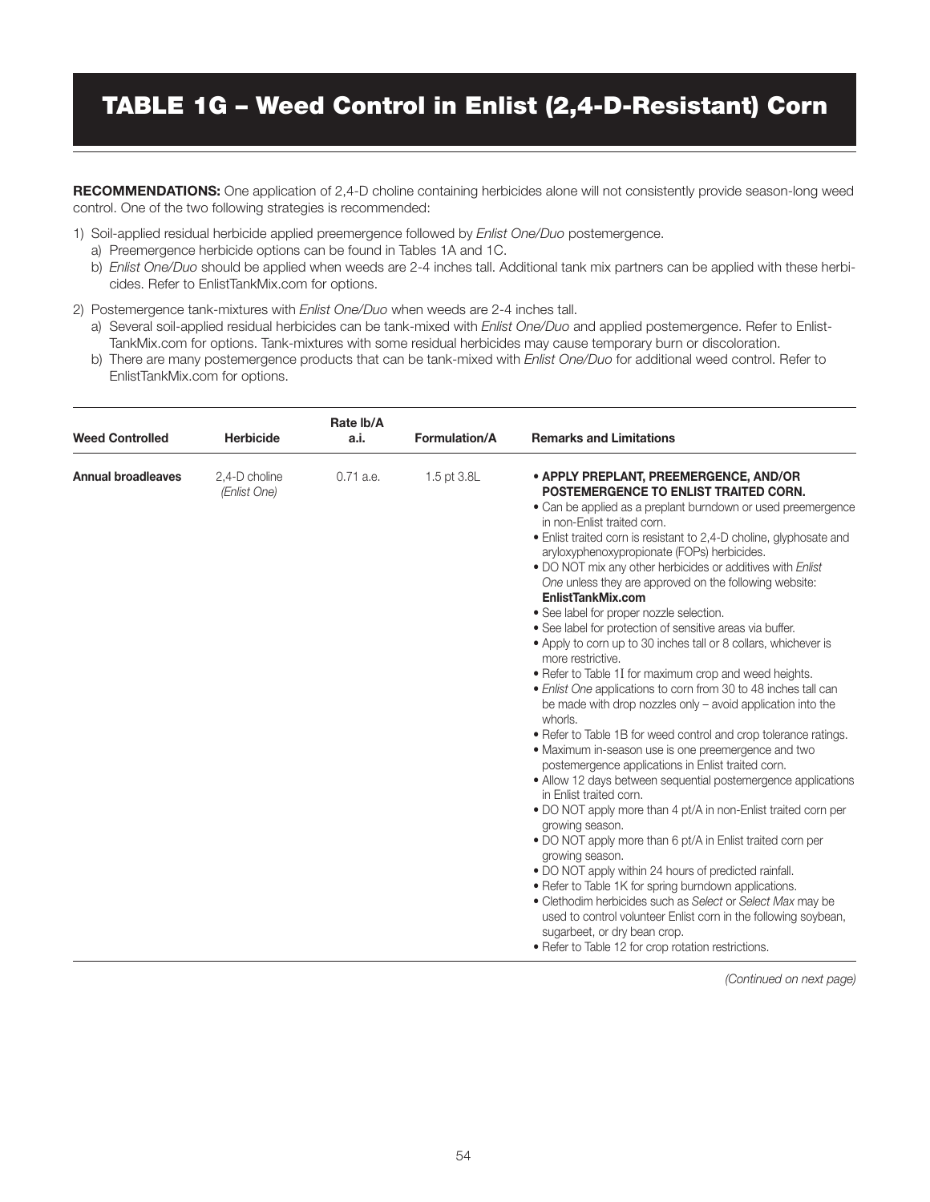# TABLE 1G – Weed Control in Enlist (2,4-D-Resistant) Corn

RECOMMENDATIONS: One application of 2,4-D choline containing herbicides alone will not consistently provide season-long weed control. One of the two following strategies is recommended:

- 1) Soil-applied residual herbicide applied preemergence followed by *Enlist One/Duo* postemergence.
	- a) Preemergence herbicide options can be found in Tables 1A and 1C.
	- b) *Enlist One/Duo* should be applied when weeds are 2-4 inches tall. Additional tank mix partners can be applied with these herbicides. Refer to EnlistTankMix.com for options.
- 2) Postemergence tank-mixtures with *Enlist One/Duo* when weeds are 2-4 inches tall.
	- a) Several soil-applied residual herbicides can be tank-mixed with *Enlist One/Duo* and applied postemergence. Refer to Enlist-TankMix.com for options. Tank-mixtures with some residual herbicides may cause temporary burn or discoloration.
	- b) There are many postemergence products that can be tank-mixed with *Enlist One/Duo* for additional weed control. Refer to EnlistTankMix.com for options.

| <b>Weed Controlled</b>    | <b>Herbicide</b>              | Rate Ib/A<br>a.i. | Formulation/A | <b>Remarks and Limitations</b>                                                                                                                                                                                                                                                                                                                                                                                                                                                                                                                                                                                                                                                                                                                                                                                                                                                                                                                                                                                                                                                                                                                                                                                                                                                                                                                                                                                                                                                                                                                                                                                                                         |
|---------------------------|-------------------------------|-------------------|---------------|--------------------------------------------------------------------------------------------------------------------------------------------------------------------------------------------------------------------------------------------------------------------------------------------------------------------------------------------------------------------------------------------------------------------------------------------------------------------------------------------------------------------------------------------------------------------------------------------------------------------------------------------------------------------------------------------------------------------------------------------------------------------------------------------------------------------------------------------------------------------------------------------------------------------------------------------------------------------------------------------------------------------------------------------------------------------------------------------------------------------------------------------------------------------------------------------------------------------------------------------------------------------------------------------------------------------------------------------------------------------------------------------------------------------------------------------------------------------------------------------------------------------------------------------------------------------------------------------------------------------------------------------------------|
| <b>Annual broadleaves</b> | 2,4-D choline<br>(Enlist One) | 0.71 a.e.         | 1.5 pt 3.8L   | • APPLY PREPLANT, PREEMERGENCE, AND/OR<br>POSTEMERGENCE TO ENLIST TRAITED CORN.<br>• Can be applied as a preplant burndown or used preemergence<br>in non-Enlist traited corn.<br>• Enlist traited corn is resistant to 2,4-D choline, glyphosate and<br>aryloxyphenoxypropionate (FOPs) herbicides.<br>. DO NOT mix any other herbicides or additives with Enlist<br>One unless they are approved on the following website:<br>EnlistTankMix.com<br>· See label for proper nozzle selection.<br>• See label for protection of sensitive areas via buffer.<br>• Apply to corn up to 30 inches tall or 8 collars, whichever is<br>more restrictive.<br>• Refer to Table 1I for maximum crop and weed heights.<br>• Enlist One applications to corn from 30 to 48 inches tall can<br>be made with drop nozzles only - avoid application into the<br>whorls.<br>• Refer to Table 1B for weed control and crop tolerance ratings.<br>• Maximum in-season use is one preemergence and two<br>postemergence applications in Enlist traited corn.<br>• Allow 12 days between sequential postemergence applications<br>in Enlist traited corn.<br>• DO NOT apply more than 4 pt/A in non-Enlist traited corn per<br>growing season.<br>. DO NOT apply more than 6 pt/A in Enlist traited corn per<br>growing season.<br>. DO NOT apply within 24 hours of predicted rainfall.<br>• Refer to Table 1K for spring burndown applications.<br>• Clethodim herbicides such as Select or Select Max may be<br>used to control volunteer Enlist corn in the following soybean,<br>sugarbeet, or dry bean crop.<br>• Refer to Table 12 for crop rotation restrictions. |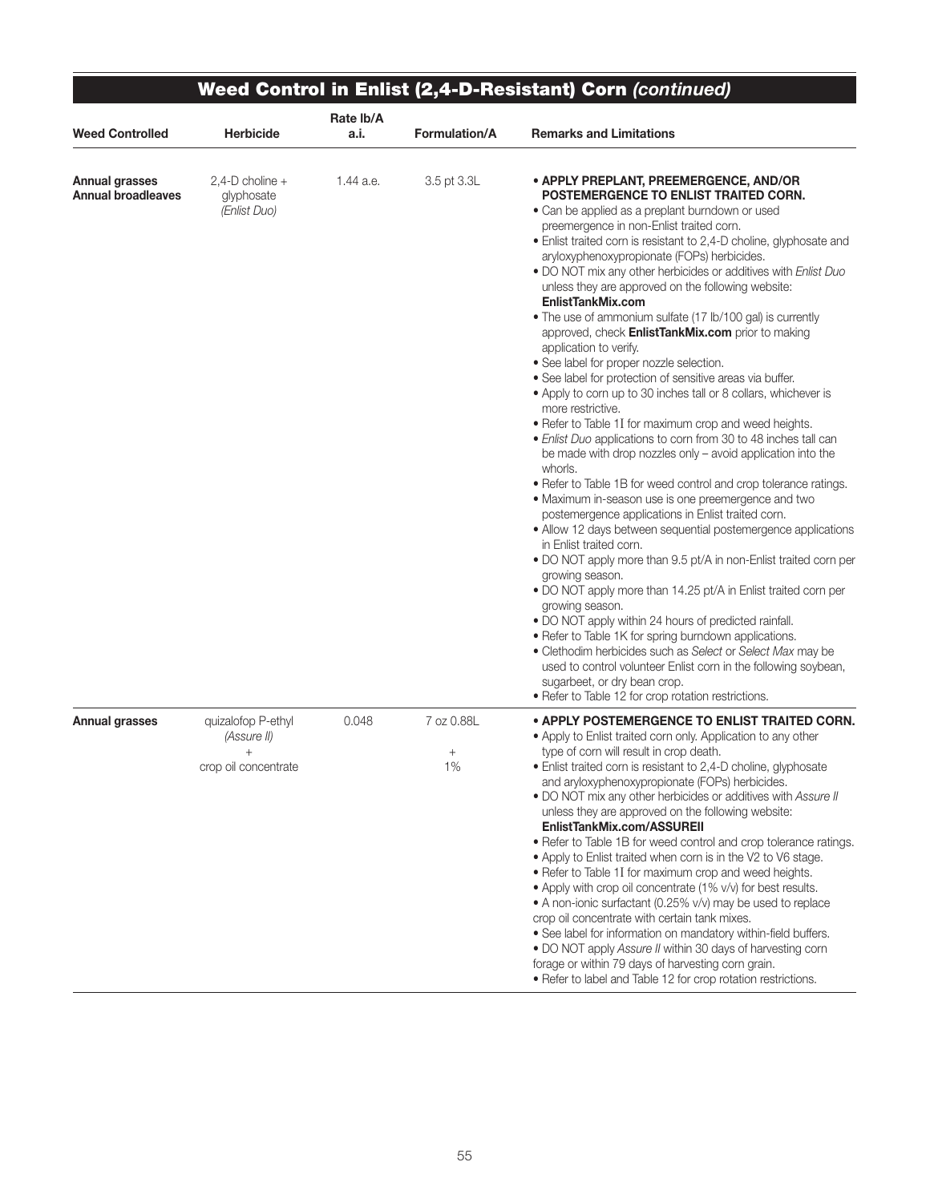|                                                    |                                                           | Rate lb/A |                               | Weed Control in Enlist (2,4-D-Resistant) Corn (continued)                                                                                                                                                                                                                                                                                                                                                                                                                                                                                                                                                                                                                                                                                                                                                                                                                                                                                                                                                                                                                                                                                                                                                                                                                                                                                                                                                                                                                                                                                                                                                                                                                                                                                                                                                        |
|----------------------------------------------------|-----------------------------------------------------------|-----------|-------------------------------|------------------------------------------------------------------------------------------------------------------------------------------------------------------------------------------------------------------------------------------------------------------------------------------------------------------------------------------------------------------------------------------------------------------------------------------------------------------------------------------------------------------------------------------------------------------------------------------------------------------------------------------------------------------------------------------------------------------------------------------------------------------------------------------------------------------------------------------------------------------------------------------------------------------------------------------------------------------------------------------------------------------------------------------------------------------------------------------------------------------------------------------------------------------------------------------------------------------------------------------------------------------------------------------------------------------------------------------------------------------------------------------------------------------------------------------------------------------------------------------------------------------------------------------------------------------------------------------------------------------------------------------------------------------------------------------------------------------------------------------------------------------------------------------------------------------|
| <b>Weed Controlled</b>                             | <b>Herbicide</b>                                          | a.i.      | <b>Formulation/A</b>          | <b>Remarks and Limitations</b>                                                                                                                                                                                                                                                                                                                                                                                                                                                                                                                                                                                                                                                                                                                                                                                                                                                                                                                                                                                                                                                                                                                                                                                                                                                                                                                                                                                                                                                                                                                                                                                                                                                                                                                                                                                   |
| <b>Annual grasses</b><br><b>Annual broadleaves</b> | $2,4$ -D choline +<br>glyphosate<br>(Enlist Duo)          | 1.44 a.e. | 3.5 pt 3.3L                   | • APPLY PREPLANT, PREEMERGENCE, AND/OR<br>POSTEMERGENCE TO ENLIST TRAITED CORN.<br>· Can be applied as a preplant burndown or used<br>preemergence in non-Enlist traited corn.<br>· Enlist traited corn is resistant to 2,4-D choline, glyphosate and<br>aryloxyphenoxypropionate (FOPs) herbicides.<br>. DO NOT mix any other herbicides or additives with Enlist Duo<br>unless they are approved on the following website:<br>EnlistTankMix.com<br>• The use of ammonium sulfate (17 lb/100 gal) is currently<br>approved, check <b>EnlistTankMix.com</b> prior to making<br>application to verify.<br>• See label for proper nozzle selection.<br>• See label for protection of sensitive areas via buffer.<br>• Apply to corn up to 30 inches tall or 8 collars, whichever is<br>more restrictive.<br>• Refer to Table 1I for maximum crop and weed heights.<br>• Enlist Duo applications to corn from 30 to 48 inches tall can<br>be made with drop nozzles only - avoid application into the<br>whorls.<br>• Refer to Table 1B for weed control and crop tolerance ratings.<br>. Maximum in-season use is one preemergence and two<br>postemergence applications in Enlist traited corn.<br>• Allow 12 days between sequential postemergence applications<br>in Enlist traited corn.<br>• DO NOT apply more than 9.5 pt/A in non-Enlist traited corn per<br>growing season.<br>• DO NOT apply more than 14.25 pt/A in Enlist traited corn per<br>growing season.<br>. DO NOT apply within 24 hours of predicted rainfall.<br>• Refer to Table 1K for spring burndown applications.<br>• Clethodim herbicides such as Select or Select Max may be<br>used to control volunteer Enlist corn in the following soybean,<br>sugarbeet, or dry bean crop.<br>• Refer to Table 12 for crop rotation restrictions. |
| <b>Annual grasses</b>                              | quizalofop P-ethyl<br>(Assure II)<br>crop oil concentrate | 0.048     | 7 oz 0.88L<br>$^{+}$<br>$1\%$ | • APPLY POSTEMERGENCE TO ENLIST TRAITED CORN.<br>• Apply to Enlist traited corn only. Application to any other<br>type of corn will result in crop death.<br>· Enlist traited corn is resistant to 2,4-D choline, glyphosate<br>and aryloxyphenoxypropionate (FOPs) herbicides.<br>. DO NOT mix any other herbicides or additives with Assure II<br>unless they are approved on the following website:<br>EnlistTankMix.com/ASSUREII<br>. Refer to Table 1B for weed control and crop tolerance ratings.<br>• Apply to Enlist traited when corn is in the V2 to V6 stage.<br>• Refer to Table 1I for maximum crop and weed heights.<br>• Apply with crop oil concentrate (1% v/v) for best results.<br>• A non-ionic surfactant (0.25% v/v) may be used to replace<br>crop oil concentrate with certain tank mixes.<br>• See label for information on mandatory within-field buffers.<br>. DO NOT apply Assure II within 30 days of harvesting corn<br>forage or within 79 days of harvesting corn grain.<br>• Refer to label and Table 12 for crop rotation restrictions.                                                                                                                                                                                                                                                                                                                                                                                                                                                                                                                                                                                                                                                                                                                                       |

∍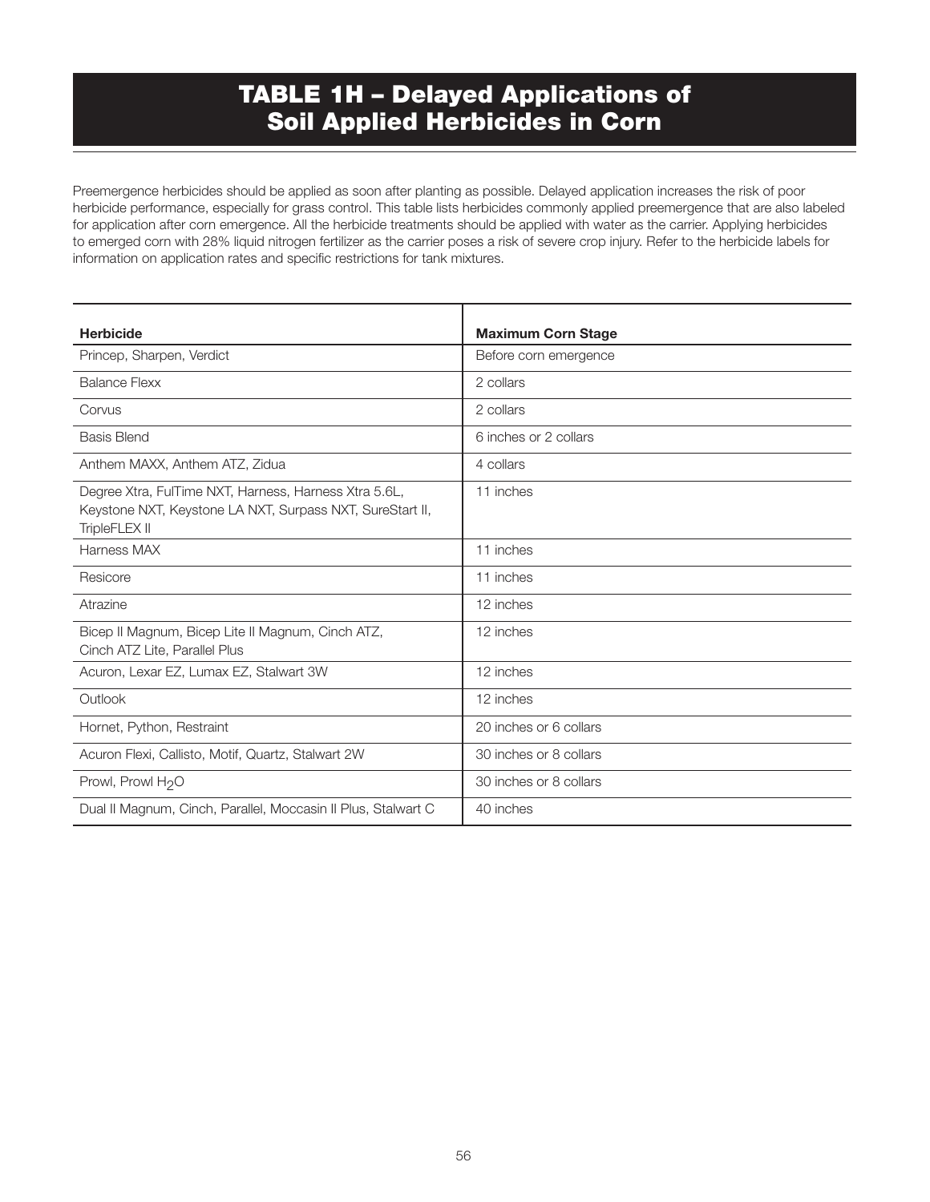## TABLE 1H – Delayed Applications of Soil Applied Herbicides in Corn

Preemergence herbicides should be applied as soon after planting as possible. Delayed application increases the risk of poor herbicide performance, especially for grass control. This table lists herbicides commonly applied preemergence that are also labeled for application after corn emergence. All the herbicide treatments should be applied with water as the carrier. Applying herbicides to emerged corn with 28% liquid nitrogen fertilizer as the carrier poses a risk of severe crop injury. Refer to the herbicide labels for information on application rates and specific restrictions for tank mixtures.

| <b>Herbicide</b>                                                                                                                    | <b>Maximum Corn Stage</b> |
|-------------------------------------------------------------------------------------------------------------------------------------|---------------------------|
| Princep, Sharpen, Verdict                                                                                                           | Before corn emergence     |
| <b>Balance Flexx</b>                                                                                                                | 2 collars                 |
| Corvus                                                                                                                              | 2 collars                 |
| <b>Basis Blend</b>                                                                                                                  | 6 inches or 2 collars     |
| Anthem MAXX, Anthem ATZ, Zidua                                                                                                      | 4 collars                 |
| Degree Xtra, FulTime NXT, Harness, Harness Xtra 5.6L,<br>Keystone NXT, Keystone LA NXT, Surpass NXT, SureStart II,<br>TripleFLEX II | 11 inches                 |
| Harness MAX                                                                                                                         | 11 inches                 |
| Resicore                                                                                                                            | 11 inches                 |
| Atrazine                                                                                                                            | 12 inches                 |
| Bicep II Magnum, Bicep Lite II Magnum, Cinch ATZ,<br>Cinch ATZ Lite, Parallel Plus                                                  | 12 inches                 |
| Acuron, Lexar EZ, Lumax EZ, Stalwart 3W                                                                                             | 12 inches                 |
| Outlook                                                                                                                             | 12 inches                 |
| Hornet, Python, Restraint                                                                                                           | 20 inches or 6 collars    |
| Acuron Flexi, Callisto, Motif, Quartz, Stalwart 2W                                                                                  | 30 inches or 8 collars    |
| Prowl, Prowl H <sub>2</sub> O                                                                                                       | 30 inches or 8 collars    |
| Dual II Magnum, Cinch, Parallel, Moccasin II Plus, Stalwart C                                                                       | 40 inches                 |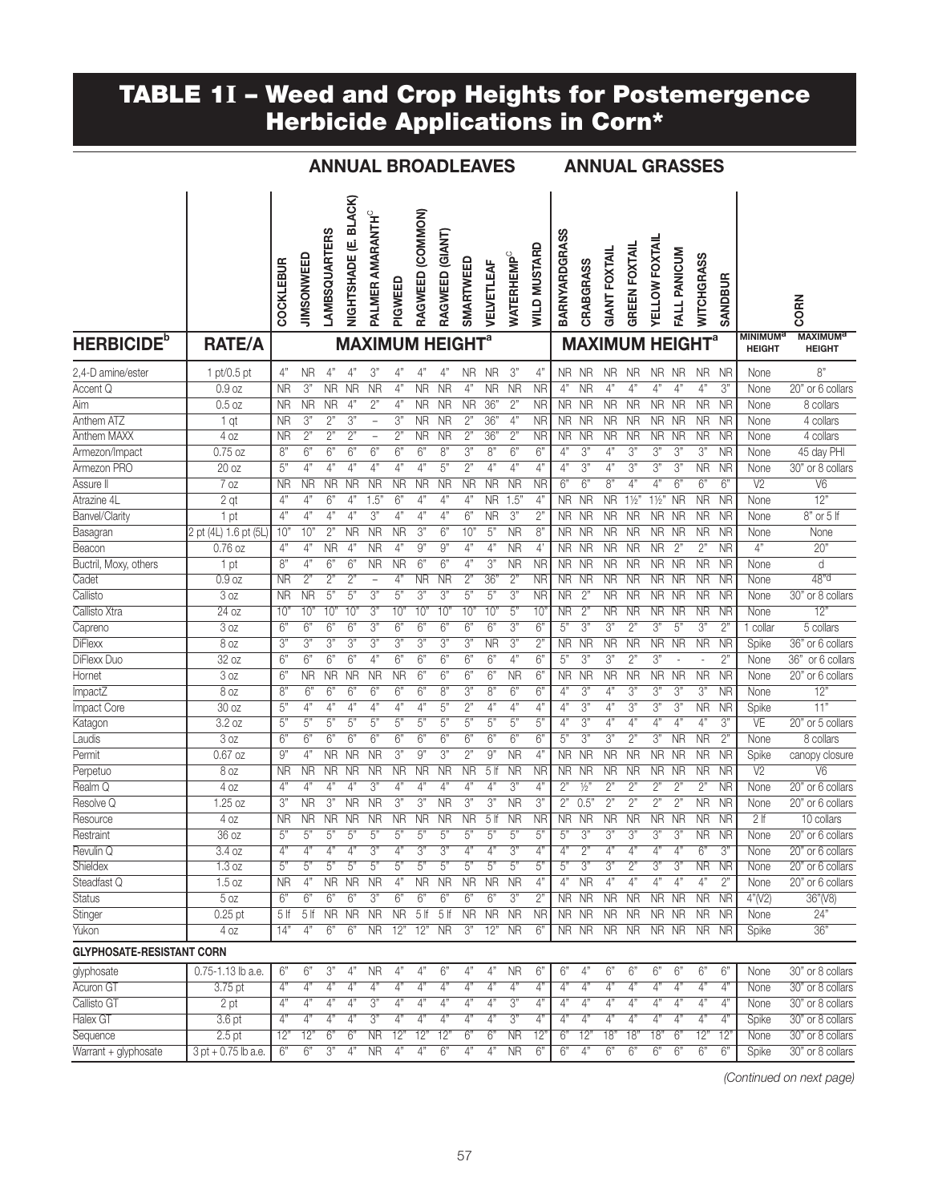#### TABLE 1I – Weed and Crop Heights for Postemergence Herbicide Applications in Corn\*

| ANNUAL BROADLEAVES |  |
|--------------------|--|
|--------------------|--|

S ANNUAL GRASSES

| <b>HERBICIDE</b> <sup>b</sup>    | <b>RATE/A</b>         | COCKLEBUR       | JIMSONWEED      | <b>LAMBSQUARTERS</b> | (E. BLACK)<br>NIGHTSHADE | PALMER AMARANTH <sup>C</sup><br><b>MAXIMUM HEIGHT<sup>a</sup></b> | PIGWEED          | RAGWEED (COMMON) | RAGWEED (GIANT) | SMARTWEED      | VELVETLEAF      | <b>WATERHEMP<sup>C</sup></b> | WILD MUSTARD | <b>BARNYARDGRASS</b> | CRABGRASS<br><b>MAXIMUM HEIGHT<sup>a</sup></b> | <b>GIANT FOXTAIL</b> | <b>GREEN FOXTAIL</b> | <b>YELLOW FOXTAIL</b>  | FALL PANICUM   | WITCHGRASS | <b>SANDBUR</b>  | <b>MINIMUM<sup>a</sup></b> | <b>CORN</b><br><b>MAXIMUM<sup>a</sup></b> |
|----------------------------------|-----------------------|-----------------|-----------------|----------------------|--------------------------|-------------------------------------------------------------------|------------------|------------------|-----------------|----------------|-----------------|------------------------------|--------------|----------------------|------------------------------------------------|----------------------|----------------------|------------------------|----------------|------------|-----------------|----------------------------|-------------------------------------------|
|                                  |                       |                 |                 |                      |                          |                                                                   |                  |                  |                 |                |                 |                              |              |                      |                                                |                      |                      |                        |                |            |                 | <b>HEIGHT</b>              | <b>HEIGHT</b>                             |
| 2,4-D amine/ester                | 1 pt/0.5 pt           | 4"              | <b>NR</b>       | 4"                   | 4"                       | 3"                                                                | 4"               | 4"               | 4"              | <b>NR</b>      | <b>NR</b>       | 3"                           | 4"           | NR.                  | <b>NR</b>                                      | <b>NR</b>            | <b>NR</b>            | <b>NR</b>              | <b>NR</b>      | <b>NR</b>  | <b>NR</b>       | None                       | 8"                                        |
| Accent Q                         | 0.9 oz                | <b>NR</b>       | 3"              | <b>NR</b>            | <b>NR</b>                | <b>NR</b>                                                         | 4"               | <b>NR</b>        | <b>NR</b>       | 4"             | <b>NR</b>       | $\overline{\text{NR}}$       | <b>NR</b>    | 4"                   | <b>NR</b>                                      | 4"                   | 4"                   | 4"                     | 4"             | 4"         | 3"              | None                       | 20" or 6 collars                          |
| Aim                              | $0.5$ oz              | <b>NR</b>       | <b>NR</b>       | <b>NR</b>            | 4"                       | 2"                                                                | 4"               | ΝR               | <b>NR</b>       | <b>NR</b>      | 36"             | 2"                           | <b>NR</b>    | NR.                  | <b>NR</b>                                      | <b>NR</b>            | <b>NR</b>            | <b>NR</b>              | <b>NR</b>      | <b>NR</b>  | <b>NR</b>       | None                       | 8 collars                                 |
| Anthem ATZ                       | 1 qt                  | ΝR              | 3"              | 2"                   | 3"                       | $\overline{\phantom{a}}$                                          | 3"               | <b>NR</b>        | <b>NR</b>       | 2"             | 36"             | 4"                           | <b>NR</b>    | NR.                  | <b>NR</b>                                      | <b>NR</b>            | <b>NR</b>            | <b>NR</b>              | <b>NR</b>      | <b>NR</b>  | <b>NR</b>       | None                       | 4 collars                                 |
| Anthem MAXX                      | 4 oz                  | ΝR              | 2"              | 2"                   | 2"                       | $\qquad \qquad -$                                                 | 2"               | ΝR               | <b>NR</b>       | 2"             | 36"             | 2"                           | <b>NR</b>    | <b>NR</b>            | <b>NR</b>                                      | ΝR                   | <b>NR</b>            | ΝR                     | <b>NR</b>      | <b>NR</b>  | <b>NR</b>       | None                       | 4 collars                                 |
| Armezon/Impact                   | $0.75$ oz             | 8"              | 6"              | 6"                   | 6"                       | 6"                                                                | 6"               | 6"               | 8"              | 3"             | 8"              | 6"                           | 6"           | 4"                   | 3"                                             | 4"                   | 3"                   | 3"                     | 3"             | 3"         | <b>NR</b>       | None                       | 45 day PHI                                |
| Armezon PRO                      | 20 oz                 | 5"              | 4"              | 4"                   | 4"                       | 4"                                                                | $\overline{4}$ " | 4"               | 5"              | 2"             | 4"              | 4"                           | 4"           | 4"                   | 3"                                             | 4"                   | 3"                   | 3"                     | 3"             | <b>NR</b>  | <b>NR</b>       | None                       | 30" or 8 collars                          |
| Assure II                        | 7 oz                  | <b>NR</b>       | <b>NR</b>       | <b>NR</b>            | <b>NR</b>                | <b>NR</b>                                                         | <b>NR</b>        | <b>NR</b>        | <b>NR</b>       | <b>NR</b>      | <b>NR</b>       | <b>NR</b>                    | <b>NR</b>    | 6"                   | 6"                                             | 8"                   | 4"                   | 4"                     | 6"             | 6"         | 6"              | V <sub>2</sub>             | V6                                        |
| Atrazine 4L                      | 2 gt                  | 4"              | 4"              | 6"                   | 4"                       | 1.5"                                                              | 6"               | 4"               | 4"              | 4"             | <b>NR</b>       | 1.5"                         | 4"           | <b>NR</b>            | <b>NR</b>                                      | <b>NR</b>            | $1\frac{1}{2}$       | $1\frac{1}{2}$         | <b>NR</b>      | <b>NR</b>  | <b>NR</b>       | None                       | $\overline{12}$                           |
| Banvel/Clarity                   | 1 pt                  | 4"              | 4"              | 4"                   | 4"                       | 3"                                                                | 4"               | 4"               | 4"              | 6"             | <b>NR</b>       | 3"                           | 2"           | <b>NR</b>            | <b>NR</b>                                      | <b>NR</b>            | <b>NR</b>            | <b>NR</b>              | <b>NR</b>      | <b>NR</b>  | <b>NR</b>       | None                       | 8" or 5 lf                                |
| Basagran                         | 2 pt (4L) 1.6 pt (5L) | 10"             | 10"             | 2"                   | NR                       | <b>NR</b>                                                         | <b>NR</b>        | 3"               | 6"              | 10"            | 5"              | <b>NR</b>                    | 8'           | NR.                  | <b>NR</b>                                      | <b>NR</b>            | <b>NR</b>            | NR                     | <b>NR</b>      | <b>NR</b>  | <b>NR</b>       | None                       | None                                      |
| Beacon                           | $0.76$ oz             | 4"              | 4"              | <b>NR</b>            | 4"                       | <b>NR</b>                                                         | $\overline{4}$   | 9"               | 9"              | 4"             | 4"              | <b>NR</b>                    | 4'           | <b>NR</b>            | <b>NR</b>                                      | <b>NR</b>            | <b>NR</b>            | $\overline{\text{NR}}$ | 2"             | 2"         | <b>NR</b>       | 4"                         | 20"                                       |
| Buctril, Moxy, others            | 1 pt                  | 8"              | 4"              | 6"                   | $\overline{6}$           | <b>NR</b>                                                         | <b>NR</b>        | 6"               | 6"              | 4"             | 3"              | <b>NR</b>                    | <b>NR</b>    | <b>NR</b>            | <b>NR</b>                                      | <b>NR</b>            | <b>NR</b>            | <b>NR</b>              | <b>NR</b>      | <b>NR</b>  | <b>NR</b>       | None                       | d                                         |
| Cadet                            | 0.9 oz                | <b>NR</b>       | 2"              | 2"                   | 2"                       |                                                                   | 4"               | ΝR               | <b>NR</b>       | 2"             | 36"             | 2"                           | <b>NR</b>    | <b>NR</b>            | <b>NR</b>                                      | <b>NR</b>            | <b>NR</b>            | <b>NR</b>              | <b>NR</b>      | <b>NR</b>  | <b>NR</b>       | None                       | 48"d                                      |
| Callisto                         | 3 <sub>oz</sub>       | <b>NR</b>       | <b>NR</b>       | 5"                   | 5"                       | 3"                                                                | 5"               | 3"               | 3"              | $\overline{5}$ | 5"              | 3"                           | <b>NR</b>    | <b>NR</b>            | $2^{\circ}$                                    | ΝR                   | ΝR                   | NR                     | <b>NR</b>      | <b>NR</b>  | <b>NR</b>       | None                       | 30" or 8 collars                          |
| Callisto Xtra                    | 24 oz                 | $10^{\circ}$    | 10'             | 10"                  | 10 <sup>′</sup>          | 3"                                                                | 10'              | 10"              | 10'             | 10"            | 10"             | 5"                           | $10^{\circ}$ | <b>NR</b>            | 2"                                             | <b>NR</b>            | <b>NR</b>            | NR                     | <b>NR</b>      | <b>NR</b>  | NR              | None                       | 12"                                       |
| Capreno                          | 3 <sub>oz</sub>       | 6"              | 6"              | 6"                   | 6"                       | 3"                                                                | 6"               | 6"               | 6"              | 6"             | 6"              | 3"                           | 6"           | 5"                   | 3"                                             | 3"                   | 2"                   | 3"                     | 5"             | 3"         | 2"              | collar                     | 5 collars                                 |
| <b>DiFlexx</b>                   | 8 oz                  | 3"              | 3"              | 3"                   | 3"                       | 3"                                                                | 3"               | 3"               | 3"              | 3"             | <b>NR</b>       | 3"                           | 2"           | <b>NR</b>            | <b>NR</b>                                      | <b>NR</b>            | <b>NR</b>            | <b>NR</b>              | <b>NR</b>      | <b>NR</b>  | <b>NR</b>       | Spike                      | 36" or 6 collars                          |
| DiFlexx Duo                      | 32 oz                 | 6"              | 6"              | 6"                   | 6"                       | 4"                                                                | 6"               | 6"               | 6"              | 6"             | 6"              | $\overline{4}"$              | 6"           | 5"                   | 3"                                             | 3"                   | 2"                   | 3"                     |                |            | 2"              | None                       | 36" or 6 collars                          |
| Hornet                           | 3 <sub>oz</sub>       | 6"              | <b>NR</b>       | <b>NR</b>            | <b>NR</b>                | <b>NR</b>                                                         | <b>NR</b>        | 6"               | 6"              | 6"             | 6"              | <b>NR</b>                    | 6"           | <b>NR</b>            | <b>NR</b>                                      | <b>NR</b>            | <b>NR</b>            | <b>NR</b>              | <b>NR</b>      | <b>NR</b>  | <b>NR</b>       | None                       | 20" or 6 collars                          |
| <b>ImpactZ</b>                   | 8 <sub>oz</sub>       | 8"              | 6"              | 6"                   | 6"                       | 6"                                                                | 6"               | 6"               | 8"              | $\overline{3}$ | 8"              | 6"                           | 6"           | $\overline{4"}$      | 3"                                             | 4"                   | 3"                   | 3"                     | 3"             | 3"         | NR              | None                       | 12"                                       |
| Impact Core                      | 30 oz                 | 5"              | 4"              | 4"                   | 4"                       | 4"                                                                | 4"               | 4"               | 5"              | 2"             | 4"              | 4"                           | 4"           | 4"                   | 3"                                             | 4"                   | 3"                   | 3"                     | 3"             | <b>NR</b>  | <b>NR</b>       | Spike                      | 11"                                       |
| Katagon                          | 3.2 oz                | 5"              | 5"              | 5"                   | 5"                       | 5"                                                                | 5"               | 5"               | 5"              | 5"             | 5"              | 5"                           | 5"           | 4"                   | 3"                                             | 4"                   | $\overline{4}$       | 4"                     | 4"             | 4"         | 3"              | VE                         | 20" or 5 collars                          |
| Laudis                           | 3 <sub>oz</sub>       | 6"              | 6"              | 6"                   | 6"                       | 6"                                                                | 6"               | 6"               | 6"              | 6"             | 6"              | 6"                           | 6"           | 5"                   | 3"                                             | 3"                   | 2"                   | 3"                     | <b>NR</b>      | <b>NR</b>  | 2"              | None                       | 8 collars                                 |
| Permit                           | $0.67$ oz             | 9"              | 4"              | NR.                  | <b>NR</b>                | <b>NR</b>                                                         | 3"               | 9"               | 3"              | 2"             | 9"              | <b>NR</b>                    | 4"           | <b>NR</b>            | <b>NR</b>                                      | <b>NR</b>            | <b>NR</b>            | <b>NR</b>              | <b>NR</b>      | <b>NR</b>  | <b>NR</b>       | Spike                      | canopy closure                            |
| Perpetuo                         | 80z                   | <b>NR</b>       | <b>NR</b>       | <b>NR</b>            | <b>NR</b>                | <b>NR</b>                                                         | <b>NR</b>        | ΝR               | <b>NR</b>       | <b>NR</b>      | 5 <sub>rf</sub> | <b>NR</b>                    | NR           | <b>NR</b>            | <b>NR</b>                                      | <b>NR</b>            | <b>NR</b>            | <b>NR</b>              | <b>NR</b>      | <b>NR</b>  | <b>NR</b>       | V <sub>2</sub>             | $\overline{\mathsf{V6}}$                  |
| Realm Q                          | 4 oz                  | 4"              | 4"              | 4"                   | 4"                       | 3"                                                                | 4"               | 4"               | 4"              | 4"             | 4"              | 3"                           | 4"           | 2"                   | $\frac{1}{2}$                                  | 2"                   | 2"                   | 2"                     | 2"             | 2"         | <b>NR</b>       | None                       | 20" or 6 collars                          |
| Resolve Q                        | 1.25 oz               | 3"              | <b>NR</b>       | 3"                   | <b>NR</b>                | <b>NR</b>                                                         | 3"               | 3"               | <b>NR</b>       | 3"             | 3"              | <b>NR</b>                    | 3"           | 2"                   | 0.5"                                           | 2"                   | 2"                   | 2"                     | 2"             | <b>NR</b>  | <b>NR</b>       | None                       | 20" or 6 collars                          |
| Resource                         | 4 <sub>0Z</sub>       | <b>NR</b>       | <b>NR</b>       | NR                   | <b>NR</b>                | <b>NR</b>                                                         | <b>NR</b>        | <b>NR</b>        | <b>NR</b>       | <b>NR</b>      | 5 lf            | <b>NR</b>                    | <b>NR</b>    | NR.                  | <b>NR</b>                                      | <b>NR</b>            | <b>NR</b>            | <b>NR</b>              | <b>NR</b>      | <b>NR</b>  | <b>NR</b>       | 2 <sub>rf</sub>            | 10 collars                                |
| Restraint                        | 36 oz                 | 5"              | 5"              | 5"                   | 5"                       | 5'                                                                | 5"               | 5"               | 5"              | 5'             | 5"              | 5"                           | 5'           | 5"                   | 3"                                             | 3"                   | 3"                   | 3"                     | 3"             | <b>NR</b>  | <b>NR</b>       | None                       | 20" or 6 collars                          |
| Revulin Q                        | 3.4oz                 | $4^{\circ}$     | 4'              | 4                    | 4                        | 3'                                                                | 4                | $\overline{3}$   | 3"              | 4              | 4               | 3"                           | 4'           | 4                    | $\overline{2}$                                 | 4'                   | 4                    | 4                      | 4              | 6'         | 3"              | None                       | 20" or 6 collars                          |
| Shieldex                         | 1.3 oz                | 5"              | 5"              | 5"                   | 5"                       | 5'                                                                | $\overline{5}$   | 5"               | 5"              | $\overline{5}$ | $\overline{5}$  | 5"                           | 5"           | $5^{\circ}$          | $\overline{3}$                                 | 3"                   | $\overline{2}$       | 3'                     | $\overline{3}$ | <b>NR</b>  | <b>NR</b>       | None                       | 20" or 6 collars                          |
| Steadfast Q                      | 1.5 oz                | ΝR              | 4"              | NR                   | NR.                      | NR                                                                | 4"               | NR.              | <b>NR</b>       | <b>NR</b>      | <b>NR</b>       | NR                           | 4"           | 4"                   | <b>NR</b>                                      | 4"                   | 4"                   | 4"                     | 4"             | 4"         | 2"              | None                       | 20" or 6 collars                          |
| <b>Status</b>                    | 5 <sub>oz</sub>       | 6"              | 6"              | 6"                   | 6"                       | 3"                                                                | 6"               | 6"               | 6"              | 6"             | 6"              | 3"                           | 2"           |                      | NR NR                                          | NR                   | NR                   |                        | NR NR          | NR         | <b>NR</b>       | 4''(V2)                    | 36"(V8)                                   |
| Stinger                          | $0.25$ pt             | 5 <sub>lf</sub> | 5 <sub>lf</sub> |                      |                          | NR NR NR                                                          | <b>NR</b>        | 5 <sub>rf</sub>  | 5 <sub>rf</sub> |                | NR NR           | <b>NR</b>                    | <b>NR</b>    |                      | NR NR                                          | <b>NR</b>            | <b>NR</b>            |                        | NR NR          | NR NR      |                 | None                       | 24"                                       |
| Yukon                            | 4 oz                  | 14"             | 4"              | 6"                   | 6"                       | NR                                                                | 12"              | $12"$ NR         |                 | 3"             | 12"             | $\overline{\text{NR}}$       | 6"           |                      | NR NR                                          |                      | NR NR                |                        | NR NR          | <b>NR</b>  | <b>NR</b>       | Spike                      | 36"                                       |
| <b>GLYPHOSATE-RESISTANT CORN</b> |                       |                 |                 |                      |                          |                                                                   |                  |                  |                 |                |                 |                              |              |                      |                                                |                      |                      |                        |                |            |                 |                            |                                           |
| glyphosate                       | 0.75-1.13 lb a.e.     | 6"              | 6"              | 3"                   | 4"                       | <b>NR</b>                                                         | 4"               | 4"               | 6"              | 4"             | 4"              | <b>NR</b>                    | 6"           | $6"$                 | 4"                                             | 6"                   | 6"                   | $6"$                   | 6"             | 6"         | 6"              | None                       | 30" or 8 collars                          |
| Acuron GT                        | 3.75 <sub>pt</sub>    | 4"              | 4"              | 4"                   | 4"                       | 4"                                                                | 4"               | 4"               | 4"              | 4"             | 4"              | 4"                           | 4"           | 4"                   | 4"                                             | 4"                   | 4"                   | 4"                     | 4"             | 4"         | 4"              | None                       | 30" or 8 collars                          |
| Callisto GT                      | 2pt                   | 4"              | 4"              | 4"                   | 4"                       | 3"                                                                | 4"               | 4"               | 4"              | 4"             | 4"              | 3"                           | 4"           | 4"                   | 4"                                             | 4"                   | 4"                   | 4"                     | 4"             | 4"         | 4"              | None                       | 30" or 8 collars                          |
| Halex GT                         | 3.6 <sub>pt</sub>     | 4"              | 4"              | 4"                   | 4"                       | $\overline{3}$                                                    | 4"               | 4"               | 4"              | 4"             | 4"              | $\overline{3}$ "             | 4"           | 4'                   | $\overline{4}$                                 | 4"                   | $\overline{4}$       | $4^{\circ}$            | 4"             | 4"         | 4"              | <b>Spike</b>               | 30" or 8 collars                          |
| Sequence                         | 2.5 <sub>pt</sub>     | 12"             | 12"             | 6"                   | 6"                       | <b>NR</b>                                                         | 12"              | 12"              | 12"             | 6"             | 6"              | $\overline{\text{NR}}$       | 12'          | 6"                   | 12"                                            | 18"                  | 18'                  | 18"                    | 6"             | 12"        | $\overline{12}$ | None                       | 30" or 8 collars                          |
| Warrant + glyphosate             | $3$ pt + 0.75 lb a.e. | 6"              | 6"              | 3"                   | 4"                       | $\overline{\text{NR}}$                                            | 4"               | 4"               | 6"              | 4"             | 4"              | <b>NR</b>                    | 6"           | 6"                   | 4"                                             | 6"                   | 6"                   | 6"                     | 6"             | 6"         | 6"              | Spike                      | 30" or 8 collars                          |
|                                  |                       |                 |                 |                      |                          |                                                                   |                  |                  |                 |                |                 |                              |              |                      |                                                |                      |                      |                        |                |            |                 |                            |                                           |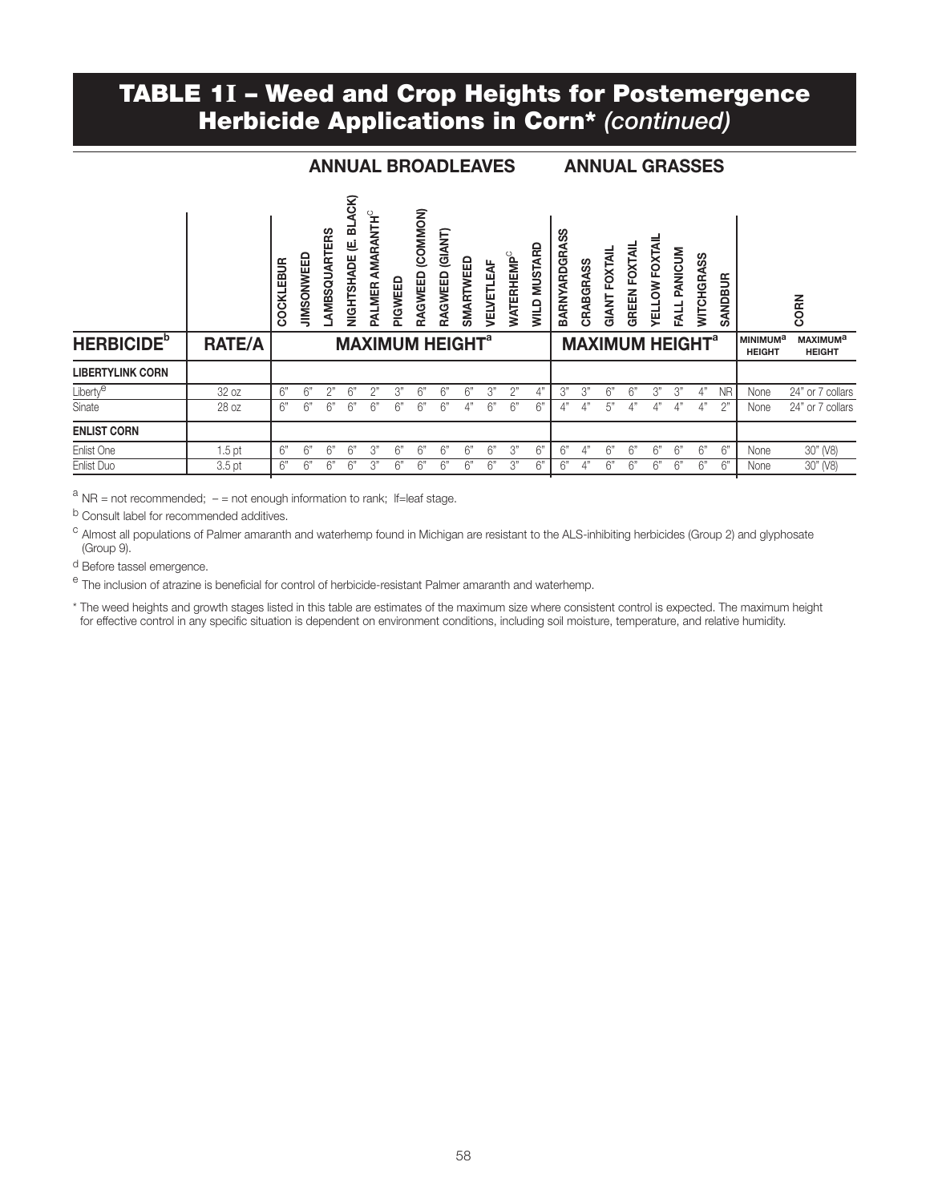### TABLE 1I – Weed and Crop Heights for Postemergence Herbicide Applications in Corn\* *(continued)*

#### ANNUAL BROADLEAVES ANNUAL GRASSES

|                               |                   | COCKLEBUR | <b>JIMSONWEED</b> | AMBSQUARTERS | ACK)<br>ᆱ<br>⋓<br>NIGHTSHADE | <b>AMARANTH<sup>C</sup></b><br>PALMER | PIGWEED                           | (COMMON)<br>RAGWEED | (GIANT)<br>RAGWEED | SMARTWEED | 눅<br>۳<br><b>VELVETI</b> | <b>WATERHEMP</b> | <b>MUSTARD</b><br><b>QTIM</b> | တွ<br>ARNYARDGRA<br>ΩÕ | CRABGRASS | FOXTAIL<br>GIANT                  | <b>GREEN FOXTAIL</b> | <b>YELLOW FOXTAI</b> | PANICUM<br><b>FALL</b> | ASS<br><b>HGR</b><br><b>WITCH</b> | SANDBUR   |                                       | CORN                                        |
|-------------------------------|-------------------|-----------|-------------------|--------------|------------------------------|---------------------------------------|-----------------------------------|---------------------|--------------------|-----------|--------------------------|------------------|-------------------------------|------------------------|-----------|-----------------------------------|----------------------|----------------------|------------------------|-----------------------------------|-----------|---------------------------------------|---------------------------------------------|
| <b>HERBICIDE</b> <sup>b</sup> | <b>RATE/A</b>     |           |                   |              |                              |                                       | <b>MAXIMUM HEIGHT<sup>a</sup></b> |                     |                    |           |                          |                  |                               |                        |           | <b>MAXIMUM HEIGHT<sup>a</sup></b> |                      |                      |                        |                                   |           | MINIMUM <sup>a</sup><br><b>HEIGHT</b> | <b>MAXIMUM<sup>a</sup></b><br><b>HEIGHT</b> |
| <b>LIBERTYLINK CORN</b>       |                   |           |                   |              |                              |                                       |                                   |                     |                    |           |                          |                  |                               |                        |           |                                   |                      |                      |                        |                                   |           |                                       |                                             |
| Liberty <sup>e</sup>          | 32 oz             | 6"        | 6"                | 2"           | 6"                           |                                       | 3"                                | 6"                  | 6"                 | 6"        | 3"                       | 2"               | 4"                            | 3"                     | 3"        | 6"                                | 6"                   | 3"                   | 3"                     | 4"                                | <b>NR</b> | None                                  | 24" or 7 collars                            |
| Sinate                        | 28 oz             | 6"        | 6"                | 6"           | 6"                           | 6"                                    | 6"                                | 6"                  | 6"                 | 4"        | 6"                       | 6"               | 6"                            | 4"                     | 4"        | 5"                                | 4"                   | 4"                   | 4"                     | 4"                                | 2"        | None                                  | 24" or 7 collars                            |
| <b>ENLIST CORN</b>            |                   |           |                   |              |                              |                                       |                                   |                     |                    |           |                          |                  |                               |                        |           |                                   |                      |                      |                        |                                   |           |                                       |                                             |
| Enlist One                    | 1.5 <sub>pt</sub> | 6"        | 6"                | 6"           | 6"                           | 3"                                    | 6"                                | 6"                  | 6"                 | 6"        | 6"                       | 3"               | 6"                            | 6"                     | 4"        | 6"                                | 6"                   | 6"                   | 6"                     | 6"                                | 6"        | None                                  | 30" (V8)                                    |
| Enlist Duo                    | 3.5 <sub>pt</sub> | 6"        | 6"                | 6"           | 6"                           | 3"                                    | 6"                                | 6"                  | 6"                 | 6"        | 6"                       | 3"               | 6"                            | 6"                     | 4"        | 6"                                | 6"                   | 6"                   | 6"                     | 6"                                | 6"        | None                                  | 30" (V8)                                    |

 $a$  NR = not recommended;  $-$  = not enough information to rank; If=leaf stage.

<sup>b</sup> Consult label for recommended additives.

<sup>c</sup> Almost all populations of Palmer amaranth and waterhemp found in Michigan are resistant to the ALS-inhibiting herbicides (Group 2) and glyphosate (Group 9).

d Before tassel emergence.

<sup>e</sup> The inclusion of atrazine is beneficial for control of herbicide-resistant Palmer amaranth and waterhemp.

\* The weed heights and growth stages listed in this table are estimates of the maximum size where consistent control is expected. The maximum height for effective control in any specific situation is dependent on environment conditions, including soil moisture, temperature, and relative humidity.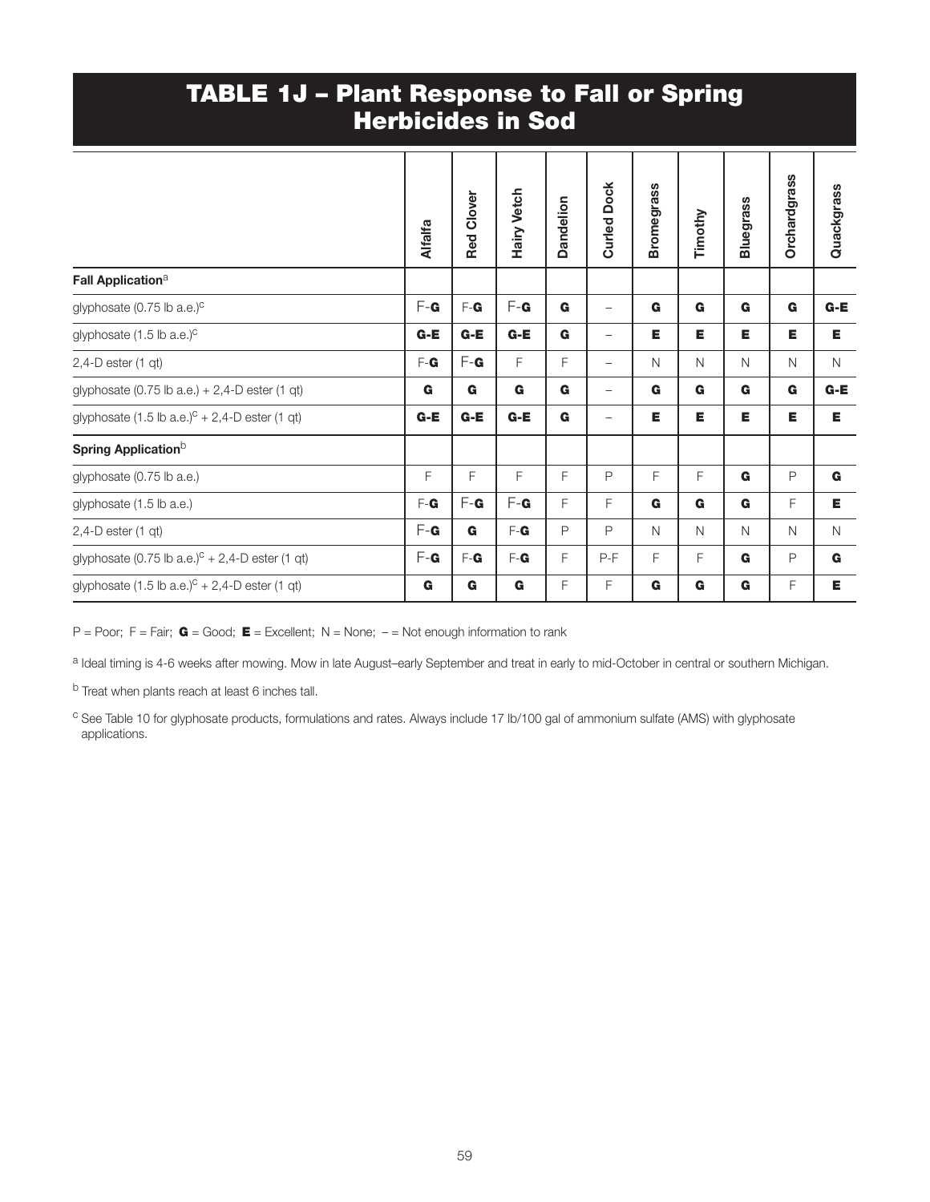### TABLE 1J – Plant Response to Fall or Spring Herbicides in Sod

| <b>Alfalfa</b> | <b>Red Clover</b> | <b>Hairy Vetch</b> | Dandelion    | <b>Dock</b><br>Curled <sub>1</sub> | <b>Bromegrass</b> | Timothy | <b>Bluegrass</b> | <b>Orchardgrass</b> | Quackgrass   |
|----------------|-------------------|--------------------|--------------|------------------------------------|-------------------|---------|------------------|---------------------|--------------|
|                |                   |                    |              |                                    |                   |         |                  |                     |              |
| $F - G$        | $F - G$           | $F - G$            | G            | $\overline{\phantom{m}}$           | G                 | G       | G                | G                   | $G-E$        |
| $G-E$          | $G-E$             | $G-E$              | G            | $\overline{\phantom{m}}$           | Е                 | Е       | Е                | Е                   | Е            |
| F-G            | $F - G$           | F                  | F            | $\overline{\phantom{m}}$           | N                 | N       | $\mathsf{N}$     | N                   | N            |
| G              | G                 | G                  | G            | $\qquad \qquad -$                  | G                 | G       | G                | G                   | G-E          |
| $G-E$          | $G-E$             | $G-E$              | G            | $\overline{\phantom{m}}$           | Е                 | Е       | Е                | Е                   | Е            |
|                |                   |                    |              |                                    |                   |         |                  |                     |              |
| F              | F                 | F                  | F            | $\mathsf{P}$                       | F                 | F       | G                | $\mathsf{P}$        | G            |
| $F - G$        | $F - G$           | $F - G$            | F            | F                                  | G                 | G       | G                | F                   | E.           |
| $F - G$        | $\mathbf G$       | F-G                | $\mathsf{P}$ | P                                  | N                 | N       | $\mathsf{N}$     | N                   | $\mathsf{N}$ |
| $F - G$        | F-G               | F-G                | F            | $P-F$                              | F                 | F       | G                | P                   | G            |
| G              | G                 | G                  | F            | F                                  | G                 | G       | G                | F                   | Е            |
|                |                   |                    |              |                                    |                   |         |                  |                     |              |

P = Poor; F = Fair;  $G = Good$ ; E = Excellent; N = None; - = Not enough information to rank

a Ideal timing is 4-6 weeks after mowing. Mow in late August–early September and treat in early to mid-October in central or southern Michigan.

b Treat when plants reach at least 6 inches tall.

<sup>c</sup> See Table 10 for glyphosate products, formulations and rates. Always include 17 lb/100 gal of ammonium sulfate (AMS) with glyphosate applications.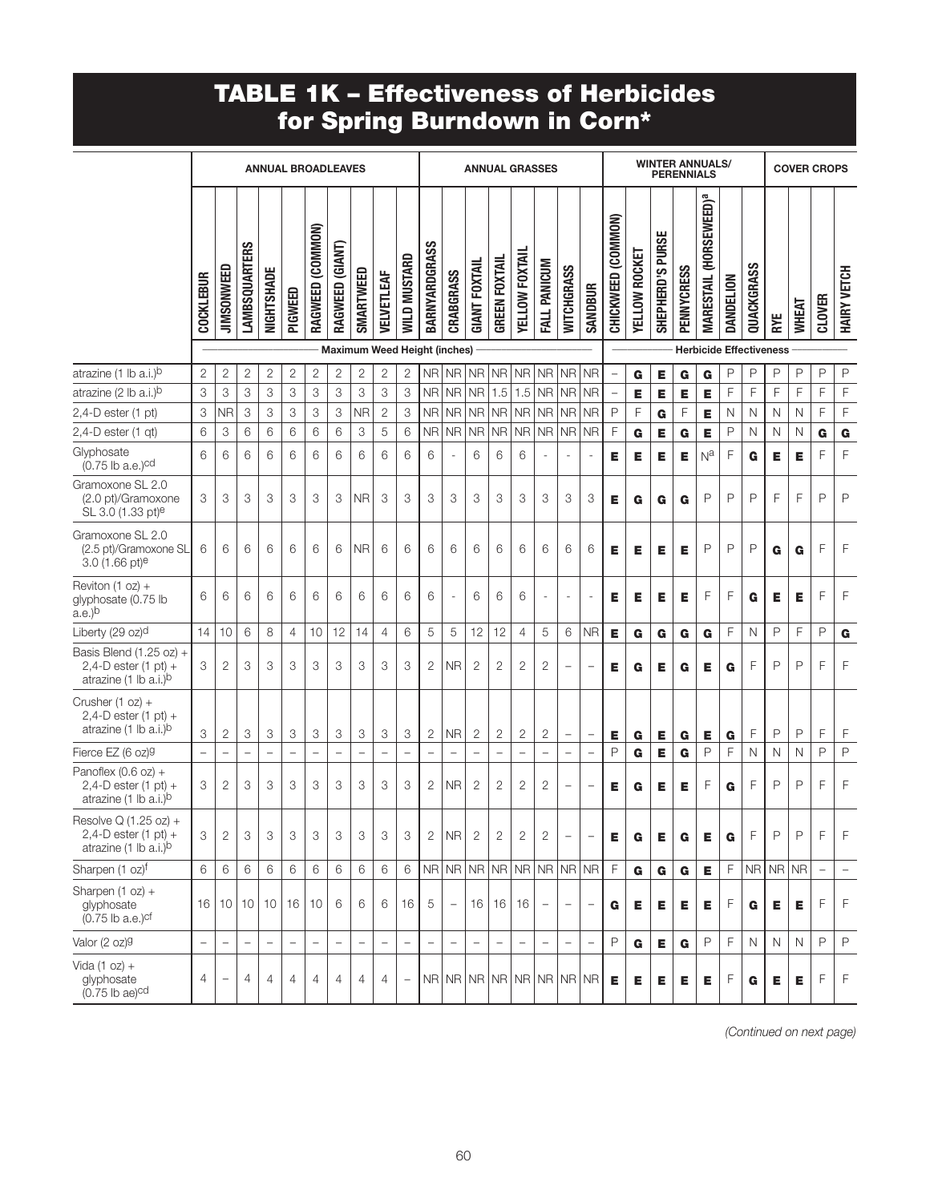# TABLE 1K – Effectiveness of Herbicides for Spring Burndown in Corn\*

|                                                                                                |                          |                          |                          |                          |                          | <b>ANNUAL BROADLEAVES</b> |                          |                              |                          |                            | <b>ANNUAL GRASSES</b>    |                          |                          |                          |                   |                          |                          | <b>WINTER ANNUALS/</b><br><b>PERENNIALS</b> |                          |               |                         |                   |                                          |           |              | <b>COVER CROPS</b> |                                |                          |                |  |
|------------------------------------------------------------------------------------------------|--------------------------|--------------------------|--------------------------|--------------------------|--------------------------|---------------------------|--------------------------|------------------------------|--------------------------|----------------------------|--------------------------|--------------------------|--------------------------|--------------------------|-------------------|--------------------------|--------------------------|---------------------------------------------|--------------------------|---------------|-------------------------|-------------------|------------------------------------------|-----------|--------------|--------------------|--------------------------------|--------------------------|----------------|--|
|                                                                                                | COCKLEBUR                | <b>JIMSONWEED</b>        | <b>LAMBSQUARTERS</b>     | NIGHTSHADE               | PIGWEED                  | RAGWEED (COMMON)          | RAGWEED (GIANT)          | SMARTWEED                    | <b>JELVETLEAF</b>        | <b><i>NILD MUSTARD</i></b> | BARNYARDGRASS            | CRABGRASS                | <b>GIANT FOXTAIL</b>     | <b>GREEN FOXTAIL</b>     | YELLOW FOXTAIL    | FALL PANICUM             | <b>WITCHGRASS</b>        | <b>SANDBUR</b>                              | CHICKWEED (COMMON)       | YELLOW ROCKET | <b>SHEPHERD'S PURSE</b> | <b>PENNYCRESS</b> | <b>MARESTAIL (HORSEWEED)<sup>a</sup></b> | DANDELION | QUACKGRASS   | RYE                | <b>WHEAT</b>                   | <b>CLOVER</b>            | HAIRY VETCH    |  |
|                                                                                                |                          |                          |                          |                          |                          |                           |                          | Maximum Weed Height (inches) |                          |                            |                          |                          |                          |                          |                   |                          |                          |                                             |                          |               |                         |                   |                                          |           |              |                    | <b>Herbicide Effectiveness</b> |                          |                |  |
| atrazine (1 lb a.i.) <sup>b</sup>                                                              | $\mathbf{2}$             | 2                        | $\overline{c}$           | $\mathbf{2}$             | $\mathbf{2}$             | 2                         | $\mathbf{2}$             | $\mathbf{2}$                 | $\mathbf{2}$             | $\overline{2}$             | <b>NR</b>                | <b>NR</b>                | <b>NR</b>                | N <sub>R</sub>           | <b>NR</b>         | <b>NR</b>                | <b>NR</b>                | <b>NR</b>                                   |                          | G             | Е                       | G                 | G                                        | P         | P            | P                  | P                              | P                        | $\mathsf P$    |  |
| atrazine (2 lb a.i.) <sup>b</sup>                                                              | 3                        | 3                        | 3                        | 3                        | 3                        | 3                         | 3                        | 3                            | 3                        | 3                          | <b>NR</b>                | <b>NR</b>                | <b>NR</b>                | 1.5                      | 1.5               | <b>NR</b>                | <b>NR</b>                | <b>NR</b>                                   | $\overline{\phantom{0}}$ | Е             | Е                       | Е                 | Е                                        | F         | F            | F                  | F                              | F                        | F              |  |
| $2,4$ -D ester (1 pt)                                                                          | 3                        | <b>NR</b>                | 3                        | 3                        | 3                        | 3                         | 3                        | <b>NR</b>                    | $\mathbf{2}$             | 3                          | <b>NR</b>                | <b>NR</b>                | NR                       |                          | NR NR             | <b>NR</b>                | <b>NR</b>                | <b>NR</b>                                   | $\mathsf{P}$             | F             | G                       | F                 | Е                                        | N         | N            | N                  | N                              | F                        | F              |  |
| $2,4$ -D ester (1 qt)                                                                          | 6                        | 3                        | 6                        | 6                        | 6                        | 6                         | 6                        | 3                            | 5                        | 6                          | N <sub>R</sub>           | <b>NR</b>                | <b>NR</b>                | NR                       | <b>NR</b>         | <b>NR</b>                | <b>NR</b>                | <b>NR</b>                                   | F                        | G             | Е                       | G                 | Е                                        | P         | N            | N                  | $\mathsf{N}$                   | G                        | G              |  |
| Glyphosate<br>$(0.75$ lb a.e.) <sup>cd</sup>                                                   | 6                        | 6                        | 6                        | 6                        | 6                        | 6                         | 6                        | 6                            | 6                        | 6                          | 6                        | L,                       | 6                        | 6                        | 6                 |                          | $\overline{\phantom{a}}$ | $\overline{\phantom{a}}$                    | Е                        | Е             | Е                       | Е                 | $N^a$                                    | F         | G            | Е                  | Е                              | F                        | F              |  |
| Gramoxone SL 2.0<br>(2.0 pt)/Gramoxone<br>SL 3.0 (1.33 pt) <sup>e</sup>                        | 3                        | 3                        | 3                        | 3                        | 3                        | 3                         | 3                        | <b>NR</b>                    | 3                        | 3                          | 3                        | 3                        | 3                        | 3                        | 3                 | 3                        | 3                        | 3                                           | Е                        | G             | G                       | G                 | $\mathsf{P}$                             | P         | P            | F                  | F                              | P                        | P              |  |
| Gramoxone SL 2.0<br>(2.5 pt)/Gramoxone SL<br>$3.0$ (1.66 pt) <sup>e</sup>                      | 6                        | 6                        | 6                        | 6                        | 6                        | 6                         | 6                        | <b>NR</b>                    | 6                        | 6                          | 6                        | 6                        | 6                        | 6                        | 6                 | 6                        | 6                        | 6                                           | Е                        | Е             | Е                       | Е                 | P                                        | P         | $\mathsf{P}$ | G                  | G                              | F                        | F              |  |
| Reviton (1 oz) +<br>glyphosate (0.75 lb<br>$a.e.$ <sup>b</sup>                                 | 6                        | 6                        | 6                        | 6                        | 6                        | 6                         | 6                        | 6                            | 6                        | 6                          | 6                        | L,                       | 6                        | 6                        | 6                 |                          | $\overline{\phantom{a}}$ | ÷,                                          | E                        | Е             | E                       | Е                 | F                                        | F         | G            | Е                  | Е                              | F                        | F              |  |
| Liberty (29 oz) <sup>d</sup>                                                                   | 14                       | 10                       | 6                        | 8                        | $\overline{4}$           | 10                        | 12                       | 14                           | $\overline{4}$           | 6                          | 5                        | 5                        | 12                       | 12                       | $\overline{4}$    | 5                        | 6                        | <b>NR</b>                                   | Е                        | G             | G                       | G                 | G                                        | F         | N            | P                  | F                              | P                        | G              |  |
| Basis Blend (1.25 oz) +<br>2,4-D ester $(1 \text{ pt}) +$<br>atrazine (1 lb a.i.) <sup>b</sup> | 3                        | 2                        | 3                        | 3                        | 3                        | 3                         | 3                        | 3                            | 3                        | 3                          | $\overline{2}$           | <b>NR</b>                | $\overline{2}$           | $\overline{2}$           | 2                 | $\overline{c}$           | $\overline{\phantom{a}}$ | $\overline{\phantom{0}}$                    | Е                        | G             | Е                       | G                 | Е                                        | G         | F            | P                  | $\mathsf{P}$                   | F                        | F              |  |
| Crusher $(1 oz) +$<br>$2,4$ -D ester $(1$ pt $)$ +<br>atrazine (1 lb a.i.)b                    | 3                        | $\mathbf{2}$             | 3                        | 3                        | 3                        | 3                         | 3                        | 3                            | 3                        | 3                          | $\mathbf{2}$             | <b>NR</b>                | $\mathbf{2}$             | $\mathbf{2}$             | 2                 | $\mathbf{2}$             | $\qquad \qquad -$        | $\overline{\phantom{a}}$                    | Е                        | G             | Е                       | G                 | Е                                        | G         | F            | P                  | P                              | F                        | F              |  |
| Fierce EZ (6 oz)9                                                                              |                          |                          | $\qquad \qquad -$        | $\overline{\phantom{0}}$ | $\overline{\phantom{0}}$ | $\overline{\phantom{0}}$  | $\overline{\phantom{0}}$ | ÷                            | $\overline{\phantom{0}}$ | $\overline{\phantom{0}}$   | $\overline{\phantom{0}}$ | $\overline{\phantom{0}}$ | $\overline{\phantom{0}}$ | $\overline{\phantom{0}}$ | $\qquad \qquad -$ | $\overline{a}$           | $\overline{a}$           | $\overline{\phantom{0}}$                    | P                        | G             | Е                       | G                 | $\mathsf{P}$                             | F         | N            | $\mathsf{N}$       | $\mathsf{N}$                   | P                        | $\mathsf{P}$   |  |
| Panoflex (0.6 oz) +<br>$2,4$ -D ester $(1$ pt $)$ +<br>atrazine (1 lb a.i.) <sup>b</sup>       | 3                        | 2                        | 3                        | 3                        | 3                        | 3                         | 3                        | 3                            | 3                        | 3                          | 2                        | <b>NR</b>                | 2                        | $\overline{2}$           | 2                 | $\mathbf{2}$             | $\qquad \qquad -$        | $\qquad \qquad -$                           | Е                        | G             | Е                       | Е                 | F                                        | G         | F            | P                  | P                              | F                        | F              |  |
| Resolve Q (1.25 oz) +<br>$2,4$ -D ester $(1$ pt) +<br>atrazine (1 lb a.i.) <sup>b</sup>        | 3                        | 2                        | 3                        | 3                        | 3                        | 3                         | 3                        | 3                            | 3                        | 3                          | 2                        | N <sub>R</sub>           | $\overline{c}$           | 2                        | 2                 | 2                        | $\qquad \qquad -$        | $\qquad \qquad -$                           | Е                        | G             | Е                       | G                 | Е                                        | G         | F            | P                  | P                              | F                        | F              |  |
| Sharpen (1 oz)f                                                                                | 6                        | 6                        | 6                        | 6                        | 6                        | 6                         | 6                        | 6                            | 6                        | 6                          |                          |                          |                          |                          |                   | NR NR NR NR NR NR NR     |                          |                                             | F                        | G             | G                       | G                 | Е                                        | F         |              | NRINRINR           |                                | $\overline{\phantom{0}}$ |                |  |
| Sharpen $(1 oz) +$<br>glyphosate<br>$(0.75$ lb a.e.) $cf$                                      | 16                       | 10                       | 10                       | 10 <sup>°</sup>          | 16                       | 10                        | 6                        | 6                            | 6                        | 16                         | 5                        | $\overline{\phantom{m}}$ | 16                       |                          | 16 16             | $\overline{\phantom{m}}$ | $\overline{\phantom{a}}$ | $\overline{\phantom{a}}$                    | G                        | Е             | Е                       | Е                 | Е                                        | F         | G            | Е                  | Е                              | F                        | $\mathsf{F}$   |  |
| Valor (2 oz) <sup>g</sup>                                                                      | $\overline{\phantom{0}}$ | $\overline{\phantom{0}}$ | $\overline{\phantom{0}}$ | $\overline{\phantom{0}}$ | $\overline{\phantom{0}}$ | $\overline{\phantom{a}}$  | $\overline{\phantom{0}}$ | $\overline{\phantom{a}}$     | $\overline{\phantom{a}}$ | $\overline{\phantom{0}}$   |                          | $\overline{\phantom{a}}$ |                          |                          | $\qquad \qquad -$ | $\overline{\phantom{a}}$ | $\frac{1}{2}$            | $\overline{\phantom{0}}$                    | $\mathsf{P}$             | G             | E                       | G                 | $\mathsf{P}$                             | F         | $\mathsf{N}$ | $\mathsf{N}$       | N                              | $\mathsf{P}$             | $\mathsf{P}$   |  |
| Vida $(1 oz) +$<br>glyphosate<br>$(0.75$ lb ae) <sup>cd</sup>                                  | 4                        | $\qquad \qquad -$        | $\overline{4}$           | $\overline{4}$           | $\overline{4}$           | $\overline{4}$            | $\overline{4}$           | 4                            | $\overline{4}$           |                            |                          |                          |                          |                          |                   | NR NR NR NR NR NR NR     |                          |                                             | Е                        | Е             | Е                       | Е                 | Е                                        | F         | G            | Е                  | Е                              | F                        | $\overline{F}$ |  |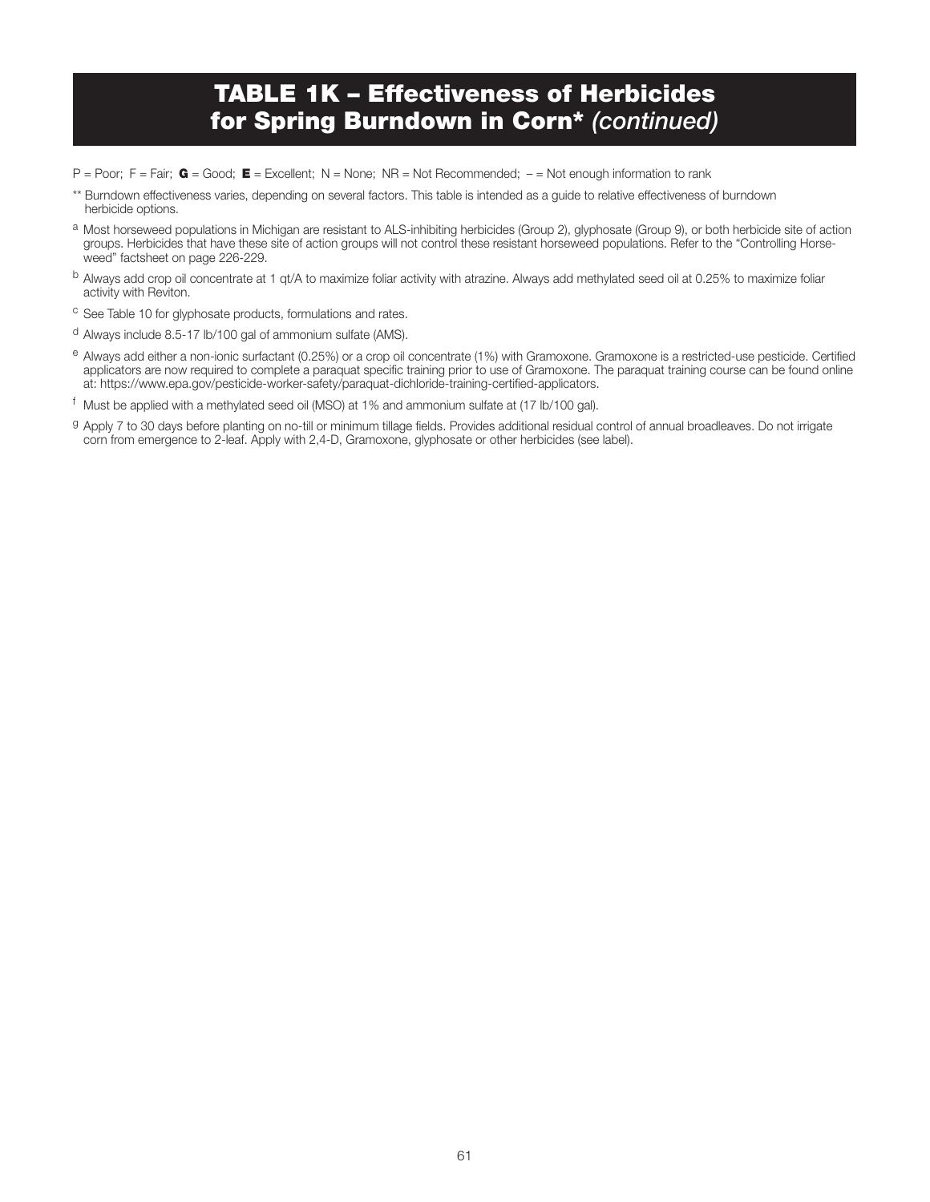## TABLE 1K – Effectiveness of Herbicides for Spring Burndown in Corn\* *(continued)*

- $P = Power$ ;  $F = Fair$ ;  $G = Good$ ;  $E = Excellent$ ;  $N = None$ ;  $NR = Not$  Recommended;  $= Not$  enough information to rank
- \*\* Burndown effectiveness varies, depending on several factors. This table is intended as a guide to relative effectiveness of burndown herbicide options.
- a Most horseweed populations in Michigan are resistant to ALS-inhibiting herbicides (Group 2), glyphosate (Group 9), or both herbicide site of action groups. Herbicides that have these site of action groups will not control these resistant horseweed populations. Refer to the "Controlling Horseweed" factsheet on page 226-229.
- b Always add crop oil concentrate at 1 qt/A to maximize foliar activity with atrazine. Always add methylated seed oil at 0.25% to maximize foliar activity with Reviton.
- <sup>c</sup> See Table 10 for glyphosate products, formulations and rates.
- <sup>d</sup> Always include 8.5-17 lb/100 gal of ammonium sulfate (AMS).
- e Always add either a non-ionic surfactant (0.25%) or a crop oil concentrate (1%) with Gramoxone. Gramoxone is a restricted-use pesticide. Certified applicators are now required to complete a paraquat specific training prior to use of Gramoxone. The paraquat training course can be found online at: https://www.epa.gov/pesticide-worker-safety/paraquat-dichloride-training-certified-applicators.
- <sup>f</sup> Must be applied with a methylated seed oil (MSO) at 1% and ammonium sulfate at (17 lb/100 gal).
- g Apply 7 to 30 days before planting on no-till or minimum tillage fields. Provides additional residual control of annual broadleaves. Do not irrigate corn from emergence to 2-leaf. Apply with 2,4-D, Gramoxone, glyphosate or other herbicides (see label).